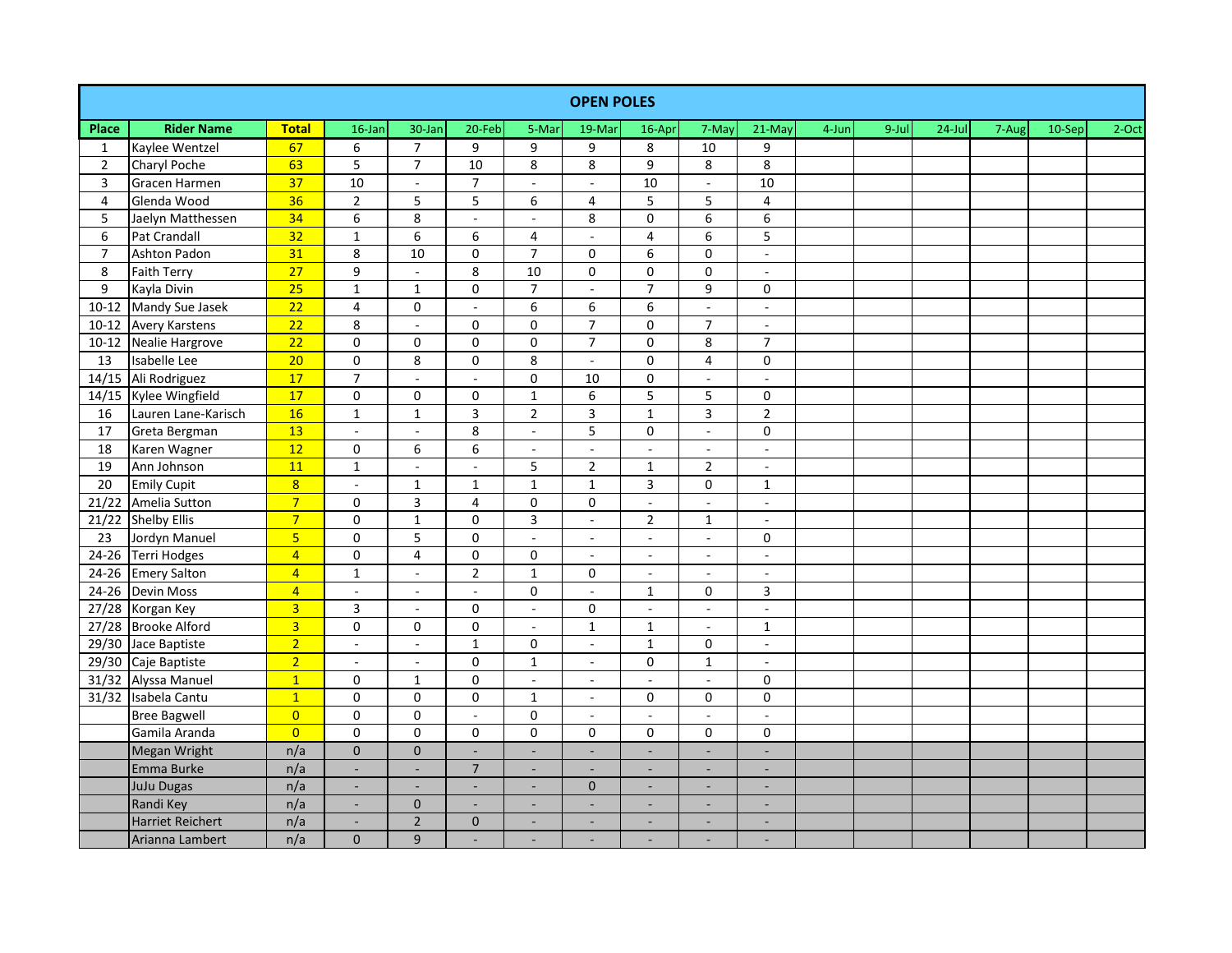|                |                         |                 |                          |                          |                             |                          | <b>OPEN POLES</b>        |                          |                          |                             |       |       |        |       |        |       |
|----------------|-------------------------|-----------------|--------------------------|--------------------------|-----------------------------|--------------------------|--------------------------|--------------------------|--------------------------|-----------------------------|-------|-------|--------|-------|--------|-------|
| Place          | <b>Rider Name</b>       | <b>Total</b>    | 16-Jan                   | 30-Jan                   | 20-Feb                      | 5-Mar                    | 19-Mar                   | 16-Apr                   | 7-May                    | 21-May                      | 4-Jun | 9-Jul | 24-Jul | 7-Aug | 10-Sep | 2-Oct |
| $\mathbf{1}$   | Kaylee Wentzel          | 67              | 6                        | $\overline{7}$           | 9                           | 9                        | 9                        | 8                        | 10                       | 9                           |       |       |        |       |        |       |
| $\overline{2}$ | Charyl Poche            | 63              | 5                        | $\overline{7}$           | $\overline{10}$             | 8                        | $\overline{8}$           | $\overline{9}$           | $\overline{8}$           | $\overline{8}$              |       |       |        |       |        |       |
| 3              | Gracen Harmen           | 37              | 10                       | $\blacksquare$           | $\overline{7}$              | $\sim$                   | ÷,                       | 10                       | $\overline{a}$           | 10                          |       |       |        |       |        |       |
| 4              | Glenda Wood             | 36              | $\mathbf 2$              | 5                        | 5                           | 6                        | $\overline{4}$           | 5                        | 5                        | $\pmb{4}$                   |       |       |        |       |        |       |
| 5              | Jaelyn Matthessen       | 34              | 6                        | 8                        | $\sim$                      | $\sim$                   | 8                        | 0                        | $\overline{6}$           | 6                           |       |       |        |       |        |       |
| 6              | Pat Crandall            | 32              | $\mathbf{1}$             | 6                        | 6                           | $\overline{4}$           | $\sim$                   | $\overline{\mathbf{4}}$  | 6                        | 5                           |       |       |        |       |        |       |
| $\overline{7}$ | Ashton Padon            | 31              | $\,8\,$                  | $\overline{10}$          | 0                           | $\overline{7}$           | $\mathbf 0$              | $\overline{6}$           | $\mathsf{O}\xspace$      | $\mathbb{Z}^2$              |       |       |        |       |        |       |
| 8              | <b>Faith Terry</b>      | $\overline{27}$ | 9                        | $\sim$                   | 8                           | 10                       | $\mathbf 0$              | 0                        | $\mathsf{O}\xspace$      | $\mathbb{Z}^2$              |       |       |        |       |        |       |
| 9              | Kayla Divin             | $\overline{25}$ | $\mathbf{1}$             | $\mathbf{1}$             | 0                           | $\overline{7}$           | $\overline{\phantom{a}}$ | $\overline{7}$           | $\overline{9}$           | 0                           |       |       |        |       |        |       |
| $10 - 12$      | Mandy Sue Jasek         | 22              | $\overline{\mathbf{4}}$  | 0                        | $\sim$                      | 6                        | 6                        | 6                        | $\overline{a}$           | $\blacksquare$              |       |       |        |       |        |       |
| $10 - 12$      | <b>Avery Karstens</b>   | 22              | $\,8\,$                  | $\sim$                   | $\mathbf{0}$                | 0                        | $\overline{7}$           | 0                        | $\overline{7}$           | $\sim$                      |       |       |        |       |        |       |
| $10 - 12$      | Nealie Hargrove         | 22              | $\pmb{0}$                | 0                        | 0                           | $\mathbf 0$              | $\overline{7}$           | 0                        | 8                        | $\overline{7}$              |       |       |        |       |        |       |
| 13             | Isabelle Lee            | 20              | $\pmb{0}$                | 8                        | 0                           | 8                        | L.                       | 0                        | $\overline{4}$           | $\pmb{0}$                   |       |       |        |       |        |       |
| 14/15          | Ali Rodriguez           | 17              | $\overline{7}$           | L.                       | $\sim$                      | $\mathsf{O}\xspace$      | 10                       | $\mathsf 0$              | $\blacksquare$           | $\blacksquare$              |       |       |        |       |        |       |
| 14/15          | Kylee Wingfield         | 17              | $\mathbf 0$              | $\mathbf 0$              | $\Omega$                    | $\mathbf 1$              | 6                        | $\overline{5}$           | 5                        | $\pmb{0}$                   |       |       |        |       |        |       |
| 16             | Lauren Lane-Karisch     | 16              | $\mathbf 1$              | $1\,$                    | 3                           | $\overline{2}$           | $\overline{\mathbf{3}}$  | $\mathbf 1$              | 3                        | $\mathbf 2$                 |       |       |        |       |        |       |
| $17\,$         | Greta Bergman           | 13              | $\mathcal{L}$            | $\sim$                   | 8                           | $\mathcal{L}$            | $\overline{5}$           | $\mathsf 0$              | $\overline{a}$           | $\pmb{0}$                   |       |       |        |       |        |       |
| 18             | Karen Wagner            | 12              | $\mathbf 0$              | 6                        | 6                           | ÷,                       | L.                       | $\overline{a}$           | $\sim$                   | $\sim$                      |       |       |        |       |        |       |
| 19             | Ann Johnson             | 11              | $\mathbf 1$              | $\overline{\phantom{a}}$ | $\mathcal{L}_{\mathcal{A}}$ | 5                        | $\overline{2}$           | $\mathbf 1$              | $\overline{2}$           | $\omega$                    |       |       |        |       |        |       |
| 20             | <b>Emily Cupit</b>      | $\overline{8}$  | $\overline{\phantom{a}}$ | $\mathbf{1}$             | $\mathbf{1}$                | $\mathbf 1$              | $\mathbf 1$              | 3                        | $\mathsf{O}\xspace$      | $\mathbf 1$                 |       |       |        |       |        |       |
| 21/22          | Amelia Sutton           | $\overline{7}$  | $\mathbf 0$              | $\mathsf{3}$             | $\overline{4}$              | $\mathsf{O}\xspace$      | $\pmb{0}$                | $\omega$                 | $\blacksquare$           | $\sim$                      |       |       |        |       |        |       |
|                | 21/22 Shelby Ellis      | $\overline{7}$  | $\pmb{0}$                | $\mathbf{1}$             | $\mathbf{0}$                | $\overline{3}$           | $\mathbb{R}^2$           | $\overline{2}$           | $\mathbf{1}$             | $\mathcal{L}_{\mathcal{A}}$ |       |       |        |       |        |       |
| 23             | Jordyn Manuel           | 5 <sup>5</sup>  | $\mathbf 0$              | 5                        | 0                           | $\omega$                 | $\blacksquare$           | $\blacksquare$           | $\blacksquare$           | $\pmb{0}$                   |       |       |        |       |        |       |
|                | 24-26 Terri Hodges      | $\overline{4}$  | $\pmb{0}$                | 4                        | 0                           | $\pmb{0}$                | $\sim$                   | $\blacksquare$           | $\sim$                   | $\blacksquare$              |       |       |        |       |        |       |
|                | 24-26 Emery Salton      | $\overline{4}$  | $\mathbf{1}$             | $\sim$                   | $\overline{2}$              | $\mathbf{1}$             | $\mathbf 0$              | $\blacksquare$           | $\sim$                   | $\blacksquare$              |       |       |        |       |        |       |
|                | 24-26 Devin Moss        | $\overline{4}$  | ÷,                       | $\overline{\phantom{a}}$ | $\sim$                      | 0                        | ÷,                       | $\mathbf 1$              | $\pmb{0}$                | $\overline{\mathbf{3}}$     |       |       |        |       |        |       |
|                | 27/28 Korgan Key        | $\overline{3}$  | $\mathsf 3$              | ÷,                       | 0                           | $\overline{\phantom{a}}$ | 0                        | $\overline{\phantom{a}}$ | $\blacksquare$           | $\blacksquare$              |       |       |        |       |        |       |
|                | 27/28 Brooke Alford     | $\overline{3}$  | $\mathbf 0$              | 0                        | 0                           | $\sim$                   | $\mathbf 1$              | $\mathbf 1$              | $\omega$                 | $\mathbf 1$                 |       |       |        |       |        |       |
|                | 29/30 Jace Baptiste     | $\overline{2}$  | $\overline{\phantom{a}}$ | $\mathbf{r}$             | $\mathbf{1}$                | $\mathbf 0$              | $\overline{\phantom{a}}$ | $\mathbf 1$              | $\mathsf{O}\xspace$      | $\mathbb{Z}^2$              |       |       |        |       |        |       |
|                | 29/30 Caje Baptiste     | 2 <sup>1</sup>  | $\Box$                   | $\overline{\phantom{a}}$ | $\Omega$                    | $\mathbf 1$              | $\mathbb{R}^2$           | 0                        | $\mathbf 1$              | $\omega$                    |       |       |        |       |        |       |
| 31/32          | Alyssa Manuel           | $\mathbf{1}$    | 0                        | $\mathbf{1}$             | 0                           | $\sim$                   | $\sim$                   | $\sim$                   | $\blacksquare$           | 0                           |       |       |        |       |        |       |
| 31/32          | Isabela Cantu           | $\overline{1}$  | $\mathsf 0$              | $\mathbf 0$              | $\mathsf 0$                 | $\mathbf{1}$             | $\sim$                   | 0                        | $\pmb{0}$                | $\overline{0}$              |       |       |        |       |        |       |
|                | <b>Bree Bagwell</b>     | $\overline{0}$  | $\mathbf 0$              | $\mathbf 0$              |                             | $\pmb{0}$                |                          | $\bar{a}$                | $\sim$                   | ÷,                          |       |       |        |       |        |       |
|                | Gamila Aranda           | $\overline{0}$  | $\pmb{0}$                | $\mathbf 0$              | 0                           | $\pmb{0}$                | $\pmb{0}$                | 0                        | 0                        | $\pmb{0}$                   |       |       |        |       |        |       |
|                | Megan Wright            | n/a             | $\Omega$                 | $\mathbf{0}$             |                             | ÷,                       | ÷,                       | $\blacksquare$           | $\blacksquare$           | ٠                           |       |       |        |       |        |       |
|                | Emma Burke              | n/a             | $\blacksquare$           | $\overline{a}$           | $\overline{7}$              | $\overline{\phantom{a}}$ | ÷,                       | $\overline{\phantom{a}}$ | $\sim$                   | ÷,                          |       |       |        |       |        |       |
|                | JuJu Dugas              | n/a             | ÷,                       | ٠                        | $\sim$                      | $\sim$                   | $\overline{0}$           | $\overline{\phantom{a}}$ | $\overline{\phantom{a}}$ | ٠                           |       |       |        |       |        |       |
|                | Randi Key               | n/a             | $\blacksquare$           | $\mathbf{0}$             | $\sim$                      | ٠                        | $\sim$                   | $\blacksquare$           | $\sim$                   | ٠                           |       |       |        |       |        |       |
|                | <b>Harriet Reichert</b> | n/a             | ٠                        | $\overline{2}$           | $\overline{0}$              | ٠                        | $\sim$                   | $\blacksquare$           | $\overline{\phantom{a}}$ | ۰                           |       |       |        |       |        |       |
|                | Arianna Lambert         | n/a             | $\mathbf{0}$             | 9                        |                             |                          |                          |                          |                          | ۰                           |       |       |        |       |        |       |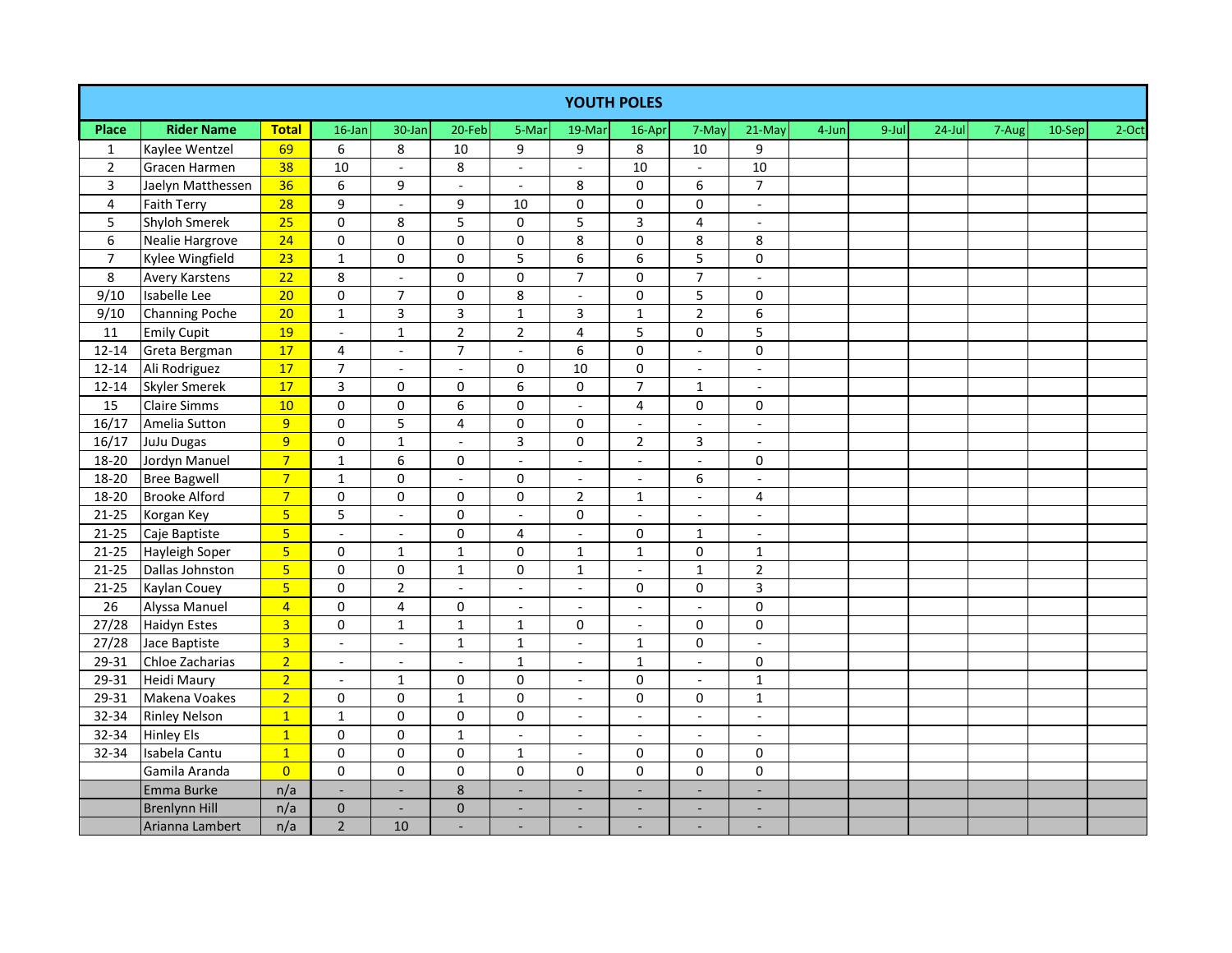|                |                       |                         |                          |                          |                          |                |                          | <b>YOUTH POLES</b>       |                          |                          |       |          |           |       |        |       |
|----------------|-----------------------|-------------------------|--------------------------|--------------------------|--------------------------|----------------|--------------------------|--------------------------|--------------------------|--------------------------|-------|----------|-----------|-------|--------|-------|
| Place          | <b>Rider Name</b>     | <b>Total</b>            | 16-Jan                   | 30-Jan                   | 20-Feb                   | 5-Mar          | 19-Mar                   | 16-Apr                   | 7-May                    | $21-May$                 | 4-Jun | $9$ -Jul | $24$ -Jul | 7-Aug | 10-Sep | 2-Oct |
| $\mathbf{1}$   | Kaylee Wentzel        | 69                      | 6                        | 8                        | 10                       | 9              | 9                        | 8                        | 10                       | 9                        |       |          |           |       |        |       |
| $\mathbf 2$    | Gracen Harmen         | 38                      | 10                       | $\omega$                 | 8                        | $\sim$         | $\blacksquare$           | 10                       | $\omega$                 | 10                       |       |          |           |       |        |       |
| 3              | Jaelyn Matthessen     | 36                      | 6                        | 9                        | $\overline{\phantom{a}}$ | $\blacksquare$ | 8                        | $\mathsf 0$              | 6                        | $\overline{7}$           |       |          |           |       |        |       |
| $\overline{4}$ | <b>Faith Terry</b>    | 28                      | $\boldsymbol{9}$         | $\overline{a}$           | 9                        | 10             | 0                        | $\pmb{0}$                | $\mathbf 0$              | $\overline{\phantom{a}}$ |       |          |           |       |        |       |
| 5              | Shyloh Smerek         | 25                      | $\mathbf 0$              | 8                        | 5                        | $\Omega$       | 5                        | $\overline{3}$           | 4                        | $\blacksquare$           |       |          |           |       |        |       |
| 6              | Nealie Hargrove       | 24                      | $\pmb{0}$                | 0                        | $\pmb{0}$                | 0              | 8                        | $\pmb{0}$                | 8                        | 8                        |       |          |           |       |        |       |
| $\overline{7}$ | Kylee Wingfield       | $\overline{23}$         | $\mathbf{1}$             | 0                        | $\pmb{0}$                | 5              | $\overline{6}$           | 6                        | 5                        | 0                        |       |          |           |       |        |       |
| 8              | <b>Avery Karstens</b> | 22                      | 8                        | $\overline{\phantom{a}}$ | $\mathbf 0$              | 0              | $\overline{7}$           | $\mathbf 0$              | $\overline{7}$           | $\blacksquare$           |       |          |           |       |        |       |
| 9/10           | Isabelle Lee          | 20                      | $\pmb{0}$                | $\overline{7}$           | $\mathbf 0$              | 8              | $\sim$                   | $\pmb{0}$                | 5                        | 0                        |       |          |           |       |        |       |
| 9/10           | <b>Channing Poche</b> | 20                      | $\mathbf{1}$             | 3                        | $\overline{3}$           | $\mathbf{1}$   | 3                        | $\mathbf{1}$             | $\overline{2}$           | 6                        |       |          |           |       |        |       |
| $11\,$         | <b>Emily Cupit</b>    | 19                      | $\sim$                   | $\mathbf 1$              | $\mathbf 2$              | $\overline{2}$ | $\overline{\mathbf{4}}$  | 5                        | $\mathbf 0$              | 5                        |       |          |           |       |        |       |
| $12 - 14$      | Greta Bergman         | 17                      | $\overline{\mathbf{4}}$  | $\overline{\phantom{a}}$ | $\overline{7}$           | $\blacksquare$ | 6                        | $\mathsf 0$              | $\overline{\phantom{a}}$ | 0                        |       |          |           |       |        |       |
| $12 - 14$      | Ali Rodriguez         | 17                      | $\overline{7}$           | $\blacksquare$           | $\overline{\phantom{a}}$ | 0              | 10                       | 0                        | $\sim$                   | $\blacksquare$           |       |          |           |       |        |       |
| $12 - 14$      | Skyler Smerek         | 17                      | $\mathbf{3}$             | $\pmb{0}$                | 0                        | 6              | 0                        | $\overline{7}$           | $\mathbf{1}$             | $\blacksquare$           |       |          |           |       |        |       |
| 15             | <b>Claire Simms</b>   | 10                      | $\pmb{0}$                | $\mathsf{O}\xspace$      | 6                        | 0              | $\blacksquare$           | $\overline{\mathbf{4}}$  | $\mathbf 0$              | 0                        |       |          |           |       |        |       |
| 16/17          | Amelia Sutton         | 9                       | 0                        | 5                        | $\overline{4}$           | 0              | 0                        | $\mathbf{r}$             | $\sim$                   | $\sim$                   |       |          |           |       |        |       |
| 16/17          | JuJu Dugas            | $\overline{9}$          | $\pmb{0}$                | $\mathbf 1$              | L.                       | 3              | 0                        | $\overline{2}$           | 3                        | $\sim$                   |       |          |           |       |        |       |
| 18-20          | Jordyn Manuel         | $\overline{7}$          | $\mathbf{1}$             | 6                        | 0                        | $\blacksquare$ | $\blacksquare$           | $\blacksquare$           | $\sim$                   | 0                        |       |          |           |       |        |       |
| 18-20          | <b>Bree Bagwell</b>   | $\overline{7}$          | $\mathbf 1$              | 0                        | $\blacksquare$           | 0              | $\overline{\phantom{a}}$ | $\blacksquare$           | 6                        | $\overline{\phantom{a}}$ |       |          |           |       |        |       |
| 18-20          | <b>Brooke Alford</b>  | $\overline{7}$          | $\mathsf 0$              | 0                        | $\mathsf 0$              | 0              | $\overline{2}$           | $\mathbf{1}$             | $\sim$                   | 4                        |       |          |           |       |        |       |
| $21 - 25$      | Korgan Key            | $\overline{5}$          | 5                        | $\blacksquare$           | $\mathbf 0$              | $\sim$         | 0                        | $\blacksquare$           | $\sim$                   | $\blacksquare$           |       |          |           |       |        |       |
| $21 - 25$      | Caje Baptiste         | $\overline{\mathbf{5}}$ | $\overline{\phantom{a}}$ | $\overline{\phantom{a}}$ | $\mathbf 0$              | 4              |                          | $\mathbf 0$              | $\mathbf{1}$             |                          |       |          |           |       |        |       |
| $21 - 25$      | Hayleigh Soper        | $\overline{\mathbf{5}}$ | $\pmb{0}$                | $\mathbf 1$              | $\mathbf 1$              | 0              | $\mathbf 1$              | $\mathbf 1$              | $\pmb{0}$                | $\mathbf 1$              |       |          |           |       |        |       |
| $21 - 25$      | Dallas Johnston       | $\overline{\mathbf{5}}$ | $\pmb{0}$                | 0                        | $\mathbf 1$              | 0              | $\mathbf{1}$             | $\blacksquare$           | $\mathbf{1}$             | $\overline{2}$           |       |          |           |       |        |       |
| $21 - 25$      | Kaylan Couey          | $\overline{\mathbf{5}}$ | $\pmb{0}$                | $\mathbf 2$              | ÷,                       | $\blacksquare$ | $\sim$                   | $\mathbf 0$              | $\mathbf 0$              | 3                        |       |          |           |       |        |       |
| 26             | Alyssa Manuel         | $\overline{4}$          | $\pmb{0}$                | $\overline{\mathbf{4}}$  | $\pmb{0}$                | $\blacksquare$ | $\sim$                   | $\sim$                   | $\sim$                   | 0                        |       |          |           |       |        |       |
| 27/28          | <b>Haidyn Estes</b>   | $\overline{3}$          | 0                        | $\mathbf{1}$             | $\overline{1}$           | $\mathbf{1}$   | 0                        | $\blacksquare$           | 0                        | 0                        |       |          |           |       |        |       |
| 27/28          | Jace Baptiste         | $\overline{\mathbf{3}}$ | $\overline{a}$           | $\overline{a}$           | $\mathbf{1}$             | $\mathbf{1}$   | $\overline{a}$           | $\mathbf{1}$             | 0                        | $\overline{a}$           |       |          |           |       |        |       |
| 29-31          | Chloe Zacharias       | $\overline{2}$          | $\blacksquare$           | $\overline{\phantom{a}}$ | $\overline{\phantom{a}}$ | $\mathbf{1}$   | $\blacksquare$           | $\mathbf{1}$             | $\overline{\phantom{a}}$ | 0                        |       |          |           |       |        |       |
| 29-31          | Heidi Maury           | $\overline{2}$          | $\blacksquare$           | $\mathbf{1}$             | 0                        | 0              | $\blacksquare$           | 0                        | $\blacksquare$           | $\mathbf{1}$             |       |          |           |       |        |       |
| 29-31          | Makena Voakes         | $\overline{2}$          | $\pmb{0}$                | $\mathbf 0$              | $\mathbf{1}$             | 0              | $\sim$                   | $\mathsf 0$              | $\mathbf 0$              | $\mathbf 1$              |       |          |           |       |        |       |
| 32-34          | <b>Rinley Nelson</b>  | $\overline{1}$          | $\mathbf 1$              | 0                        | $\mathsf 0$              | 0              | $\sim$                   | $\sim$                   | $\sim$                   | $\sim$                   |       |          |           |       |        |       |
| 32-34          | <b>Hinley Els</b>     | $\overline{1}$          | $\pmb{0}$                | 0                        | $\mathbf{1}$             |                |                          | $\sim$                   | $\sim$                   | $\overline{a}$           |       |          |           |       |        |       |
| 32-34          | Isabela Cantu         | $\overline{1}$          | $\mathbf 0$              | $\mathbf 0$              | $\mathsf 0$              | $\mathbf{1}$   | $\blacksquare$           | $\mathbf 0$              | $\mathbf 0$              | 0                        |       |          |           |       |        |       |
|                | Gamila Aranda         | $\overline{0}$          | $\pmb{0}$                | 0                        | $\pmb{0}$                | 0              | 0                        | 0                        | $\mathbf 0$              | 0                        |       |          |           |       |        |       |
|                | Emma Burke            | n/a                     | $\overline{\phantom{a}}$ | $\blacksquare$           | 8                        | $\overline{a}$ | $\blacksquare$           | $\blacksquare$           | ÷,                       | $\sim$                   |       |          |           |       |        |       |
|                | <b>Brenlynn Hill</b>  | n/a                     | $\pmb{0}$                | $\overline{\phantom{a}}$ | $\pmb{0}$                | ۰              | $\sim$                   | $\overline{\phantom{a}}$ | $\overline{a}$           | $\overline{\phantom{a}}$ |       |          |           |       |        |       |
|                | Arianna Lambert       | n/a                     | $\overline{2}$           | 10                       |                          |                |                          |                          |                          |                          |       |          |           |       |        |       |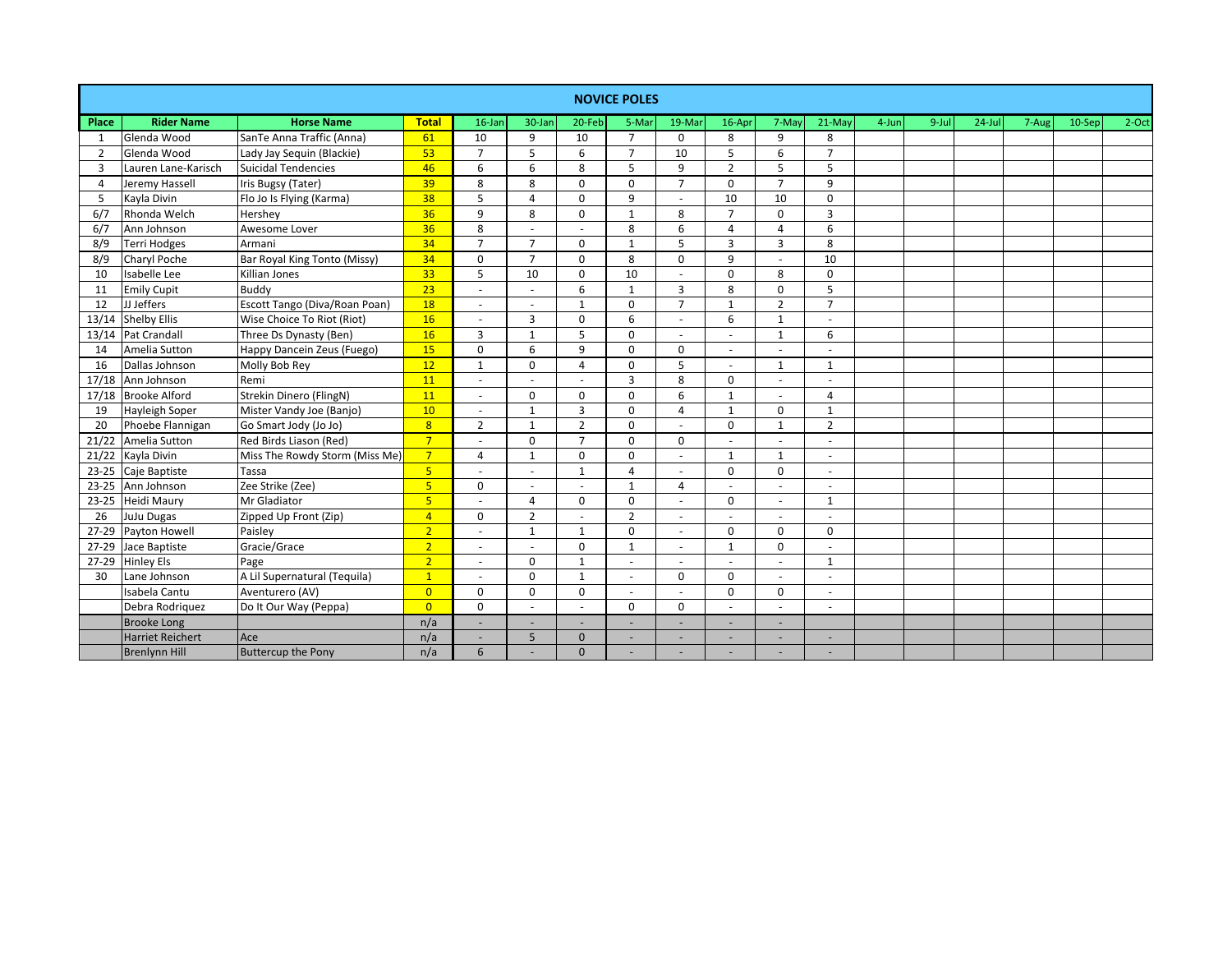|                |                         |                                |                 |                          |                          |                | <b>NOVICE POLES</b>      |                          |                          |                          |                          |           |           |           |       |        |       |
|----------------|-------------------------|--------------------------------|-----------------|--------------------------|--------------------------|----------------|--------------------------|--------------------------|--------------------------|--------------------------|--------------------------|-----------|-----------|-----------|-------|--------|-------|
| Place          | <b>Rider Name</b>       | <b>Horse Name</b>              | <b>Total</b>    | $16$ -Jan                | 30-Jan                   | 20-Feb         | 5-Mar                    | 19-Mar                   | 16-Apr                   | 7-May                    | 21-May                   | $4 - Jun$ | $9 -$ Jul | $24$ -Jul | 7-Aug | 10-Sep | 2-Oct |
| -1             | Glenda Wood             | SanTe Anna Traffic (Anna)      | 61              | 10                       | 9                        | 10             | $\overline{7}$           | $\Omega$                 | 8                        | 9                        | 8                        |           |           |           |       |        |       |
| $\overline{2}$ | Glenda Wood             | Lady Jay Sequin (Blackie)      | 53              | $\overline{7}$           | 5                        | 6              | $\overline{7}$           | 10                       | 5                        | 6                        | $\overline{7}$           |           |           |           |       |        |       |
| 3              | Lauren Lane-Karisch     | <b>Suicidal Tendencies</b>     | 46              | 6                        | 6                        | 8              | 5                        | 9                        | $\overline{2}$           | 5                        | 5                        |           |           |           |       |        |       |
| $\overline{4}$ | Jeremy Hassell          | Iris Bugsy (Tater)             | 39              | 8                        | 8                        | 0              | $\mathbf 0$              | $\overline{7}$           | $\mathbf 0$              | $\overline{7}$           | 9                        |           |           |           |       |        |       |
| -5             | Kayla Divin             | Flo Jo Is Flying (Karma)       | 38              | 5                        | $\overline{a}$           | $\Omega$       | 9                        | $\sim$                   | 10                       | 10                       | 0                        |           |           |           |       |        |       |
| 6/7            | Rhonda Welch            | Hershev                        | 36              | 9                        | 8                        | $\Omega$       | $\mathbf{1}$             | 8                        | $\overline{7}$           | $\Omega$                 | $\overline{3}$           |           |           |           |       |        |       |
| 6/7            | Ann Johnson             | Awesome Lover                  | 36              | 8                        |                          | $\sim$         | 8                        | 6                        | 4                        | $\overline{4}$           | 6                        |           |           |           |       |        |       |
| 8/9            | Terri Hodges            | Armani                         | 34              | $\overline{7}$           | $\overline{7}$           | $\Omega$       | 1                        | 5                        | 3                        | $\overline{3}$           | 8                        |           |           |           |       |        |       |
| 8/9            | Charyl Poche            | Bar Royal King Tonto (Missy)   | 34              | $\mathbf 0$              | $\overline{7}$           | $\Omega$       | 8                        | $\mathbf 0$              | 9                        |                          | 10                       |           |           |           |       |        |       |
| 10             | Isabelle Lee            | Killian Jones                  | 33              | 5                        | 10                       | 0              | 10                       | ä,                       | $\Omega$                 | 8                        | $\mathbf 0$              |           |           |           |       |        |       |
| 11             | <b>Emily Cupit</b>      | Buddy                          | 23              | $\sim$                   |                          | 6              | $\mathbf{1}$             | 3                        | 8                        | $\Omega$                 | 5                        |           |           |           |       |        |       |
| 12             | JJ Jeffers              | Escott Tango (Diva/Roan Poan)  | 18              | $\sim$                   |                          | $\mathbf{1}$   | $\mathbf 0$              | $\overline{7}$           | $\mathbf{1}$             | $\overline{2}$           | $\overline{7}$           |           |           |           |       |        |       |
| 13/14          | <b>Shelby Ellis</b>     | Wise Choice To Riot (Riot)     | 16              | ÷.                       | 3                        | 0              | 6                        | ÷.                       | 6                        | $\mathbf{1}$             | $\sim$                   |           |           |           |       |        |       |
| 13/14          | Pat Crandall            | Three Ds Dynasty (Ben)         | 16              | $\overline{3}$           | $\mathbf{1}$             | 5              | $\mathbf 0$              |                          | $\overline{\phantom{a}}$ | $\mathbf{1}$             | 6                        |           |           |           |       |        |       |
| 14             | Amelia Sutton           | Happy Dancein Zeus (Fuego)     | 15              | $\mathbf 0$              | 6                        | 9              | $\mathbf 0$              | $\mathbf 0$              |                          |                          |                          |           |           |           |       |        |       |
| 16             | Dallas Johnson          | Molly Bob Rey                  | 12              | $\mathbf{1}$             | $\Omega$                 | $\overline{4}$ | $\mathbf 0$              | 5                        | $\sim$                   | $\mathbf{1}$             | $\mathbf{1}$             |           |           |           |       |        |       |
|                | 17/18 Ann Johnson       | Remi                           | 11              | $\omega$                 |                          | ÷.             | $\overline{3}$           | 8                        | $\mathbf 0$              |                          |                          |           |           |           |       |        |       |
| 17/18          | <b>Brooke Alford</b>    | Strekin Dinero (FlingN)        | 11              | $\sim$                   | $\Omega$                 | $\Omega$       | $\mathbf 0$              | 6                        | $\mathbf{1}$             |                          | 4                        |           |           |           |       |        |       |
| 19             | Hayleigh Soper          | Mister Vandy Joe (Banjo)       | 10              | $\sim$                   | 1                        | 3              | 0                        | $\overline{4}$           | $\mathbf{1}$             | $\mathbf 0$              | 1                        |           |           |           |       |        |       |
| 20             | Phoebe Flannigan        | Go Smart Jody (Jo Jo)          | 8               | $\overline{2}$           | $\mathbf{1}$             | $\overline{2}$ | 0                        | ä,                       | $\Omega$                 | 1                        | $\overline{2}$           |           |           |           |       |        |       |
| 21/22          | Amelia Sutton           | Red Birds Liason (Red)         | $7^{\circ}$     | $\overline{\phantom{a}}$ | $\Omega$                 | $\overline{7}$ | $\Omega$                 | 0                        | ٠                        |                          |                          |           |           |           |       |        |       |
| 21/22          | Kayla Divin             | Miss The Rowdy Storm (Miss Me) | 7               | $\overline{4}$           | $\mathbf{1}$             | 0              | 0                        | ä,                       | $\mathbf{1}$             | $\mathbf{1}$             | $\sim$                   |           |           |           |       |        |       |
| $23 - 25$      | Caje Baptiste           | Tassa                          | 5               | ÷.                       |                          | $\mathbf{1}$   | 4                        | $\sim$                   | $\mathbf 0$              | $\mathbf 0$              | $\sim$                   |           |           |           |       |        |       |
| $23 - 25$      | Ann Johnson             | Zee Strike (Zee)               | $5\overline{5}$ | $\mathbf 0$              | $\overline{\phantom{a}}$ | $\sim$         | 1                        | 4                        | $\overline{\phantom{a}}$ | $\overline{\phantom{a}}$ | $\overline{\phantom{a}}$ |           |           |           |       |        |       |
| $23 - 25$      | <b>Heidi Maury</b>      | Mr Gladiator                   | $5\overline{5}$ | $\sim$                   | 4                        | 0              | $\mathbf 0$              | $\overline{\phantom{a}}$ | $\mathbf 0$              | $\overline{\phantom{a}}$ | 1                        |           |           |           |       |        |       |
| 26             | JuJu Dugas              | Zipped Up Front (Zip)          | $\overline{4}$  | 0                        | $\overline{2}$           |                | $\overline{2}$           | $\sim$                   |                          |                          | $\overline{\phantom{a}}$ |           |           |           |       |        |       |
| $27 - 29$      | Payton Howell           | Paisley                        | 2 <sup>1</sup>  | $\sim$                   | $\mathbf{1}$             | $\mathbf{1}$   | $\Omega$                 |                          | $\Omega$                 | $\Omega$                 | 0                        |           |           |           |       |        |       |
| $27 - 29$      | Jace Baptiste           | Gracie/Grace                   | $\overline{2}$  | ÷.                       |                          | $\Omega$       | $\mathbf{1}$             | ÷.                       | 1                        | $\mathbf{0}$             | $\sim$                   |           |           |           |       |        |       |
| $27 - 29$      | <b>Hinley Els</b>       | Page                           | $\overline{2}$  | $\overline{\phantom{a}}$ | $\mathbf 0$              | $\mathbf{1}$   | $\overline{\phantom{a}}$ |                          | $\sim$                   |                          | $\mathbf{1}$             |           |           |           |       |        |       |
| 30             | Lane Johnson            | A Lil Supernatural (Tequila)   | $\overline{1}$  | $\overline{a}$           | $\Omega$                 | $\mathbf{1}$   | $\overline{a}$           | $\mathbf 0$              | $\Omega$                 |                          |                          |           |           |           |       |        |       |
|                | Isabela Cantu           | Aventurero (AV)                | $\overline{0}$  | $\Omega$                 | $\Omega$                 | $\Omega$       | $\overline{a}$           |                          | $\Omega$                 | $\Omega$                 |                          |           |           |           |       |        |       |
|                | Debra Rodriquez         | Do It Our Way (Peppa)          | $\overline{0}$  | 0                        |                          | $\sim$         | 0                        | 0                        |                          |                          |                          |           |           |           |       |        |       |
|                | <b>Brooke Long</b>      |                                | n/a             | ٠                        |                          |                |                          | ٠                        |                          |                          |                          |           |           |           |       |        |       |
|                | <b>Harriet Reichert</b> | Ace                            | n/a             | ٠                        | 5                        | $\mathbf{0}$   | ٠                        | ٠                        |                          |                          | $\overline{a}$           |           |           |           |       |        |       |
|                | <b>Brenlynn Hill</b>    | <b>Buttercup the Pony</b>      | n/a             | 6                        |                          | $\mathbf{0}$   |                          |                          |                          |                          |                          |           |           |           |       |        |       |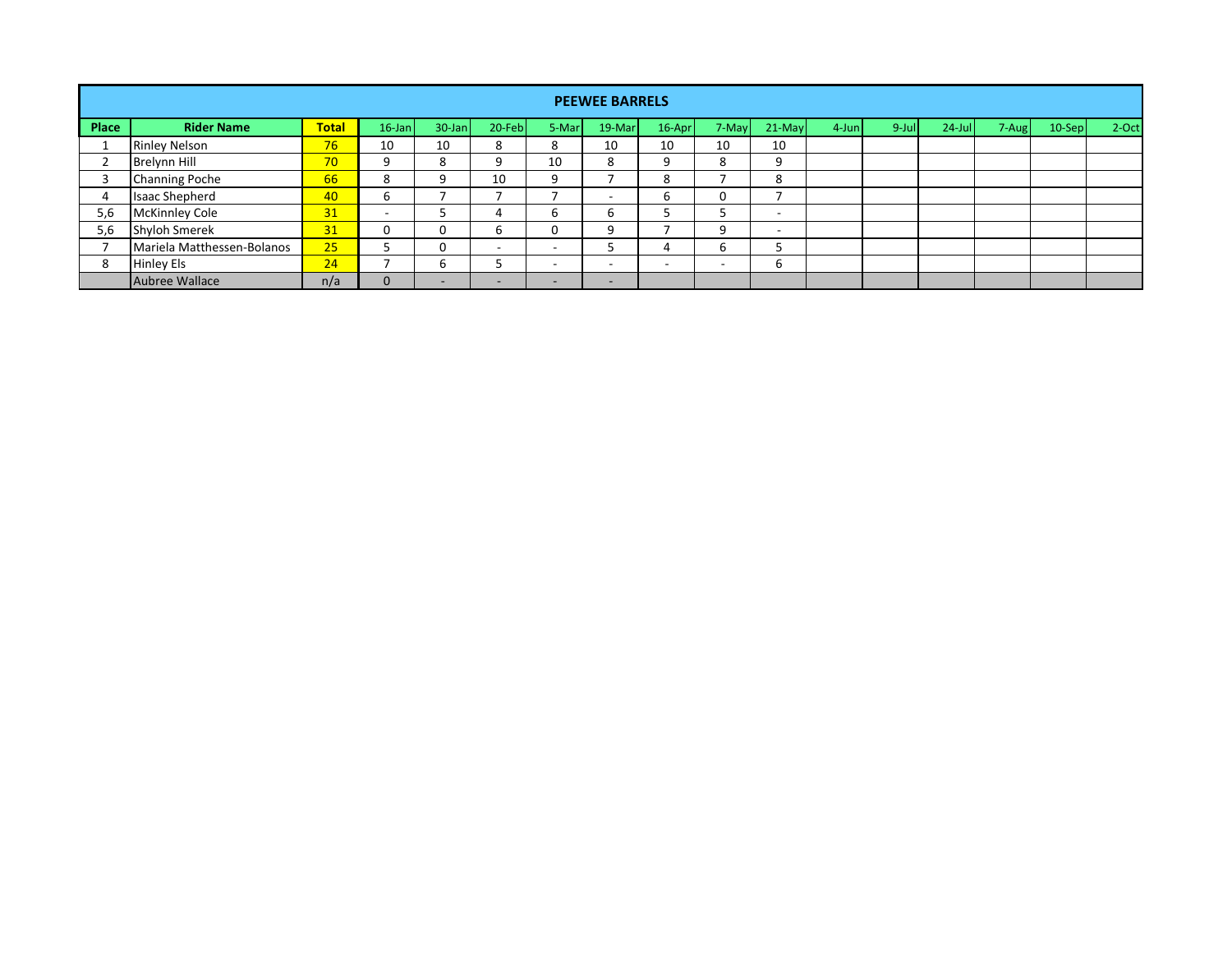|       |                            |              |           |             |                          |                          | <b>PEEWEE BARRELS</b>    |                          |                          |                          |          |          |           |       |          |       |
|-------|----------------------------|--------------|-----------|-------------|--------------------------|--------------------------|--------------------------|--------------------------|--------------------------|--------------------------|----------|----------|-----------|-------|----------|-------|
| Place | <b>Rider Name</b>          | <b>Total</b> | $16$ -Jan | $30 - Jan$  | 20-Feb                   | 5-Mar                    | 19-Mar                   | 16-Apr                   | 7-May                    | $21$ -May                | $4$ -Jun | $9$ -Jul | $24$ -Jul | 7-Aug | $10-Sep$ | 2-Oct |
|       | <b>Rinley Nelson</b>       | 76           | 10        | 10          | ິ<br>ŏ                   |                          | 10                       | 10                       | 10                       | 10                       |          |          |           |       |          |       |
|       | Brelynn Hill               | 70           | Ω         | 8           | 9                        | 10                       | 8                        | 9                        | 8                        | $\Omega$                 |          |          |           |       |          |       |
|       | <b>Channing Poche</b>      | 66           |           | q           | 10                       | a                        |                          | 8                        |                          | $\Omega$<br>◠            |          |          |           |       |          |       |
|       | <b>Isaac Shepherd</b>      | 40           | h         |             |                          |                          | $\overline{\phantom{0}}$ | n                        | 0                        |                          |          |          |           |       |          |       |
| 5,6   | <b>McKinnley Cole</b>      | 31           |           |             | 4                        | ь                        | b                        |                          |                          | $\overline{\phantom{0}}$ |          |          |           |       |          |       |
| 5,6   | <b>Shyloh Smerek</b>       | 31           |           | 0           | 6                        |                          | Ω                        |                          | q                        | $\overline{\phantom{0}}$ |          |          |           |       |          |       |
|       | Mariela Matthessen-Bolanos | 25           |           | 0           | $\overline{\phantom{a}}$ | $\overline{\phantom{0}}$ |                          | 4                        | b                        |                          |          |          |           |       |          |       |
|       | <b>Hinley Els</b>          | 24           |           | b           |                          | $\overline{\phantom{0}}$ | $\overline{\phantom{0}}$ | $\overline{\phantom{0}}$ | $\overline{\phantom{a}}$ | b                        |          |          |           |       |          |       |
|       | Aubree Wallace             | n/a          |           | <b>FREE</b> | -                        | -                        | $\overline{\phantom{0}}$ |                          |                          |                          |          |          |           |       |          |       |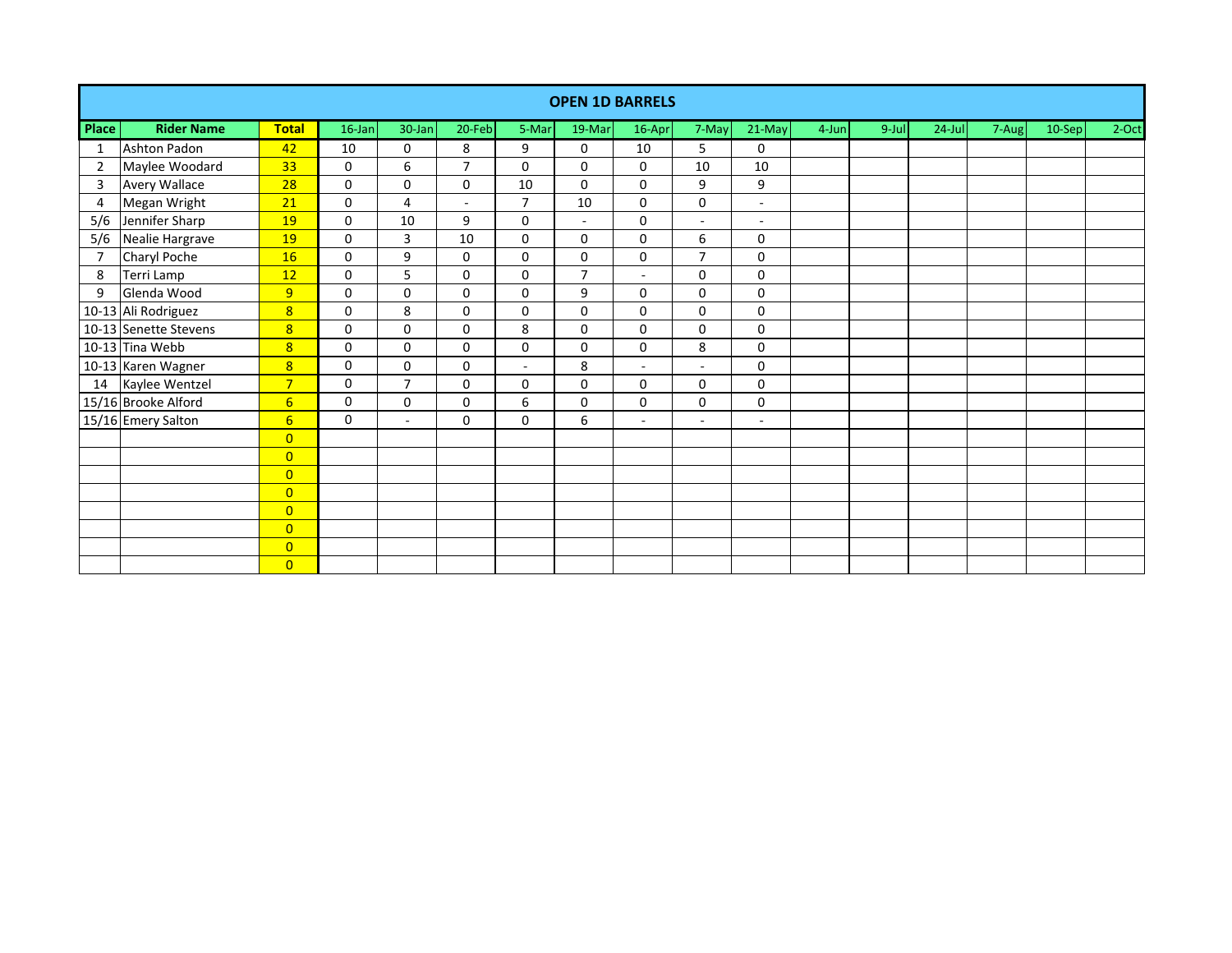|                |                       |                |             |                          |                |                | <b>OPEN 1D BARRELS</b> |                          |                          |                          |          |          |           |       |          |       |
|----------------|-----------------------|----------------|-------------|--------------------------|----------------|----------------|------------------------|--------------------------|--------------------------|--------------------------|----------|----------|-----------|-------|----------|-------|
| Place          | <b>Rider Name</b>     | <b>Total</b>   | $16$ -Jan   | 30-Jan                   | $20$ -Feb      | 5-Mar          | 19-Mar                 | 16-Apr                   | 7-May                    | 21-May                   | $4$ -Jun | $9$ -Jul | $24$ -Jul | 7-Aug | $10-Sep$ | 2-Oct |
| 1              | Ashton Padon          | 42             | 10          | 0                        | 8              | 9              | 0                      | 10                       | 5                        | 0                        |          |          |           |       |          |       |
| $\overline{2}$ | Maylee Woodard        | 33             | 0           | 6                        | $\overline{7}$ | $\mathbf 0$    | $\mathbf 0$            | $\mathbf 0$              | 10                       | 10                       |          |          |           |       |          |       |
| 3              | <b>Avery Wallace</b>  | 28             | $\Omega$    | $\Omega$                 | $\mathbf 0$    | 10             | $\Omega$               | $\Omega$                 | 9                        | 9                        |          |          |           |       |          |       |
| 4              | Megan Wright          | 21             | 0           | 4                        | $\sim$         | $\overline{7}$ | 10                     | 0                        | 0                        | $\sim$                   |          |          |           |       |          |       |
| 5/6            | Jennifer Sharp        | 19             | $\Omega$    | 10                       | 9              | 0              | $\blacksquare$         | 0                        | ٠                        | $\overline{\phantom{a}}$ |          |          |           |       |          |       |
| 5/6            | Nealie Hargrave       | 19             | $\mathbf 0$ | 3                        | 10             | $\mathbf 0$    | 0                      | 0                        | 6                        | 0                        |          |          |           |       |          |       |
| $\overline{7}$ | <b>Charyl Poche</b>   | 16             | 0           | 9                        | $\mathbf 0$    | 0              | 0                      | 0                        | $\overline{7}$           | 0                        |          |          |           |       |          |       |
| 8              | Terri Lamp            | 12             | 0           | 5                        | $\mathbf 0$    | $\mathbf 0$    | $\overline{7}$         |                          | 0                        | 0                        |          |          |           |       |          |       |
| 9              | Glenda Wood           | 9              | 0           | 0                        | $\mathbf 0$    | $\mathbf 0$    | 9                      | 0                        | 0                        | 0                        |          |          |           |       |          |       |
|                | 10-13 Ali Rodriguez   | 8              | $\Omega$    | 8                        | $\mathbf 0$    | $\Omega$       | $\Omega$               | 0                        | $\Omega$                 | 0                        |          |          |           |       |          |       |
|                | 10-13 Senette Stevens | 8              | $\Omega$    | 0                        | $\mathbf 0$    | 8              | 0                      | 0                        | 0                        | 0                        |          |          |           |       |          |       |
|                | 10-13 Tina Webb       | 8              | $\Omega$    | $\Omega$                 | $\mathbf 0$    | $\mathbf 0$    | 0                      | 0                        | 8                        | 0                        |          |          |           |       |          |       |
|                | 10-13 Karen Wagner    | 8              | 0           | $\Omega$                 | 0              | $\sim$         | 8                      | $\blacksquare$           |                          | 0                        |          |          |           |       |          |       |
| 14             | Kaylee Wentzel        | $\overline{7}$ | $\Omega$    | $\overline{7}$           | $\mathbf 0$    | $\mathbf 0$    | $\mathbf 0$            | 0                        | 0                        | 0                        |          |          |           |       |          |       |
|                | 15/16 Brooke Alford   | 6 <sup>1</sup> | $\Omega$    | 0                        | $\mathbf 0$    | 6              | 0                      | 0                        | 0                        | 0                        |          |          |           |       |          |       |
|                | 15/16 Emery Salton    | 6              | $\Omega$    | $\overline{\phantom{a}}$ | $\mathbf 0$    | $\mathbf 0$    | 6                      | $\overline{\phantom{a}}$ | $\overline{\phantom{a}}$ | $\overline{\phantom{a}}$ |          |          |           |       |          |       |
|                |                       | $\overline{0}$ |             |                          |                |                |                        |                          |                          |                          |          |          |           |       |          |       |
|                |                       | $\overline{0}$ |             |                          |                |                |                        |                          |                          |                          |          |          |           |       |          |       |
|                |                       | $\overline{0}$ |             |                          |                |                |                        |                          |                          |                          |          |          |           |       |          |       |
|                |                       | $\overline{0}$ |             |                          |                |                |                        |                          |                          |                          |          |          |           |       |          |       |
|                |                       | $\overline{0}$ |             |                          |                |                |                        |                          |                          |                          |          |          |           |       |          |       |
|                |                       | $\overline{0}$ |             |                          |                |                |                        |                          |                          |                          |          |          |           |       |          |       |
|                |                       | $\overline{0}$ |             |                          |                |                |                        |                          |                          |                          |          |          |           |       |          |       |
|                |                       | $\overline{0}$ |             |                          |                |                |                        |                          |                          |                          |          |          |           |       |          |       |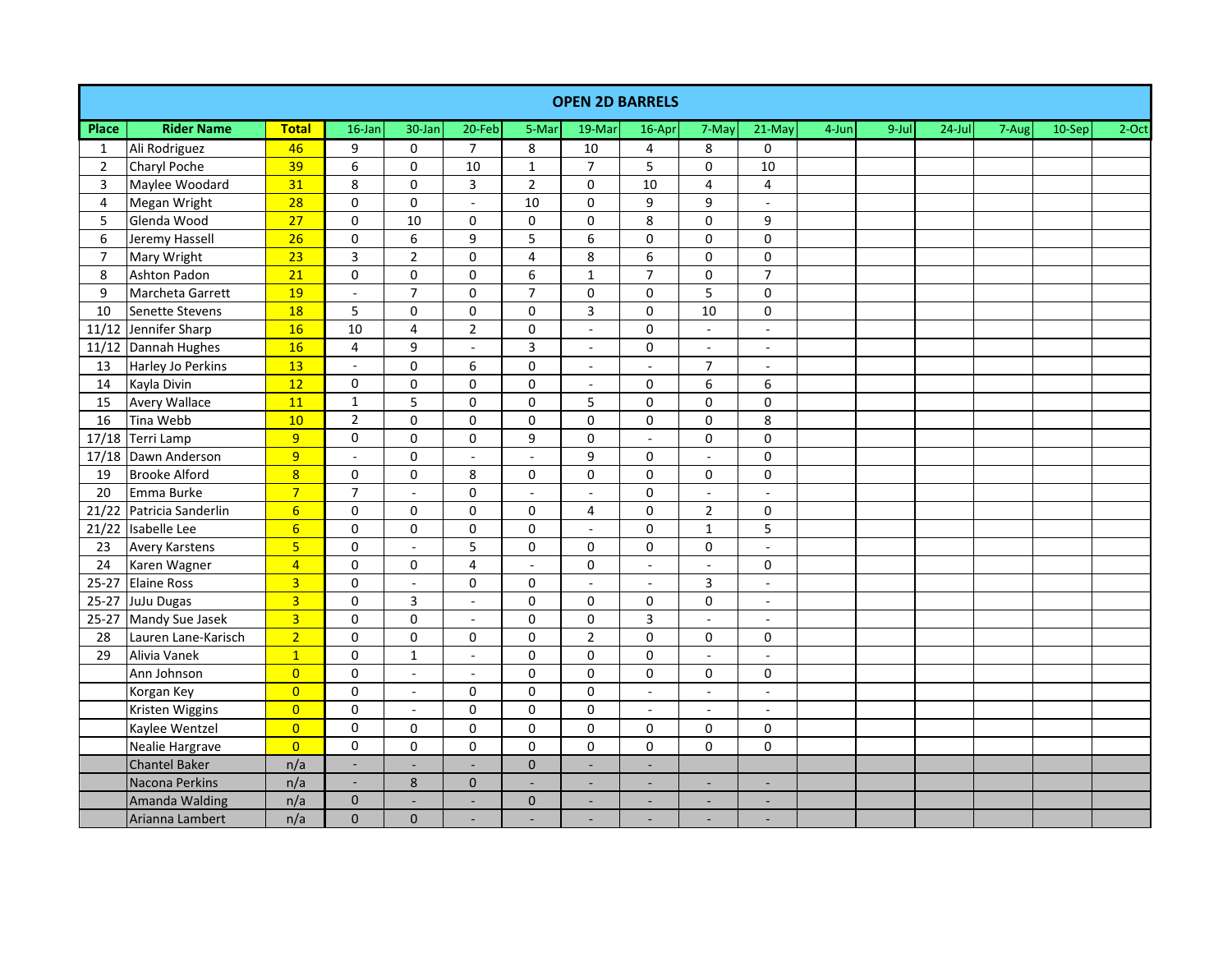|                |                       |                  |                          |                         |                         |                |                          | <b>OPEN 2D BARRELS</b> |                |                       |       |          |           |       |        |       |
|----------------|-----------------------|------------------|--------------------------|-------------------------|-------------------------|----------------|--------------------------|------------------------|----------------|-----------------------|-------|----------|-----------|-------|--------|-------|
| Place          | <b>Rider Name</b>     | <b>Total</b>     | $16$ -Jan                | 30-Jan                  | $20$ -Feb               | 5-Mar          | 19-Mar                   | 16-Apr                 | 7-May          | $21-May$              | 4-Jun | $9$ -Jul | $24$ -Jul | 7-Aug | 10-Sep | 2-Oct |
| 1              | Ali Rodriguez         | 46               | 9                        | $\mathbf 0$             | $\overline{7}$          | 8              | 10                       | $\overline{4}$         | 8              | 0                     |       |          |           |       |        |       |
| $\overline{2}$ | Charyl Poche          | 39               | 6                        | $\mathbf 0$             | 10                      | $\mathbf 1$    | $\overline{7}$           | 5                      | 0              | 10                    |       |          |           |       |        |       |
| 3              | Maylee Woodard        | 31               | 8                        | $\mathbf 0$             | $\overline{\mathbf{3}}$ | $\overline{2}$ | $\mathbf 0$              | 10                     | $\overline{4}$ | 4                     |       |          |           |       |        |       |
| 4              | Megan Wright          | 28               | $\mathbf 0$              | $\mathbf 0$             | $\mathcal{L}$           | 10             | 0                        | 9                      | 9              | $\mathcal{L}$         |       |          |           |       |        |       |
| 5              | Glenda Wood           | 27               | $\mathbf 0$              | 10                      | $\mathbf 0$             | $\Omega$       | 0                        | 8                      | 0              | 9                     |       |          |           |       |        |       |
| 6              | Jeremy Hassell        | 26               | $\mathbf 0$              | 6                       | 9                       | 5              | 6                        | $\Omega$               | $\mathbf 0$    | $\mathbf 0$           |       |          |           |       |        |       |
| $\overline{7}$ | Mary Wright           | 23               | 3                        | $\overline{2}$          | $\mathbf 0$             | 4              | 8                        | 6                      | $\mathbf 0$    | 0                     |       |          |           |       |        |       |
| 8              | Ashton Padon          | 21               | $\mathbf 0$              | $\mathbf 0$             | $\mathbf 0$             | 6              | $\mathbf 1$              | $\overline{7}$         | 0              | $\overline{7}$        |       |          |           |       |        |       |
| 9              | Marcheta Garrett      | 19               | $\blacksquare$           | $\overline{7}$          | $\mathbf 0$             | $\overline{7}$ | $\mathbf 0$              | $\Omega$               | 5              | 0                     |       |          |           |       |        |       |
| 10             | Senette Stevens       | 18               | 5                        | $\mathbf 0$             | $\mathbf 0$             | 0              | 3                        | $\Omega$               | 10             | 0                     |       |          |           |       |        |       |
| 11/12          | Jennifer Sharp        | 16               | 10                       | $\overline{\mathbf{4}}$ | $\overline{2}$          | 0              | $\sim$                   | $\pmb{0}$              | $\sim$         | $\mathbf{r}$          |       |          |           |       |        |       |
| 11/12          | Dannah Hughes         | 16               | $\overline{4}$           | 9                       | $\mathbb{Z}^2$          | 3              | $\overline{a}$           | $\Omega$               | $\mathcal{L}$  | $\mathcal{L}$         |       |          |           |       |        |       |
| 13             | Harley Jo Perkins     | 13               | $\blacksquare$           | $\pmb{0}$               | 6                       | $\mathbf 0$    | $\sim$                   | $\sim$                 | $\overline{7}$ | $\sim$                |       |          |           |       |        |       |
| 14             | Kayla Divin           | 12               | $\Omega$                 | $\Omega$                | $\Omega$                | 0              | $\overline{\phantom{a}}$ | $\Omega$               | 6              | 6                     |       |          |           |       |        |       |
| 15             | Avery Wallace         | 11               | $\mathbf 1$              | 5                       | $\mathbf 0$             | $\mathbf 0$    | 5                        | 0                      | $\mathbf 0$    | 0                     |       |          |           |       |        |       |
| 16             | Tina Webb             | 10               | $\overline{2}$           | $\pmb{0}$               | $\mathsf 0$             | 0              | $\pmb{0}$                | $\pmb{0}$              | $\mathbf 0$    | $\overline{8}$        |       |          |           |       |        |       |
|                | 17/18 Terri Lamp      | $\overline{9}$   | $\mathsf 0$              | $\pmb{0}$               | $\pmb{0}$               | 9              | 0                        | $\overline{a}$         | 0              | 0                     |       |          |           |       |        |       |
| 17/18          | Dawn Anderson         | $\overline{9}$   | $\blacksquare$           | $\mathbf 0$             | $\blacksquare$          | $\sim$         | 9                        | 0                      | $\overline{a}$ | 0                     |       |          |           |       |        |       |
| 19             | <b>Brooke Alford</b>  | $\overline{8}$   | 0                        | 0                       | 8                       | 0              | 0                        | 0                      | 0              | 0                     |       |          |           |       |        |       |
| 20             | Emma Burke            | $\overline{7}$   | $\overline{7}$           | $\omega$                | $\mathbf 0$             | $\sim$         | $\sim$                   | $\mathbf 0$            | $\omega$       | $\tilde{\phantom{a}}$ |       |          |           |       |        |       |
| 21/22          | Patricia Sanderlin    | 6 <sup>1</sup>   | 0                        | $\mathbf 0$             | $\mathbf 0$             | 0              | $\overline{4}$           | $\mathbf 0$            | $\overline{2}$ | 0                     |       |          |           |       |        |       |
|                | 21/22 Isabelle Lee    | $6 \overline{6}$ | $\mathbf 0$              | $\mathbf 0$             | $\mathbf 0$             | 0              | $\sim$                   | $\Omega$               | $\mathbf{1}$   | 5                     |       |          |           |       |        |       |
| 23             | <b>Avery Karstens</b> | 5 <sup>2</sup>   | $\mathbf 0$              | $\omega$                | 5                       | 0              | 0                        | 0                      | 0              | $\omega$              |       |          |           |       |        |       |
| 24             | Karen Wagner          | $\overline{4}$   | $\mathbf 0$              | 0                       | $\overline{4}$          | $\sim$         | 0                        | $\sim$                 | $\sim$         | 0                     |       |          |           |       |        |       |
| $25 - 27$      | <b>Elaine Ross</b>    | $\overline{3}$   | $\mathbf 0$              | $\sim$                  | $\mathbf 0$             | 0              | $\sim$                   |                        | 3              | $\blacksquare$        |       |          |           |       |        |       |
| $25 - 27$      | <b>JuJu Dugas</b>     | 3 <sup>1</sup>   | $\mathbf 0$              | 3                       | $\sim$                  | 0              | $\Omega$                 | $\Omega$               | $\mathbf 0$    | $\sim$                |       |          |           |       |        |       |
| $25 - 27$      | Mandy Sue Jasek       | $\overline{3}$   | $\mathbf 0$              | $\mathbf 0$             | $\sim$                  | 0              | $\mathbf 0$              | 3                      | $\sim$         | $\overline{a}$        |       |          |           |       |        |       |
| 28             | Lauren Lane-Karisch   | 2 <sup>1</sup>   | $\mathbf 0$              | $\mathbf 0$             | $\mathbf 0$             | $\Omega$       | $\overline{2}$           | $\Omega$               | $\mathbf 0$    | 0                     |       |          |           |       |        |       |
| 29             | Alivia Vanek          | 1                | $\mathbf 0$              | $\mathbf{1}$            | $\omega$                | $\mathbf 0$    | 0                        | $\Omega$               | $\sim$         | $\blacksquare$        |       |          |           |       |        |       |
|                | Ann Johnson           | $\overline{0}$   | $\mathbf 0$              | $\blacksquare$          | $\blacksquare$          | 0              | $\mathbf{0}$             | $\Omega$               | 0              | 0                     |       |          |           |       |        |       |
|                | Korgan Key            | $\overline{0}$   | $\mathsf 0$              | $\omega$                | $\mathbf 0$             | $\mathbf 0$    | $\mathsf 0$              | $\sim$                 | $\omega$       | $\blacksquare$        |       |          |           |       |        |       |
|                | Kristen Wiggins       | $\overline{0}$   | $\Omega$                 | $\sim$                  | $\Omega$                | $\mathbf 0$    | $\mathsf 0$              |                        |                |                       |       |          |           |       |        |       |
|                | Kaylee Wentzel        | $\overline{0}$   | $\mathsf 0$              | $\mathbf 0$             | $\pmb{0}$               | 0              | 0                        | $\mathbf 0$            | 0              | 0                     |       |          |           |       |        |       |
|                | Nealie Hargrave       | $\overline{0}$   | $\pmb{0}$                | $\mathbf 0$             | $\mathbf 0$             | 0              | 0                        | 0                      | 0              | 0                     |       |          |           |       |        |       |
|                | <b>Chantel Baker</b>  | n/a              | $\overline{\phantom{a}}$ | $\sim$                  | ä,                      | $\overline{0}$ | $\overline{\phantom{a}}$ | $\blacksquare$         |                |                       |       |          |           |       |        |       |
|                | Nacona Perkins        | n/a              | ÷.                       | $\bf 8$                 | $\pmb{0}$               |                |                          |                        | ٠              | ÷,                    |       |          |           |       |        |       |
|                | Amanda Walding        | n/a              | $\mathbf 0$              | $\sim$                  | $\blacksquare$          | 0              | ٠                        | ٠                      | ٠              | ۰                     |       |          |           |       |        |       |
|                | Arianna Lambert       | n/a              | $\mathbf{0}$             | $\mathbf{0}$            | ÷,                      |                | ٠                        | $\sim$                 | $\blacksquare$ | ÷                     |       |          |           |       |        |       |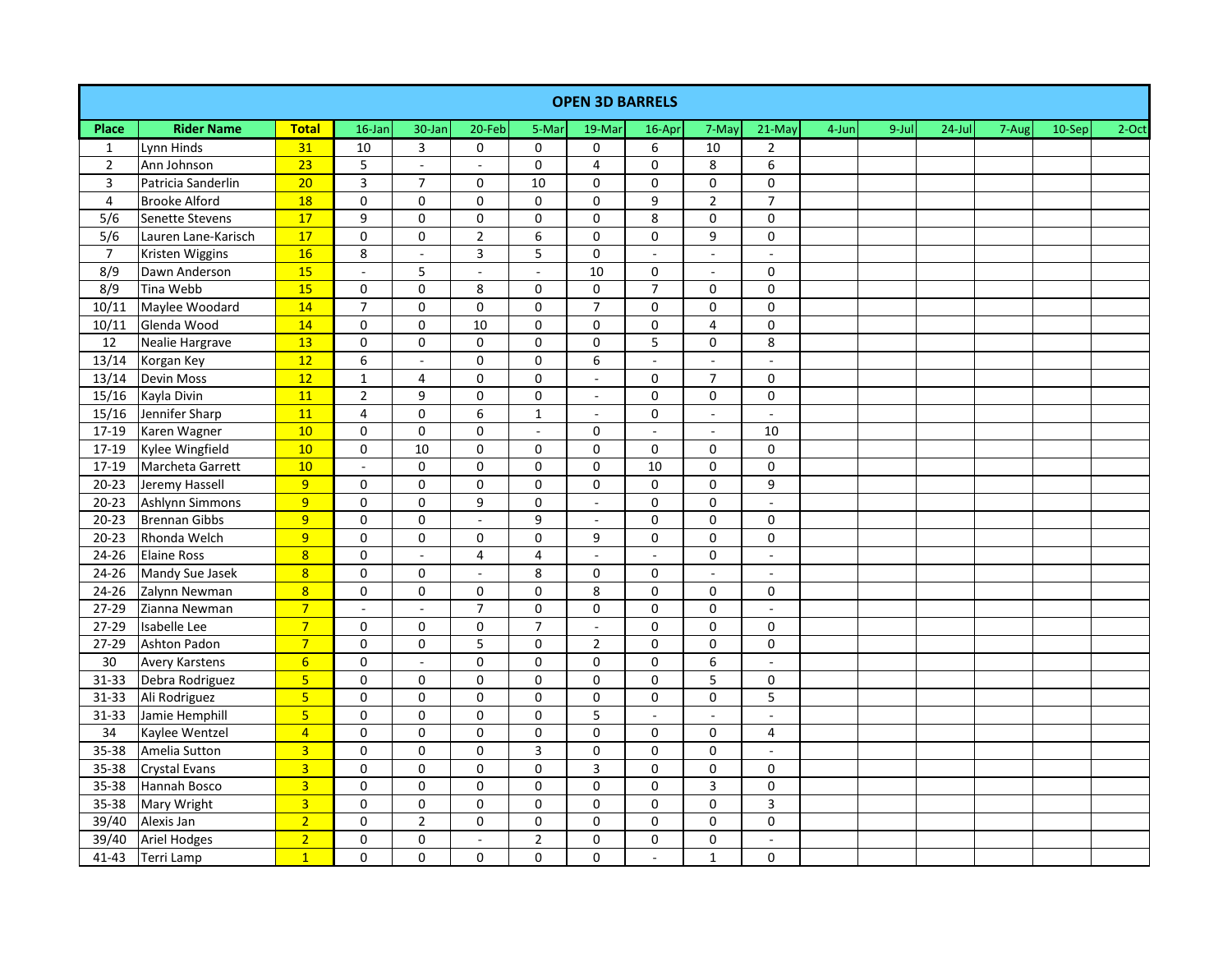|                  |                       |                 |                         |                          |                          |                          | <b>OPEN 3D BARRELS</b>  |                          |                          |                          |       |       |           |       |        |       |
|------------------|-----------------------|-----------------|-------------------------|--------------------------|--------------------------|--------------------------|-------------------------|--------------------------|--------------------------|--------------------------|-------|-------|-----------|-------|--------|-------|
| Place            | <b>Rider Name</b>     | <b>Total</b>    | $16$ -Jan               | 30-Jan                   | 20-Feb                   | 5-Mar                    | 19-Mar                  | 16-Apr                   | 7-May                    | $21-May$                 | 4-Jun | 9-Jul | $24$ -Jul | 7-Aug | 10-Sep | 2-Oct |
| $\mathbf{1}$     | Lynn Hinds            | 31              | 10                      | 3                        | 0                        | 0                        | $\mathsf{O}\xspace$     | 6                        | 10                       | $\overline{2}$           |       |       |           |       |        |       |
| $\mathbf 2$      | Ann Johnson           | $\overline{23}$ | 5                       | $\overline{a}$           | $\sim$                   | $\overline{0}$           | $\overline{\mathbf{4}}$ | $\pmb{0}$                | 8                        | 6                        |       |       |           |       |        |       |
| 3                | Patricia Sanderlin    | 20              | 3                       | $\overline{7}$           | 0                        | 10                       | 0                       | $\pmb{0}$                | $\pmb{0}$                | 0                        |       |       |           |       |        |       |
| $\overline{4}$   | <b>Brooke Alford</b>  | 18              | 0                       | 0                        | 0                        | $\mathbf 0$              | 0                       | 9                        | $\mathbf 2$              | $\overline{7}$           |       |       |           |       |        |       |
| $\overline{5/6}$ | Senette Stevens       | 17              | $\overline{9}$          | $\overline{0}$           | $\overline{0}$           | $\pmb{0}$                | $\pmb{0}$               | $\overline{8}$           | $\pmb{0}$                | $\pmb{0}$                |       |       |           |       |        |       |
| 5/6              | Lauren Lane-Karisch   | 17              | $\pmb{0}$               | 0                        | $\mathbf 2$              | 6                        | 0                       | $\pmb{0}$                | 9                        | $\mathsf 0$              |       |       |           |       |        |       |
| $\boldsymbol{7}$ | Kristen Wiggins       | 16              | 8                       | $\overline{\phantom{a}}$ | 3                        | 5                        | $\mathsf 0$             | ÷.                       | ÷.                       | $\overline{\phantom{a}}$ |       |       |           |       |        |       |
| $\overline{8/9}$ | Dawn Anderson         | 15              | $\mathbb{Z}^2$          | 5                        | $\mathbb{Z}$             | $\overline{\phantom{a}}$ | 10                      | $\pmb{0}$                | $\mathbf{r}$             | $\pmb{0}$                |       |       |           |       |        |       |
| $\overline{8/9}$ | Tina Webb             | 15              | $\pmb{0}$               | $\mathbf 0$              | 8                        | $\mathbf 0$              | $\mathsf 0$             | $\overline{7}$           | 0                        | 0                        |       |       |           |       |        |       |
| 10/11            | Maylee Woodard        | 14              | $\overline{7}$          | 0                        | 0                        | $\mathbf 0$              | $\overline{7}$          | $\pmb{0}$                | 0                        | 0                        |       |       |           |       |        |       |
| 10/11            | Glenda Wood           | 14              | $\pmb{0}$               | $\mathsf 0$              | 10                       | $\mathbf 0$              | $\mathsf{O}\xspace$     | $\pmb{0}$                | $\overline{\mathbf{4}}$  | $\mathsf 0$              |       |       |           |       |        |       |
| 12               | Nealie Hargrave       | 13              | $\pmb{0}$               | 0                        | 0                        | $\mathbf 0$              | $\mathsf 0$             | 5                        | $\pmb{0}$                | 8                        |       |       |           |       |        |       |
| 13/14            | Korgan Key            | 12              | 6                       | L.                       | 0                        | $\mathsf{O}\xspace$      | 6                       | $\omega$                 | $\overline{\phantom{a}}$ | $\omega$                 |       |       |           |       |        |       |
| 13/14            | <b>Devin Moss</b>     | 12              | $\mathbf 1$             | $\overline{\mathbf{4}}$  | 0                        | $\mathbf 0$              | $\tilde{\phantom{a}}$   | $\pmb{0}$                | $\overline{7}$           | $\pmb{0}$                |       |       |           |       |        |       |
| 15/16            | Kayla Divin           | 11              | $\overline{2}$          | 9                        | 0                        | $\mathbf 0$              | $\blacksquare$          | $\pmb{0}$                | $\pmb{0}$                | 0                        |       |       |           |       |        |       |
| 15/16            | Jennifer Sharp        | 11              | $\overline{\mathbf{4}}$ | 0                        | $\overline{6}$           | $\mathbf 1$              | $\mathcal{L}$           | $\pmb{0}$                | $\overline{a}$           | L.                       |       |       |           |       |        |       |
| $17 - 19$        | Karen Wagner          | 10              | $\pmb{0}$               | 0                        | 0                        | $\sim$                   | 0                       | $\overline{\phantom{a}}$ | $\blacksquare$           | 10                       |       |       |           |       |        |       |
| $17-19$          | Kylee Wingfield       | 10              | $\mathsf{o}$            | 10                       | $\pmb{0}$                | $\mathsf 0$              | $\pmb{0}$               | $\pmb{0}$                | $\pmb{0}$                | $\pmb{0}$                |       |       |           |       |        |       |
| $17-19$          | Marcheta Garrett      | 10              | $\mathbb{Z}^2$          | 0                        | 0                        | $\mathbf 0$              | $\mathsf 0$             | 10                       | 0                        | $\pmb{0}$                |       |       |           |       |        |       |
| $20 - 23$        | Jeremy Hassell        | $\overline{9}$  | $\pmb{0}$               | 0                        | 0                        | $\mathbf 0$              | 0                       | $\pmb{0}$                | $\pmb{0}$                | 9                        |       |       |           |       |        |       |
| $20 - 23$        | Ashlynn Simmons       | $\overline{9}$  | $\pmb{0}$               | 0                        | $\overline{9}$           | $\mathbf 0$              | $\mathbb{Z}^2$          | $\pmb{0}$                | $\pmb{0}$                | $\sim$                   |       |       |           |       |        |       |
| $20 - 23$        | <b>Brennan Gibbs</b>  | $\overline{9}$  | 0                       | 0                        | L.                       | $\overline{9}$           | $\tilde{\phantom{a}}$   | $\pmb{0}$                | $\pmb{0}$                | 0                        |       |       |           |       |        |       |
| $20 - 23$        | Rhonda Welch          | 9 <sup>°</sup>  | 0                       | 0                        | 0                        | $\mathsf{O}\xspace$      | 9                       | $\pmb{0}$                | $\pmb{0}$                | 0                        |       |       |           |       |        |       |
| $24 - 26$        | <b>Elaine Ross</b>    | $\overline{8}$  | $\pmb{0}$               | $\blacksquare$           | $\overline{\mathbf{4}}$  | $\overline{\mathbf{4}}$  | $\tilde{\phantom{a}}$   | $\sim$                   | $\mathsf 0$              | $\sim$                   |       |       |           |       |        |       |
| $24 - 26$        | Mandy Sue Jasek       | $\overline{8}$  | $\overline{0}$          | $\pmb{0}$                | $\overline{a}$           | $\overline{\bf 8}$       | 0                       | $\pmb{0}$                | ÷.                       | $\sim$                   |       |       |           |       |        |       |
| $24 - 26$        | Zalynn Newman         | $\overline{8}$  | $\pmb{0}$               | 0                        | 0                        | $\mathsf{O}\xspace$      | 8                       | $\pmb{0}$                | $\pmb{0}$                | 0                        |       |       |           |       |        |       |
| 27-29            | Zianna Newman         | $\overline{7}$  | $\blacksquare$          | ÷,                       | $\overline{7}$           | $\pmb{0}$                | $\mathsf{O}\xspace$     | $\pmb{0}$                | $\pmb{0}$                | $\blacksquare$           |       |       |           |       |        |       |
| 27-29            | Isabelle Lee          | $\overline{7}$  | $\pmb{0}$               | 0                        | 0                        | $\overline{7}$           | ÷,                      | $\pmb{0}$                | $\pmb{0}$                | 0                        |       |       |           |       |        |       |
| $27-29$          | Ashton Padon          | 7 <sup>1</sup>  | $\mathbf 0$             | 0                        | 5                        | $\mathsf{O}\xspace$      | $\overline{2}$          | $\pmb{0}$                | $\pmb{0}$                | 0                        |       |       |           |       |        |       |
| 30               | <b>Avery Karstens</b> | 6 <sup>1</sup>  | 0                       | ÷,                       | 0                        | $\mathbf 0$              | $\mathsf{O}\xspace$     | $\pmb{0}$                | $\boldsymbol{6}$         | $\blacksquare$           |       |       |           |       |        |       |
| 31-33            | Debra Rodriguez       | $\overline{5}$  | $\pmb{0}$               | 0                        | 0                        | $\pmb{0}$                | $\mathsf 0$             | $\pmb{0}$                | 5                        | 0                        |       |       |           |       |        |       |
| 31-33            | Ali Rodriguez         | 5 <sup>2</sup>  | $\pmb{0}$               | 0                        | $\overline{0}$           | $\overline{0}$           | $\mathsf 0$             | $\pmb{0}$                | $\pmb{0}$                | 5                        |       |       |           |       |        |       |
| $31 - 33$        | Jamie Hemphill        | 5 <sup>2</sup>  | $\pmb{0}$               | 0                        | 0                        | $\pmb{0}$                | $\overline{\mathbf{5}}$ | $\Box$                   | $\overline{\phantom{a}}$ | $\overline{\phantom{a}}$ |       |       |           |       |        |       |
| 34               | Kaylee Wentzel        | $\overline{4}$  | $\pmb{0}$               | 0                        | 0                        | $\overline{0}$           | $\mathsf 0$             | $\pmb{0}$                | $\mathsf 0$              | $\overline{\mathbf{4}}$  |       |       |           |       |        |       |
| 35-38            | Amelia Sutton         | $\overline{3}$  | $\pmb{0}$               | 0                        | 0                        | 3                        | 0                       | $\pmb{0}$                | $\mathbf 0$              | $\sim$                   |       |       |           |       |        |       |
| $35 - 38$        | <b>Crystal Evans</b>  | $\overline{3}$  | 0                       | 0                        | 0                        | $\pmb{0}$                | 3                       | $\pmb{0}$                | 0                        | 0                        |       |       |           |       |        |       |
| 35-38            | Hannah Bosco          | $\overline{3}$  | $\pmb{0}$               | 0                        | 0                        | $\pmb{0}$                | $\pmb{0}$               | $\pmb{0}$                | $\overline{\mathbf{3}}$  | $\pmb{0}$                |       |       |           |       |        |       |
| 35-38            | Mary Wright           | $\overline{3}$  | 0                       | 0                        | $\overline{0}$           | $\mathbf 0$              | 0                       | $\pmb{0}$                | $\pmb{0}$                | $\overline{3}$           |       |       |           |       |        |       |
| 39/40            | Alexis Jan            | $\overline{2}$  | $\pmb{0}$               | $\overline{2}$           | 0                        | 0                        | 0                       | $\pmb{0}$                | $\pmb{0}$                | 0                        |       |       |           |       |        |       |
| 39/40            | Ariel Hodges          | $\overline{2}$  | 0                       | 0                        | $\overline{\phantom{a}}$ | $\overline{2}$           | $\mathsf 0$             | $\pmb{0}$                | $\pmb{0}$                | $\blacksquare$           |       |       |           |       |        |       |
| $41 - 43$        | <b>Terri Lamp</b>     | $\overline{1}$  | $\mathbf{0}$            | 0                        | $\Omega$                 | $\mathbf 0$              | $\Omega$                | ÷.                       | $\mathbf{1}$             | $\Omega$                 |       |       |           |       |        |       |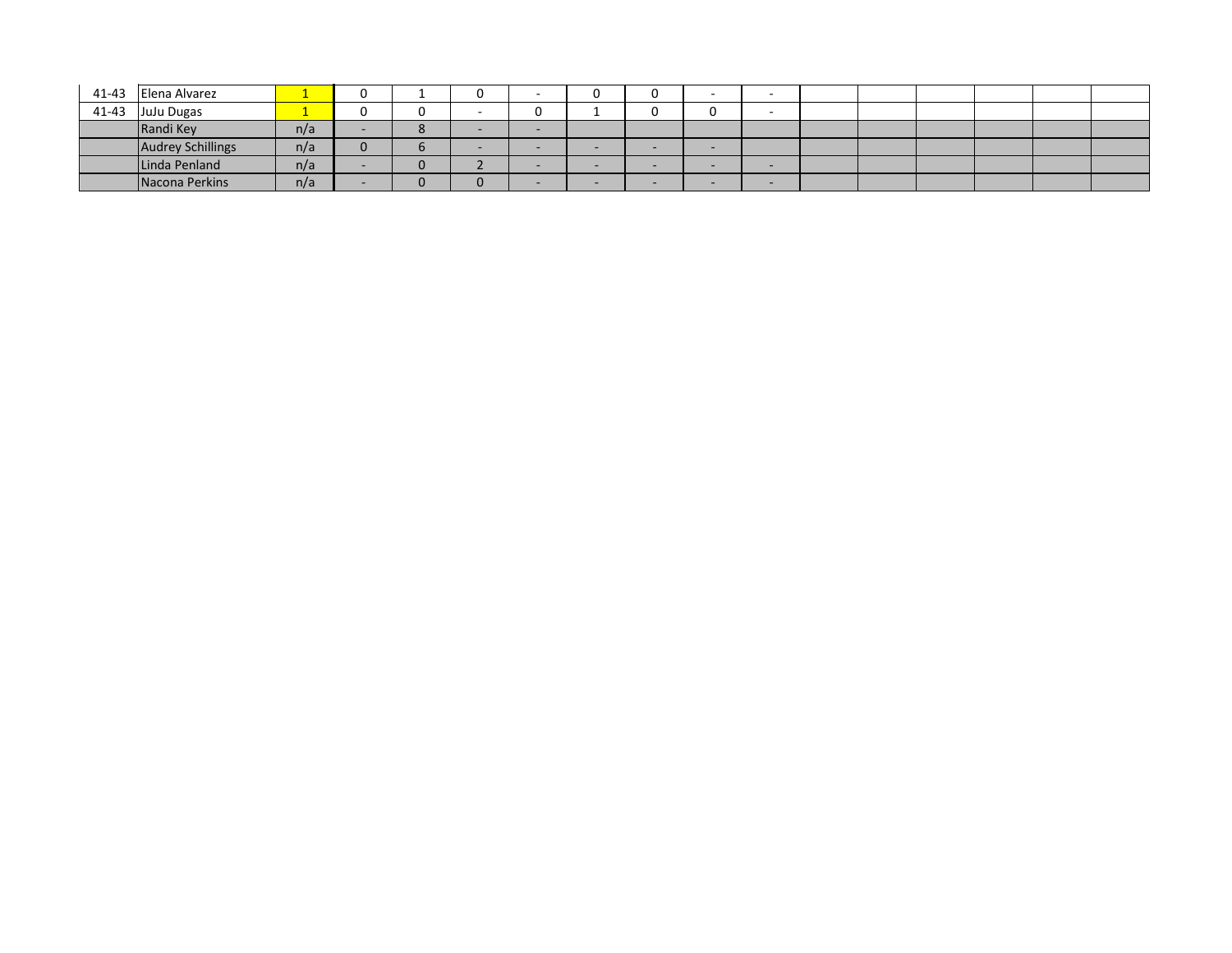| 41-43 Elena Alvarez |     |  |  | ື |            | $\overline{\phantom{a}}$ |  |  |  |
|---------------------|-----|--|--|---|------------|--------------------------|--|--|--|
| 41-43 JuJu Dugas    |     |  |  |   | $\sim$<br> |                          |  |  |  |
| Randi Key           | n/a |  |  |   |            |                          |  |  |  |
| Audrey Schillings   | n/a |  |  |   |            |                          |  |  |  |
| Linda Penland       | n/a |  |  |   |            |                          |  |  |  |
| Nacona Perkins      | n/a |  |  |   |            |                          |  |  |  |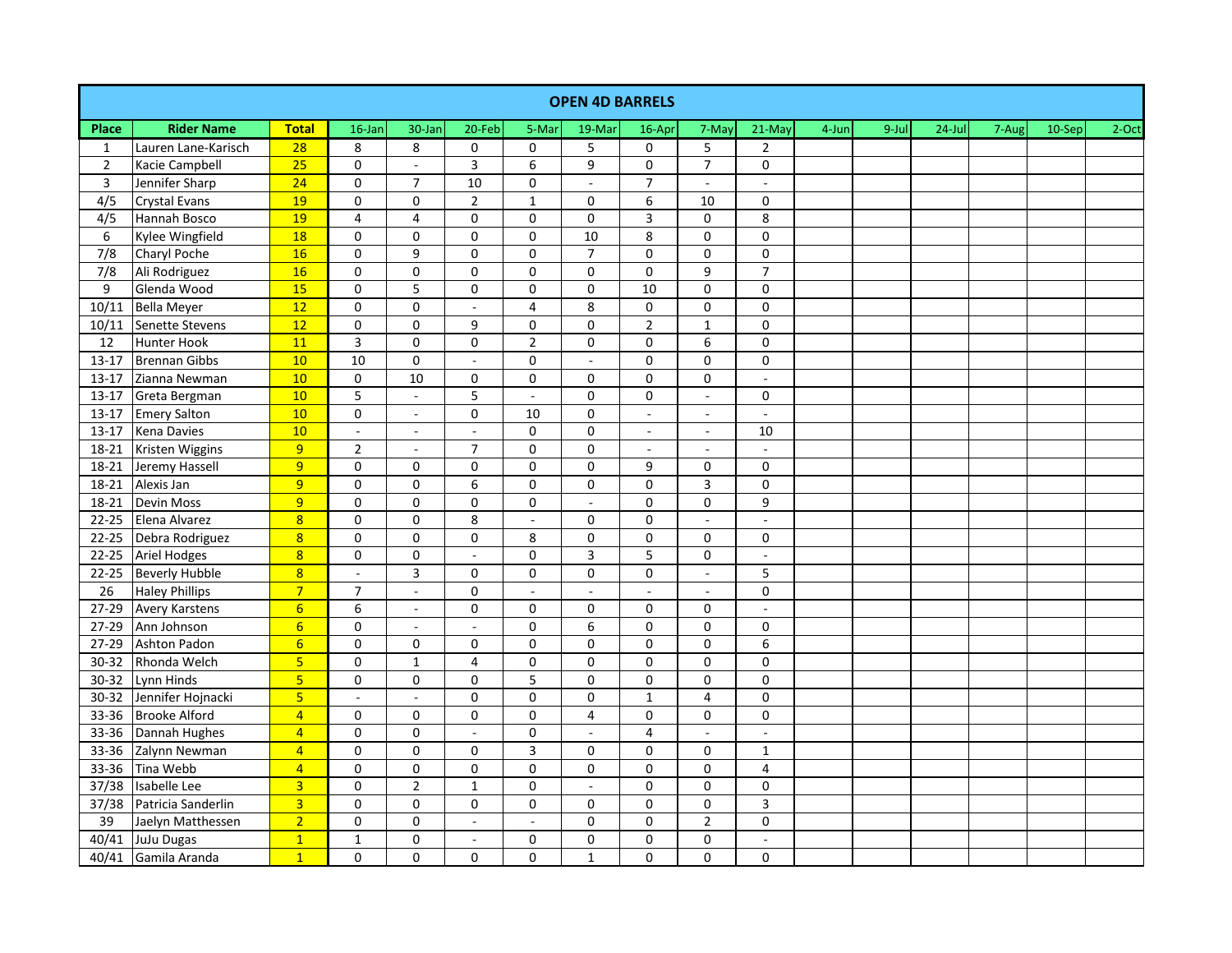|                 |                       |                         |                          |                |                          |                     | <b>OPEN 4D BARRELS</b>      |                 |                          |                           |       |       |           |       |        |          |
|-----------------|-----------------------|-------------------------|--------------------------|----------------|--------------------------|---------------------|-----------------------------|-----------------|--------------------------|---------------------------|-------|-------|-----------|-------|--------|----------|
| <b>Place</b>    | <b>Rider Name</b>     | <b>Total</b>            | 16-Jan                   | 30-Jan         | $20$ -Feb                | 5-Mar               | 19-Mar                      | 16-Apr          | 7-May                    | 21-May                    | 4-Jun | 9-Jul | $24$ -Jul | 7-Aug | 10-Sep | $2$ -Oct |
| $\mathbf{1}$    | Lauren Lane-Karisch   | $\overline{28}$         | 8                        | 8              | 0                        | $\mathbf 0$         | 5                           | 0               | 5                        | $\overline{2}$            |       |       |           |       |        |          |
| $\overline{2}$  | Kacie Campbell        | $\overline{25}$         | $\pmb{0}$                | $\overline{a}$ | $\overline{\mathbf{3}}$  | 6                   | $\overline{9}$              | 0               | $\overline{7}$           | $\mathbf 0$               |       |       |           |       |        |          |
| $\overline{3}$  | Jennifer Sharp        | 24                      | $\pmb{0}$                | $\overline{7}$ | 10                       | $\mathbf 0$         | $\mathcal{L}^{\mathcal{A}}$ | $\overline{7}$  | $\omega$                 | $\mathbb{Z}^2$            |       |       |           |       |        |          |
| 4/5             | <b>Crystal Evans</b>  | 19                      | $\mathbf 0$              | $\mathbf 0$    | $\overline{2}$           | $\mathbf{1}$        | 0                           | 6               | 10                       | 0                         |       |       |           |       |        |          |
| 4/5             | Hannah Bosco          | 19                      | $\overline{4}$           | $\overline{4}$ | 0                        | $\mathbf 0$         | 0                           | 3               | 0                        | $\bf 8$                   |       |       |           |       |        |          |
| 6               | Kylee Wingfield       | 18                      | $\mathsf{O}\xspace$      | $\pmb{0}$      | 0                        | $\pmb{0}$           | 10                          | 8               | 0                        | $\mathsf{O}\xspace$       |       |       |           |       |        |          |
| 7/8             | Charyl Poche          | 16                      | $\mathbf 0$              | 9              | 0                        | $\mathbf 0$         | $\overline{7}$              | 0               | 0                        | $\mathsf{O}\xspace$       |       |       |           |       |        |          |
| 7/8             | Ali Rodriguez         | 16                      | $\mathbf 0$              | $\mathbf 0$    | $\Omega$                 | $\mathbf 0$         | 0                           | 0               | 9                        | $\overline{7}$            |       |       |           |       |        |          |
| 9               | Glenda Wood           | 15                      | $\pmb{0}$                | $\overline{5}$ | 0                        | $\mathbf 0$         | 0                           | $\overline{10}$ | 0                        | $\overline{0}$            |       |       |           |       |        |          |
| 10/11           | <b>Bella Meyer</b>    | 12                      | $\pmb{0}$                | $\mathbf 0$    | $\overline{\phantom{a}}$ | 4                   | 8                           | 0               | 0                        | 0                         |       |       |           |       |        |          |
| 10/11           | Senette Stevens       | 12                      | $\pmb{0}$                | $\pmb{0}$      | 9                        | $\mathbf 0$         | 0                           | $\overline{2}$  | $\mathbf 1$              | $\mathsf{O}\xspace$       |       |       |           |       |        |          |
| 12              | Hunter Hook           | 11                      | $\overline{3}$           | $\overline{0}$ | 0                        | $\overline{2}$      | 0                           | $\overline{0}$  | $\overline{6}$           | $\overline{\text{o}}$     |       |       |           |       |        |          |
| $13-17$         | <b>Brennan Gibbs</b>  | 10                      | 10                       | $\pmb{0}$      | $\blacksquare$           | $\mathbf 0$         | $\omega$                    | 0               | 0                        | $\pmb{0}$                 |       |       |           |       |        |          |
| $13-17$         | Zianna Newman         | 10                      | $\mathbf 0$              | 10             | $\Omega$                 | $\pmb{0}$           | $\mathbf 0$                 | 0               | 0                        | $\omega$                  |       |       |           |       |        |          |
| $13 - 17$       | Greta Bergman         | 10                      | 5                        | ÷.             | 5                        | $\sim$              | $\mathbf 0$                 | 0               | $\sim$                   | 0                         |       |       |           |       |        |          |
| $13 - 17$       | <b>Emery Salton</b>   | 10                      | $\pmb{0}$                | ÷,             | 0                        | 10                  | $\mathbf 0$                 | ÷.              | $\blacksquare$           | $\mathbb{Z}^{\mathbb{Z}}$ |       |       |           |       |        |          |
| $13-17$         | Kena Davies           | 10                      | $\sim$                   | $\blacksquare$ | $\overline{\phantom{a}}$ | $\mathbf 0$         | $\mathbf 0$                 | $\blacksquare$  | $\sim$                   | 10                        |       |       |           |       |        |          |
| 18-21           | Kristen Wiggins       | 9                       | $\overline{2}$           | $\blacksquare$ | $\overline{7}$           | $\pmb{0}$           | 0                           | $\blacksquare$  | $\blacksquare$           | $\overline{\phantom{a}}$  |       |       |           |       |        |          |
| 18-21           | Jeremy Hassell        | 9                       | $\mathbf 0$              | $\mathbf 0$    | 0                        | $\mathbf 0$         | $\mathbf 0$                 | 9               | 0                        | $\mathsf{O}\xspace$       |       |       |           |       |        |          |
| 18-21           | Alexis Jan            | 9                       | $\mathbf 0$              | $\mathbf 0$    | 6                        | $\mathbf 0$         | $\mathbf 0$                 | 0               | 3                        | $\mathsf{O}\xspace$       |       |       |           |       |        |          |
| $18-21$         | Devin Moss            | $\overline{9}$          | 0                        | $\pmb{0}$      | $\mathbf 0$              | $\mathbf 0$         | $\sim$                      | $\mathbf 0$     | $\overline{\text{o}}$    | $\boldsymbol{9}$          |       |       |           |       |        |          |
| $22 - 25$       | Elena Alvarez         | $\overline{8}$          | $\mathbf 0$              | $\mathbf 0$    | 8                        |                     | 0                           | 0               | $\overline{\phantom{a}}$ | $\overline{\phantom{a}}$  |       |       |           |       |        |          |
| $22 - 25$       | Debra Rodriguez       | $\overline{8}$          | $\pmb{0}$                | $\mathbf 0$    | 0                        | 8                   | 0                           | 0               | 0                        | 0                         |       |       |           |       |        |          |
| $22 - 25$       | Ariel Hodges          | $\overline{8}$          | $\pmb{0}$                | $\pmb{0}$      | ä,                       | 0                   | 3                           | $\overline{5}$  | 0                        | $\sim$                    |       |       |           |       |        |          |
| $22 - 25$       | <b>Beverly Hubble</b> | $\overline{8}$          | $\overline{\phantom{a}}$ | $\overline{3}$ | 0                        | 0                   | 0                           | 0               | $\overline{\phantom{a}}$ | 5                         |       |       |           |       |        |          |
| $\overline{26}$ | <b>Haley Phillips</b> | $\overline{7}$          | $\overline{7}$           | $\blacksquare$ | $\Omega$                 | $\mathbf{r}$        | $\mathbf{r}$                | $\overline{a}$  | $\sim$                   | 0                         |       |       |           |       |        |          |
| 27-29           | <b>Avery Karstens</b> | $6\overline{6}$         | 6                        | $\overline{a}$ | 0                        | 0                   | 0                           | 0               | 0                        | $\omega$                  |       |       |           |       |        |          |
| 27-29           | Ann Johnson           | $6\overline{6}$         | $\mathbf 0$              | ÷,             | ä,                       | $\mathbf 0$         | 6                           | 0               | 0                        | 0                         |       |       |           |       |        |          |
| $27-29$         | Ashton Padon          | $6\overline{6}$         | $\mathbf 0$              | $\pmb{0}$      | 0                        | $\mathbf 0$         | $\mathbf 0$                 | 0               | 0                        | 6                         |       |       |           |       |        |          |
| 30-32           | Rhonda Welch          | $\overline{\mathbf{5}}$ | 0                        | $\mathbf 1$    | 4                        | 0                   | 0                           | 0               | 0                        | 0                         |       |       |           |       |        |          |
| $30 - 32$       | Lynn Hinds            | $\overline{\mathbf{5}}$ | $\mathbf 0$              | $\mathbf 0$    | 0                        | 5                   | 0                           | 0               | 0                        | 0                         |       |       |           |       |        |          |
| $30 - 32$       | Jennifer Hojnacki     | 5                       | $\omega$                 | $\overline{a}$ | $\Omega$                 | $\Omega$            | 0                           | $\mathbf 1$     | 4                        | $\overline{0}$            |       |       |           |       |        |          |
| 33-36           | <b>Brooke Alford</b>  | $\overline{4}$          | 0                        | 0              | 0                        | $\mathbf 0$         | 4                           | 0               | 0                        | 0                         |       |       |           |       |        |          |
| 33-36           | Dannah Hughes         | $\overline{4}$          | $\mathbf 0$              | $\pmb{0}$      | $\sim$                   | 0                   | $\sim$                      | $\overline{4}$  | $\blacksquare$           | $\blacksquare$            |       |       |           |       |        |          |
| 33-36           | Zalynn Newman         | $\overline{4}$          | $\mathbf 0$              | $\pmb{0}$      | $\Omega$                 | 3                   | 0                           | 0               | 0                        | $\mathbf{1}$              |       |       |           |       |        |          |
| 33-36           | Tina Webb             | $\overline{4}$          | $\pmb{0}$                | $\pmb{0}$      | 0                        | $\mathbf 0$         | $\mathbf 0$                 | 0               | 0                        | 4                         |       |       |           |       |        |          |
| 37/38           | Isabelle Lee          | $\overline{3}$          | $\mathbf 0$              | $\overline{2}$ | $\mathbf{1}$             | $\mathsf{O}\xspace$ | $\omega$                    | 0               | 0                        | $\mathsf{O}\xspace$       |       |       |           |       |        |          |
| 37/38           | Patricia Sanderlin    | $\overline{3}$          | $\Omega$                 | $\pmb{0}$      | $\Omega$                 | $\Omega$            | 0                           | 0               | $\overline{\text{o}}$    | $\overline{3}$            |       |       |           |       |        |          |
| 39              | Jaelyn Matthessen     | $\overline{2}$          | $\mathsf 0$              | 0              | $\sim$                   | $\sim$              | 0                           | 0               | $\overline{2}$           | 0                         |       |       |           |       |        |          |
| 40/41           | <b>JuJu Dugas</b>     | $\overline{1}$          | $\mathbf{1}$             | $\mathbf 0$    | $\overline{\phantom{a}}$ | $\mathbf 0$         | $\mathbf 0$                 | 0               | 0                        | $\omega$                  |       |       |           |       |        |          |
| 40/41           | Gamila Aranda         | $\overline{1}$          | $\mathbf{0}$             | $\Omega$       | 0                        | $\Omega$            | $\mathbf 1$                 | 0               | $\overline{0}$           | 0                         |       |       |           |       |        |          |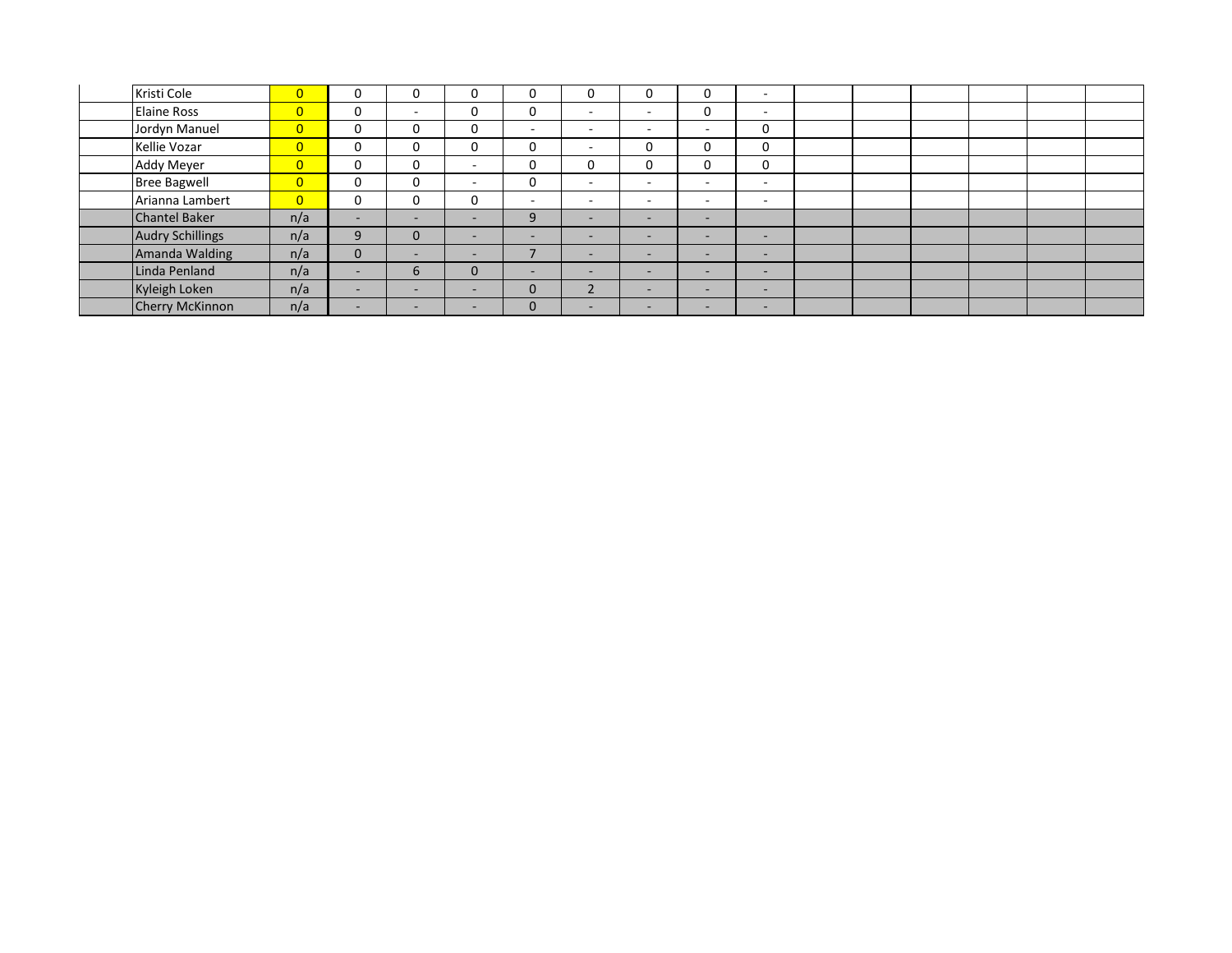| Kristi Cole         | $\overline{0}$ | 0            |                          | 0        | 0            |        |                | 0                        | -                        |  |  |  |
|---------------------|----------------|--------------|--------------------------|----------|--------------|--------|----------------|--------------------------|--------------------------|--|--|--|
| <b>Elaine Ross</b>  | $\overline{0}$ | 0            | $\overline{\phantom{0}}$ | 0        | 0            | $\sim$ | -              | 0                        | $\sim$                   |  |  |  |
| Jordyn Manuel       | $\overline{0}$ | 0            |                          | 0        |              |        | $\overline{a}$ | -                        | 0                        |  |  |  |
| Kellie Vozar        | $\overline{0}$ | 0            | $\Omega$                 | 0        | 0            | $\sim$ | 0              | 0                        | 0                        |  |  |  |
| Addy Meyer          | $\overline{0}$ | 0            | $\Omega$                 |          | 0            | ⌒      | 0              | 0                        | 0                        |  |  |  |
| <b>Bree Bagwell</b> | $\overline{0}$ | 0            | $\Omega$                 | ۰        | 0            |        | $\overline{a}$ | $\overline{\phantom{a}}$ | $\overline{\phantom{0}}$ |  |  |  |
| Arianna Lambert     | $\overline{0}$ | 0            | $\Omega$                 | 0        |              |        | -              | $\overline{\phantom{0}}$ | $\overline{\phantom{a}}$ |  |  |  |
| Chantel Baker       | n/a            | <b>.</b>     | $\sim$                   | -        | 9            | $\sim$ |                | $\overline{\phantom{a}}$ |                          |  |  |  |
| Audry Schillings    | n/a            | $\mathbf{q}$ | $\Omega$                 | -        | -            | $\sim$ |                | <b>.</b>                 | $\overline{\phantom{a}}$ |  |  |  |
| Amanda Walding      | n/a            | $\Omega$     | $\overline{\phantom{0}}$ | -        |              | -      | -              | -                        | <b>.</b>                 |  |  |  |
| Linda Penland       | n/a            | <b>.</b>     | 6                        | $\Omega$ | ۰.           | $\sim$ |                | $\overline{\phantom{a}}$ | $\overline{\phantom{0}}$ |  |  |  |
| Kyleigh Loken       | n/a            |              |                          |          | $\mathbf{0}$ |        | -              | $\overline{\phantom{0}}$ | $\overline{\phantom{0}}$ |  |  |  |
| Cherry McKinnon     | n/a            |              | $\overline{\phantom{0}}$ | -        | $\mathbf{0}$ | -      | -              | -                        | $\overline{\phantom{0}}$ |  |  |  |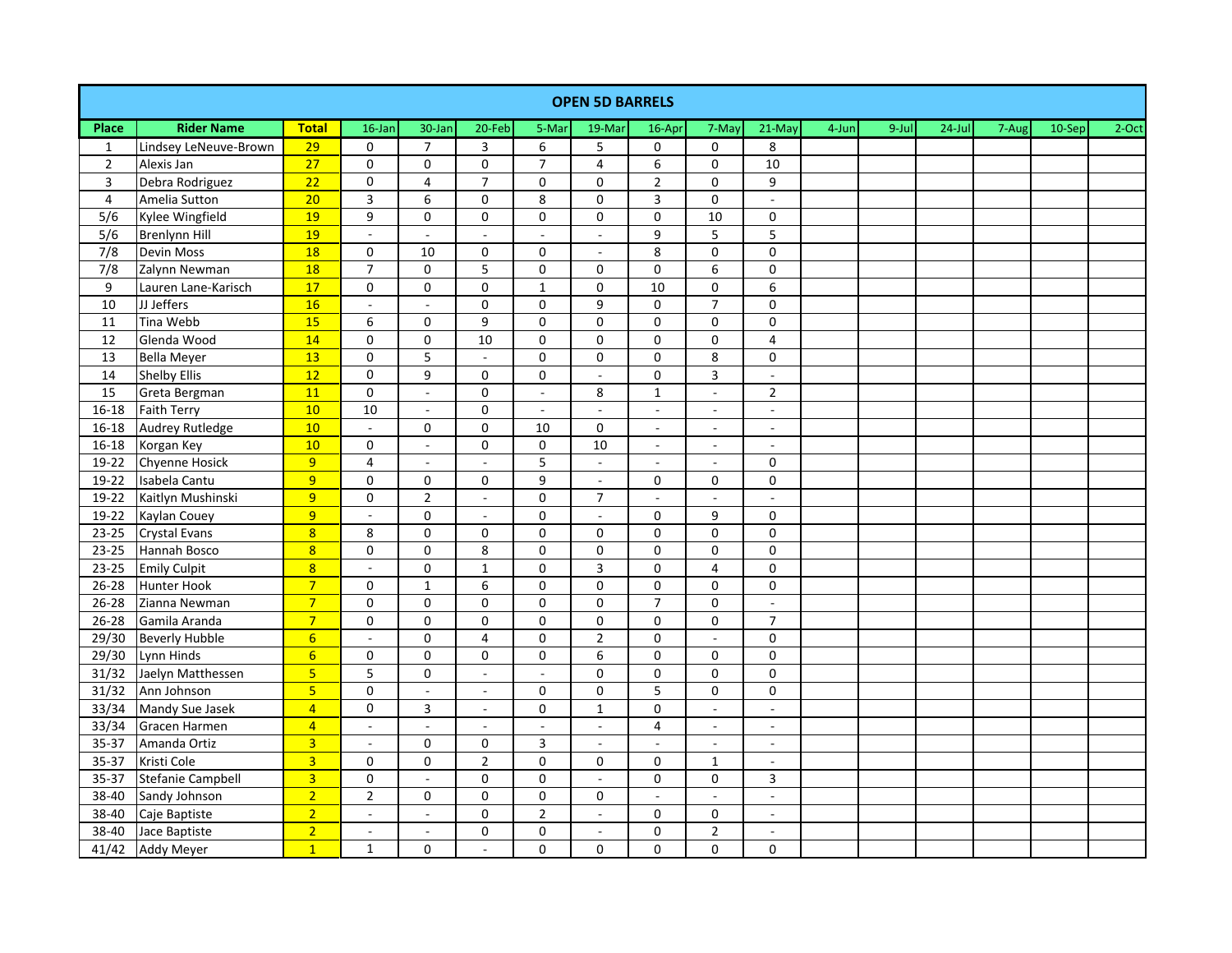|                         |                          |                  |                          |                         |                          |                         | <b>OPEN 5D BARRELS</b>   |                          |                          |                          |       |       |           |       |        |       |
|-------------------------|--------------------------|------------------|--------------------------|-------------------------|--------------------------|-------------------------|--------------------------|--------------------------|--------------------------|--------------------------|-------|-------|-----------|-------|--------|-------|
| Place                   | <b>Rider Name</b>        | <b>Total</b>     | $16$ -Jan                | 30-Jan                  | 20-Feb                   | 5-Mar                   | 19-Mar                   | 16-Apr                   | 7-May                    | 21-May                   | 4-Jun | 9-Jul | $24$ -Jul | 7-Aug | 10-Sep | 2-Oct |
| $\mathbf{1}$            | Lindsey LeNeuve-Brown    | 29               | 0                        | $\overline{7}$          | 3                        | 6                       | 5                        | 0                        | 0                        | 8                        |       |       |           |       |        |       |
| $\overline{2}$          | Alexis Jan               | 27               | 0                        | $\pmb{0}$               | $\mathsf{O}\xspace$      | $\overline{7}$          | $\overline{\mathbf{4}}$  | 6                        | $\mathsf{O}\xspace$      | 10                       |       |       |           |       |        |       |
| $\overline{\mathbf{3}}$ | Debra Rodriguez          | 22               | 0                        | $\overline{\mathbf{4}}$ | $\overline{7}$           | $\pmb{0}$               | $\pmb{0}$                | $\mathbf 2$              | $\mathbf 0$              | 9                        |       |       |           |       |        |       |
| 4                       | Amelia Sutton            | 20               | 3                        | 6                       | 0                        | 8                       | 0                        | 3                        | $\mathbf 0$              | $\overline{\phantom{a}}$ |       |       |           |       |        |       |
| 5/6                     | Kylee Wingfield          | 19               | 9                        | 0                       | $\mathsf{O}\xspace$      | $\pmb{0}$               | $\pmb{0}$                | $\mathsf 0$              | 10                       | 0                        |       |       |           |       |        |       |
| 5/6                     | <b>Brenlynn Hill</b>     | 19               | $\Box$                   | $\Box$                  | $\overline{\phantom{a}}$ | $\bar{\phantom{a}}$     | $\bar{\phantom{a}}$      | 9                        | 5                        | $\overline{5}$           |       |       |           |       |        |       |
| 7/8                     | <b>Devin Moss</b>        | 18               | $\pmb{0}$                | 10                      | $\mathsf 0$              | $\pmb{0}$               | $\overline{\phantom{a}}$ | $\,8\,$                  | 0                        | 0                        |       |       |           |       |        |       |
| 7/8                     | Zalynn Newman            | 18               | $\overline{7}$           | $\mathbf 0$             | 5                        | $\pmb{0}$               | $\mathbf 0$              | $\mathsf 0$              | 6                        | $\mathbf 0$              |       |       |           |       |        |       |
| 9                       | Lauren Lane-Karisch      | 17               | $\pmb{0}$                | $\pmb{0}$               | $\pmb{0}$                | $\mathbf{1}$            | $\pmb{0}$                | 10                       | 0                        | 6                        |       |       |           |       |        |       |
| 10                      | JJ Jeffers               | 16               | $\Box$                   | $\Box$                  | $\mathsf{O}\xspace$      | $\pmb{0}$               | 9                        | $\pmb{0}$                | $\overline{7}$           | 0                        |       |       |           |       |        |       |
| $11\,$                  | Tina Webb                | 15               | 6                        | 0                       | 9                        | $\pmb{0}$               | $\pmb{0}$                | $\mathsf 0$              | $\mathsf{O}\xspace$      | $\mathbf 0$              |       |       |           |       |        |       |
| 12                      | Glenda Wood              | 14               | $\pmb{0}$                | $\mathsf 0$             | 10                       | $\pmb{0}$               | $\pmb{0}$                | $\pmb{0}$                | $\pmb{0}$                | $\overline{\mathbf{4}}$  |       |       |           |       |        |       |
| 13                      | <b>Bella Meyer</b>       | 13               | $\pmb{0}$                | 5                       | $\overline{\phantom{a}}$ | $\pmb{0}$               | $\pmb{0}$                | $\pmb{0}$                | 8                        | 0                        |       |       |           |       |        |       |
| 14                      | <b>Shelby Ellis</b>      | 12               | $\pmb{0}$                | 9                       | $\mathsf{O}\xspace$      | $\pmb{0}$               | $\overline{a}$           | $\pmb{0}$                | 3                        | $\overline{a}$           |       |       |           |       |        |       |
| 15                      | Greta Bergman            | 11               | $\mathsf{O}\xspace$      | L.                      | $\mathsf{O}\xspace$      | ÷,                      | 8                        | $\mathbf 1$              | ÷,                       | $\overline{2}$           |       |       |           |       |        |       |
| $16 - 18$               | <b>Faith Terry</b>       | 10               | 10                       | $\sim$                  | $\mathsf{O}\xspace$      | $\mathbb{Z}^2$          | $\mathbb{Z}^2$           | $\overline{\phantom{a}}$ | $\overline{\phantom{a}}$ | $\mathcal{L}$            |       |       |           |       |        |       |
| $16 - 18$               | <b>Audrey Rutledge</b>   | 10               | $\overline{\phantom{a}}$ | 0                       | $\mathsf{O}\xspace$      | 10                      | 0                        | $\overline{\phantom{a}}$ | $\overline{\phantom{a}}$ | $\blacksquare$           |       |       |           |       |        |       |
| $16 - 18$               | Korgan Key               | 10               | $\pmb{0}$                | $\sim$                  | $\pmb{0}$                | $\pmb{0}$               | $\overline{10}$          | $\overline{\phantom{a}}$ | $\overline{\phantom{a}}$ | $\overline{\phantom{a}}$ |       |       |           |       |        |       |
| 19-22                   | Chyenne Hosick           | $\overline{9}$   | $\pmb{4}$                | $\omega$                | $\mathbb{Z}$             | 5                       | $\bar{\phantom{a}}$      | $\omega$                 | $\omega$                 | $\pmb{0}$                |       |       |           |       |        |       |
| 19-22                   | Isabela Cantu            | $\overline{9}$   | $\pmb{0}$                | 0                       | $\mathsf{O}\xspace$      | 9                       | $\frac{1}{2}$            | $\pmb{0}$                | 0                        | 0                        |       |       |           |       |        |       |
| 19-22                   | Kaitlyn Mushinski        | 9 <sup>°</sup>   | $\mathbf 0$              | $\overline{2}$          | $\sim$                   | $\mathbf 0$             | $\overline{7}$           | $\blacksquare$           | $\overline{\phantom{a}}$ | $\blacksquare$           |       |       |           |       |        |       |
| 19-22                   | Kaylan Couey             | $\overline{9}$   | $\mathbb{Z}^2$           | $\pmb{0}$               | $\sim$                   | $\pmb{0}$               | $\overline{a}$           | $\pmb{0}$                | 9                        | 0                        |       |       |           |       |        |       |
| $23 - 25$               | <b>Crystal Evans</b>     | $\overline{8}$   | 8                        | 0                       | $\mathsf{O}\xspace$      | $\pmb{0}$               | $\pmb{0}$                | $\pmb{0}$                | $\mathsf{O}\xspace$      | 0                        |       |       |           |       |        |       |
| $23 - 25$               | Hannah Bosco             | $\overline{8}$   | $\mathsf{O}\xspace$      | 0                       | 8                        | $\pmb{0}$               | $\pmb{0}$                | $\pmb{0}$                | $\mathbf 0$              | $\mathbf 0$              |       |       |           |       |        |       |
| $23 - 25$               | <b>Emily Culpit</b>      | $\overline{8}$   | $\overline{\phantom{a}}$ | 0                       | $\mathbf 1$              | $\mathsf 0$             | $\overline{\mathbf{3}}$  | $\pmb{0}$                | 4                        | 0                        |       |       |           |       |        |       |
| $26 - 28$               | Hunter Hook              | $\overline{7}$   | $\pmb{0}$                | $\mathbf{1}$            | 6                        | $\pmb{0}$               | $\pmb{0}$                | $\pmb{0}$                | $\mathsf{O}\xspace$      | 0                        |       |       |           |       |        |       |
| $26 - 28$               | Zianna Newman            | $\overline{7}$   | $\pmb{0}$                | 0                       | $\pmb{0}$                | $\mathsf 0$             | $\pmb{0}$                | $\overline{7}$           | $\mathbf 0$              | ÷,                       |       |       |           |       |        |       |
| $26 - 28$               | Gamila Aranda            | $\overline{7}$   | 0                        | $\mathbf 0$             | $\mathbf 0$              | $\mathbf 0$             | $\pmb{0}$                | $\pmb{0}$                | 0                        | $\overline{7}$           |       |       |           |       |        |       |
| 29/30                   | <b>Beverly Hubble</b>    | $6 \overline{6}$ | $\overline{a}$           | $\mathbf 0$             | $\overline{4}$           | $\pmb{0}$               | $\overline{2}$           | $\pmb{0}$                | $\overline{a}$           | $\mathbf 0$              |       |       |           |       |        |       |
| 29/30                   | Lynn Hinds               | $6 \overline{}$  | 0                        | $\pmb{0}$               | $\mathsf{O}\xspace$      | $\pmb{0}$               | 6                        | $\mathbf 0$              | 0                        | $\mathbf 0$              |       |       |           |       |        |       |
| 31/32                   | Jaelyn Matthessen        | $\overline{5}$   | 5                        | 0                       | L.                       | $\sim$                  | $\pmb{0}$                | $\pmb{0}$                | $\mathsf 0$              | 0                        |       |       |           |       |        |       |
| 31/32                   | Ann Johnson              | $\overline{5}$   | $\pmb{0}$                | $\omega$                | $\blacksquare$           | $\pmb{0}$               | $\pmb{0}$                | 5                        | $\mathsf 0$              | 0                        |       |       |           |       |        |       |
| 33/34                   | Mandy Sue Jasek          | $\overline{4}$   | $\mathsf 0$              | 3                       | ÷,                       | $\mathsf 0$             | $\mathbf 1$              | $\mathbf 0$              | $\sim$                   | $\sim$                   |       |       |           |       |        |       |
| 33/34                   | Gracen Harmen            | $\overline{4}$   | $\blacksquare$           | $\sim$                  | $\overline{\phantom{a}}$ | $\sim$                  | $\overline{\phantom{a}}$ | $\overline{4}$           | $\blacksquare$           | $\blacksquare$           |       |       |           |       |        |       |
| $35 - 37$               | Amanda Ortiz             | $\overline{3}$   | $\omega$                 | 0                       | 0                        | $\overline{\mathbf{3}}$ | $\omega$                 | $\overline{a}$           | $\sim$                   | $\sim$                   |       |       |           |       |        |       |
| 35-37                   | Kristi Cole              | $\overline{3}$   | $\pmb{0}$                | $\mathsf 0$             | $\overline{2}$           | $\pmb{0}$               | $\pmb{0}$                | 0                        | $\mathbf 1$              | $\overline{\phantom{a}}$ |       |       |           |       |        |       |
| 35-37                   | <b>Stefanie Campbell</b> | $\overline{3}$   | $\mathbf 0$              | $\sim$                  | $\mathsf{O}\xspace$      | $\pmb{0}$               | $\overline{a}$           | $\pmb{0}$                | $\mathsf{O}\xspace$      | 3                        |       |       |           |       |        |       |
| 38-40                   | Sandy Johnson            | $\overline{2}$   | $\overline{2}$           | 0                       | 0                        | $\pmb{0}$               | 0                        | ÷,                       | ÷,                       | $\overline{\phantom{a}}$ |       |       |           |       |        |       |
| 38-40                   | Caje Baptiste            | $\overline{2}$   | $\blacksquare$           | $\mathbb{Z}$            | $\mathsf 0$              | $\mathbf 2$             | $\overline{\phantom{a}}$ | 0                        | $\mathsf{O}\xspace$      | $\sim$                   |       |       |           |       |        |       |
| $38 - 40$               | Jace Baptiste            | $\overline{2}$   | $\blacksquare$           | $\mathcal{L}$           | $\mathsf{O}\xspace$      | 0                       | $\sim$                   | $\mathbf 0$              | $\overline{2}$           | $\sim$                   |       |       |           |       |        |       |
| 41/42                   | <b>Addy Meyer</b>        | $\overline{1}$   | $\mathbf 1$              | $\Omega$                | L.                       | $\Omega$                | 0                        | 0                        | $\mathbf 0$              | 0                        |       |       |           |       |        |       |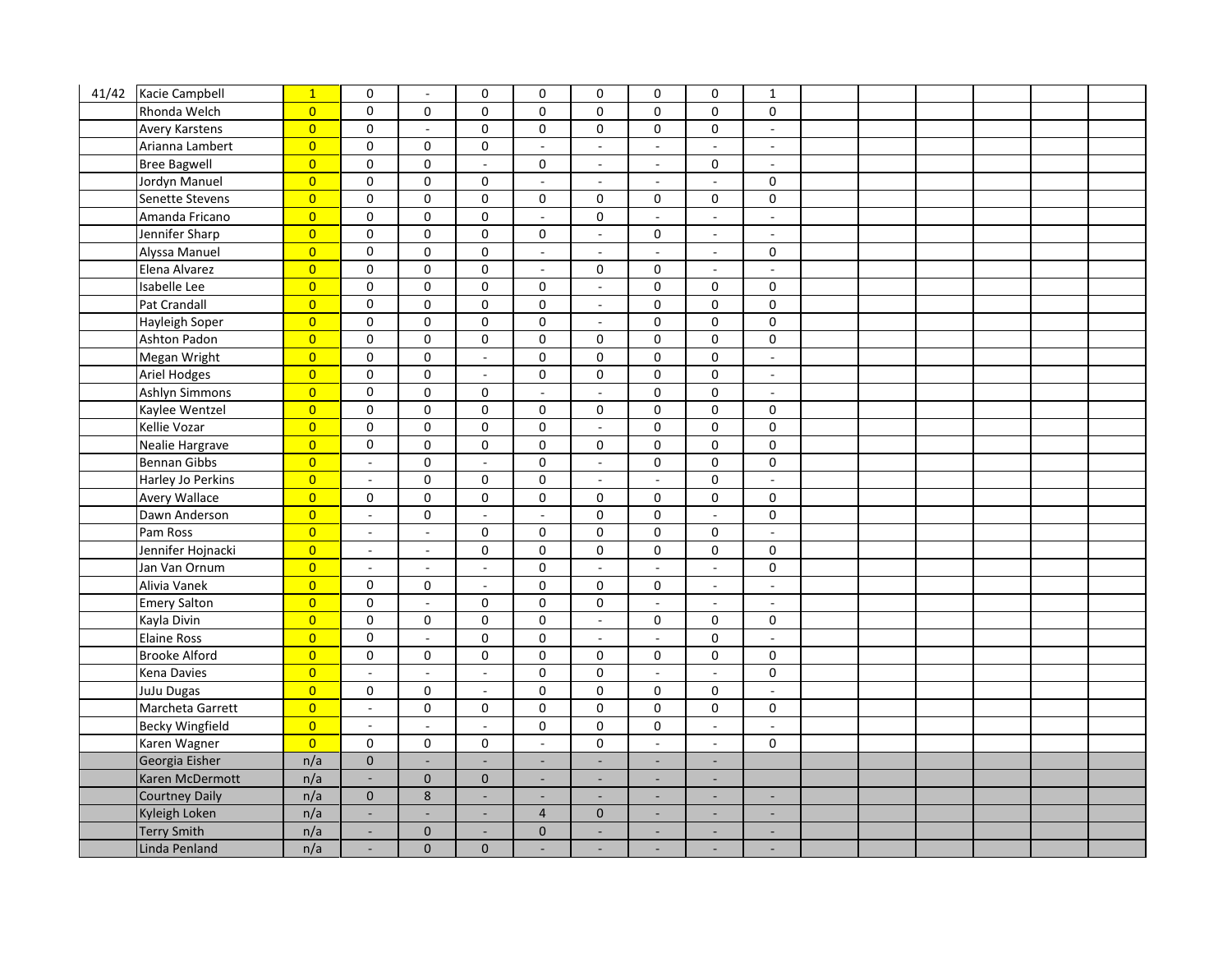| 41/42 | Kacie Campbell         | $\mathbf{1}$            | $\pmb{0}$                   | $\mathcal{L}$            | 0                           | 0                        | 0                        | $\pmb{0}$                | 0                        | $\mathbf{1}$             |  |  |  |
|-------|------------------------|-------------------------|-----------------------------|--------------------------|-----------------------------|--------------------------|--------------------------|--------------------------|--------------------------|--------------------------|--|--|--|
|       | Rhonda Welch           | $\overline{0}$          | $\pmb{0}$                   | $\pmb{0}$                | $\pmb{0}$                   | 0                        | 0                        | $\pmb{0}$                | $\pmb{0}$                | $\pmb{0}$                |  |  |  |
|       | Avery Karstens         | $\overline{0}$          | 0                           | $\overline{\phantom{a}}$ | 0                           | 0                        | 0                        | $\pmb{0}$                | $\mathsf{O}\xspace$      | $\omega$                 |  |  |  |
|       | Arianna Lambert        | $\overline{0}$          | $\pmb{0}$                   | 0                        | $\pmb{0}$                   | $\overline{\phantom{a}}$ | $\overline{\phantom{a}}$ | $\bar{\phantom{a}}$      | ÷,                       | $\Box$                   |  |  |  |
|       | <b>Bree Bagwell</b>    | $\overline{0}$          | $\pmb{0}$                   | $\pmb{0}$                | $\overline{\phantom{a}}$    | $\mathsf 0$              | ÷,                       | $\sim$                   | $\mathsf{O}\xspace$      | $\overline{a}$           |  |  |  |
|       | Jordyn Manuel          | $\overline{0}$          | $\mathsf 0$                 | 0                        | 0                           | $\overline{\phantom{a}}$ | $\omega$                 | $\omega$                 | $\omega$                 | $\mathsf{O}\xspace$      |  |  |  |
|       | Senette Stevens        | $\overline{0}$          | $\mathsf 0$                 | $\pmb{0}$                | $\pmb{0}$                   | $\pmb{0}$                | $\mathsf{O}\xspace$      | $\pmb{0}$                | $\mathsf{O}\xspace$      | $\pmb{0}$                |  |  |  |
|       | Amanda Fricano         | $\overline{0}$          | $\pmb{0}$                   | $\pmb{0}$                | $\pmb{0}$                   | $\overline{\phantom{a}}$ | $\pmb{0}$                | $\sim$                   | $\blacksquare$           | $\Box$                   |  |  |  |
|       | Jennifer Sharp         | $\overline{0}$          | $\pmb{0}$                   | $\mathsf 0$              | $\pmb{0}$                   | $\pmb{0}$                | $\Box$                   | $\pmb{0}$                | $\mathcal{L}$            | $\mathcal{L}$            |  |  |  |
|       | Alyssa Manuel          | $\overline{0}$          | $\pmb{0}$                   | $\mathsf 0$              | $\pmb{0}$                   | $\Box$                   | $\overline{\phantom{a}}$ | $\overline{\phantom{a}}$ | $\blacksquare$           | $\mathsf{O}\xspace$      |  |  |  |
|       | Elena Alvarez          | $\overline{0}$          | $\pmb{0}$                   | $\mathbf 0$              | $\pmb{0}$                   | $\Box$                   | $\mathsf{O}\xspace$      | $\pmb{0}$                | $\overline{\phantom{a}}$ | $\omega$                 |  |  |  |
|       | Isabelle Lee           | $\overline{0}$          | $\mathsf 0$                 | $\pmb{0}$                | $\pmb{0}$                   | $\mathsf 0$              | $\overline{a}$           | $\pmb{0}$                | $\mathsf 0$              | $\pmb{0}$                |  |  |  |
|       | Pat Crandall           | $\overline{0}$          | $\pmb{0}$                   | $\mathsf 0$              | $\pmb{0}$                   | $\pmb{0}$                | $\overline{\phantom{a}}$ | $\mathsf{O}\xspace$      | $\pmb{0}$                | $\pmb{0}$                |  |  |  |
|       | Hayleigh Soper         | $\overline{0}$          | $\pmb{0}$                   | $\mathsf 0$              | $\pmb{0}$                   | $\pmb{0}$                | $\blacksquare$           | $\pmb{0}$                | $\mathsf 0$              | $\mathsf{O}\xspace$      |  |  |  |
|       | Ashton Padon           | $\overline{0}$          | $\pmb{0}$                   | $\mathsf 0$              | $\pmb{0}$                   | $\pmb{0}$                | $\mathsf{O}\xspace$      | $\pmb{0}$                | $\pmb{0}$                | $\pmb{0}$                |  |  |  |
|       | Megan Wright           | $\overline{0}$          | $\pmb{0}$                   | $\mathsf 0$              | $\overline{\phantom{a}}$    | $\pmb{0}$                | $\pmb{0}$                | $\pmb{0}$                | $\overline{0}$           | $\overline{a}$           |  |  |  |
|       | <b>Ariel Hodges</b>    | $\overline{\mathbf{0}}$ | $\pmb{0}$                   | $\pmb{0}$                | $\blacksquare$              | $\pmb{0}$                | 0                        | $\pmb{0}$                | $\pmb{0}$                | $\Box$                   |  |  |  |
|       | Ashlyn Simmons         | $\overline{0}$          | $\mathbf 0$                 | $\mathsf 0$              | $\pmb{0}$                   | $\bar{\mathcal{L}}$      | $\overline{a}$           | $\pmb{0}$                | $\mathsf 0$              | L.                       |  |  |  |
|       | Kaylee Wentzel         | $\overline{0}$          | $\pmb{0}$                   | $\mathsf{O}\xspace$      | $\pmb{0}$                   | $\pmb{0}$                | $\pmb{0}$                | $\overline{0}$           | $\overline{0}$           | $\pmb{0}$                |  |  |  |
|       | Kellie Vozar           | $\overline{\mathbf{0}}$ | $\pmb{0}$                   | $\mathsf 0$              | $\pmb{0}$                   | $\pmb{0}$                | $\overline{\phantom{a}}$ | $\mathsf{O}\xspace$      | $\mathsf 0$              | $\overline{0}$           |  |  |  |
|       | Nealie Hargrave        | $\overline{0}$          | $\mathsf{O}\xspace$         | $\mathsf 0$              | $\pmb{0}$                   | $\pmb{0}$                | 0                        | $\mathsf{O}\xspace$      | $\mathsf 0$              | $\overline{0}$           |  |  |  |
|       | <b>Bennan Gibbs</b>    | $\overline{0}$          | $\overline{a}$              | $\mathsf 0$              | $\overline{a}$              | $\pmb{0}$                | $\mathbb{Z}^2$           | $\pmb{0}$                | $\overline{0}$           | $\overline{0}$           |  |  |  |
|       | Harley Jo Perkins      | $\overline{0}$          | $\blacksquare$              | $\mathsf 0$              | $\pmb{0}$                   | $\pmb{0}$                | $\Box$                   | $\Box$                   | $\mathsf 0$              | $\overline{\phantom{a}}$ |  |  |  |
|       | Avery Wallace          | $\overline{0}$          | 0                           | 0                        | $\mathsf{O}\xspace$         | $\mathsf 0$              | $\mathsf{O}\xspace$      | $\pmb{0}$                | $\mathsf{O}\xspace$      | $\mathsf{O}\xspace$      |  |  |  |
|       | Dawn Anderson          | $\overline{0}$          | $\mathbb{Z}^2$              | $\mathsf 0$              | $\Box$                      | $\Box$                   | 0                        | $\mathsf 0$              | $\Box$                   | $\pmb{0}$                |  |  |  |
|       | Pam Ross               | $\overline{0}$          | $\blacksquare$              | $\blacksquare$           | $\pmb{0}$                   | $\mathsf 0$              | $\pmb{0}$                | $\pmb{0}$                | $\mathsf{O}\xspace$      | $\Box$                   |  |  |  |
|       | Jennifer Hojnacki      | $\overline{0}$          | $\overline{\phantom{a}}$    | $\blacksquare$           | $\pmb{0}$                   | $\mathsf 0$              | $\mathsf{O}\xspace$      | $\pmb{0}$                | $\pmb{0}$                | $\pmb{0}$                |  |  |  |
|       | Jan Van Ornum          | $\overline{0}$          | $\overline{\phantom{a}}$    | $\bar{\phantom{a}}$      | $\overline{\phantom{a}}$    | $\pmb{0}$                | $\overline{\phantom{a}}$ | $\mathbb{Z}$             | $\overline{\phantom{a}}$ | $\overline{0}$           |  |  |  |
|       | Alivia Vanek           | $\overline{0}$          | 0                           | 0                        | $\blacksquare$              | $\pmb{0}$                | $\pmb{0}$                | $\pmb{0}$                | $\blacksquare$           | $\blacksquare$           |  |  |  |
|       | <b>Emery Salton</b>    | $\overline{0}$          | $\pmb{0}$                   | $\omega$                 | 0                           | $\pmb{0}$                | $\pmb{0}$                | L,                       | $\overline{a}$           | $\overline{\phantom{a}}$ |  |  |  |
|       | Kayla Divin            | $\overline{0}$          | $\pmb{0}$                   | 0                        | $\pmb{0}$                   | $\pmb{0}$                | $\overline{a}$           | $\pmb{0}$                | $\mathsf{O}\xspace$      | $\pmb{0}$                |  |  |  |
|       | <b>Elaine Ross</b>     | $\overline{0}$          | 0                           | $\Box$                   | $\pmb{0}$                   | $\pmb{0}$                | $\Box$                   | $\bar{\omega}$           | $\pmb{0}$                | $\omega$                 |  |  |  |
|       | <b>Brooke Alford</b>   | $\overline{0}$          | $\pmb{0}$                   | $\mathsf 0$              | $\pmb{0}$                   | $\pmb{0}$                | $\pmb{0}$                | $\pmb{0}$                | $\mathsf 0$              | $\pmb{0}$                |  |  |  |
|       | Kena Davies            | $\overline{0}$          | $\Box$                      | $\mathbb{Z}^2$           | $\mathbb{Z}^2$              | $\pmb{0}$                | $\pmb{0}$                | $\sim$                   | $\sim$                   | $\pmb{0}$                |  |  |  |
|       | <b>JuJu Dugas</b>      | $\overline{0}$          | $\mathsf 0$                 | $\mathsf 0$              | $\mathcal{L}^{\mathcal{A}}$ | $\pmb{0}$                | $\pmb{0}$                | $\pmb{0}$                | $\pmb{0}$                | $\mathbb{Z}^2$           |  |  |  |
|       | Marcheta Garrett       | $\overline{0}$          | $\blacksquare$              | 0                        | 0                           | $\mathsf 0$              | $\mathsf{O}\xspace$      | $\pmb{0}$                | $\mathsf{O}\xspace$      | $\mathsf{O}\xspace$      |  |  |  |
|       | <b>Becky Wingfield</b> | $\overline{0}$          | $\blacksquare$              | $\sim$                   | $\blacksquare$              | $\mathbf 0$              | $\mathbf 0$              | $\pmb{0}$                | $\overline{\phantom{a}}$ | $\overline{\phantom{a}}$ |  |  |  |
|       | Karen Wagner           | $\overline{0}$          | $\pmb{0}$                   | $\mathsf 0$              | $\pmb{0}$                   | $\overline{a}$           | 0                        | $\overline{\phantom{a}}$ | $\omega$                 | $\pmb{0}$                |  |  |  |
|       | Georgia Eisher         | n/a                     | $\pmb{0}$                   | $\Box$                   | $\Box$                      | ÷,                       | $\overline{\phantom{a}}$ | ÷,                       | $\Box$                   |                          |  |  |  |
|       | Karen McDermott        | n/a                     | $\sim$                      | $\mathbf 0$              | $\pmb{0}$                   | $\sim$                   | $\overline{\phantom{a}}$ | ÷,                       | ÷,                       |                          |  |  |  |
|       | <b>Courtney Daily</b>  | n/a                     | $\pmb{0}$                   | 8                        | $\Box$                      | $\sim$                   | $\overline{\phantom{a}}$ | ÷,                       | $\overline{\phantom{a}}$ | ÷,                       |  |  |  |
|       | Kyleigh Loken          | n/a                     | $\overline{\phantom{a}}$    | $\overline{\phantom{a}}$ | $\overline{\phantom{a}}$    | $\overline{4}$           | $\pmb{0}$                | ÷,                       | ÷,                       | ÷                        |  |  |  |
|       | <b>Terry Smith</b>     | n/a                     | $\mathcal{L}_{\mathcal{A}}$ | $\pmb{0}$                | $\sim$                      | $\pmb{0}$                | ÷,                       | ÷,                       | ÷,                       | ÷,                       |  |  |  |
|       | Linda Penland          | n/a                     |                             | $\overline{0}$           | $\mathbf{0}$                | ÷,                       | ÷,                       | ÷,                       | ÷,                       |                          |  |  |  |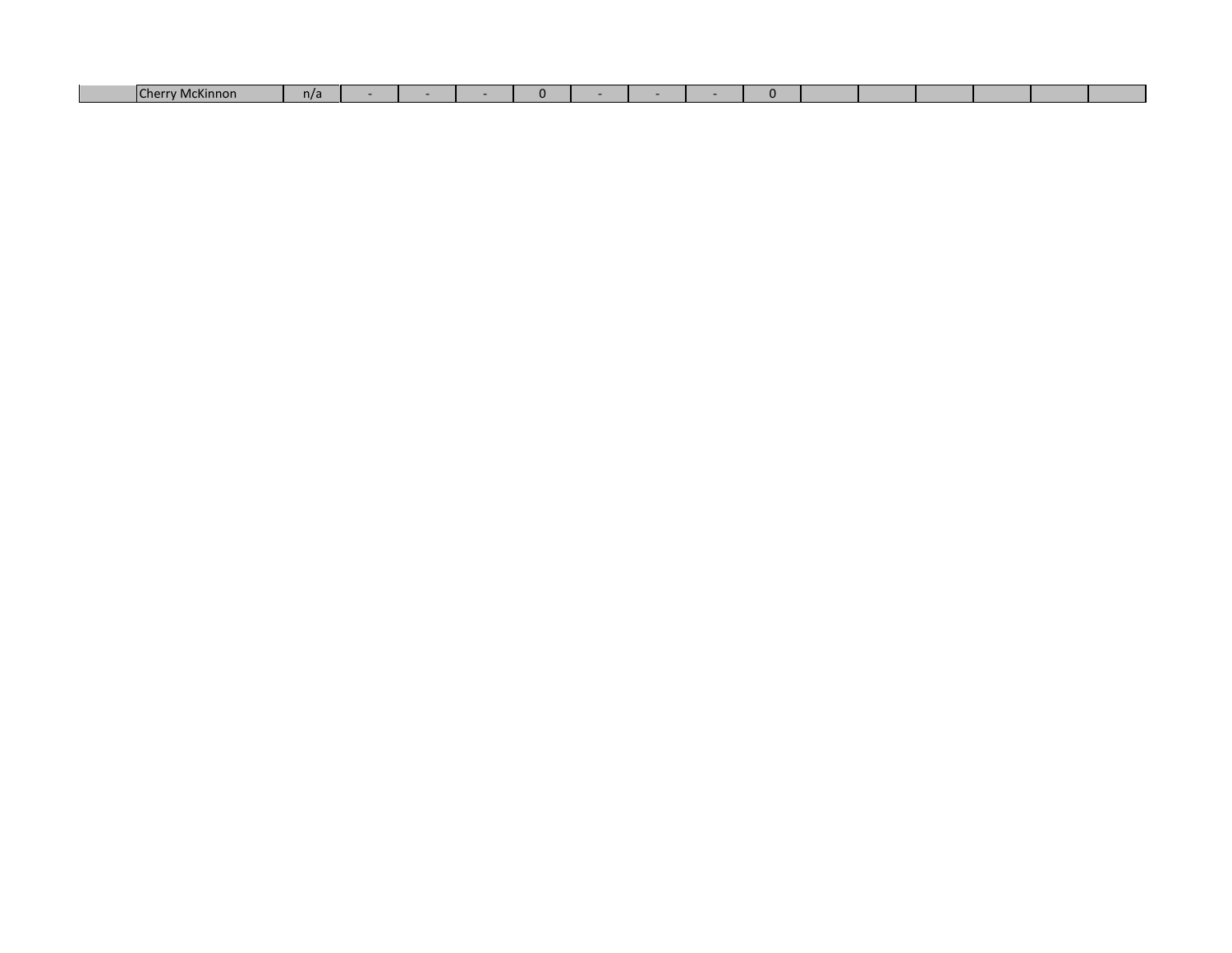| <b><i><u>Property</u></i></b><br>If harry N<br>vickinnon | n/a |  |  |  |  |  |  |  |
|----------------------------------------------------------|-----|--|--|--|--|--|--|--|
|                                                          |     |  |  |  |  |  |  |  |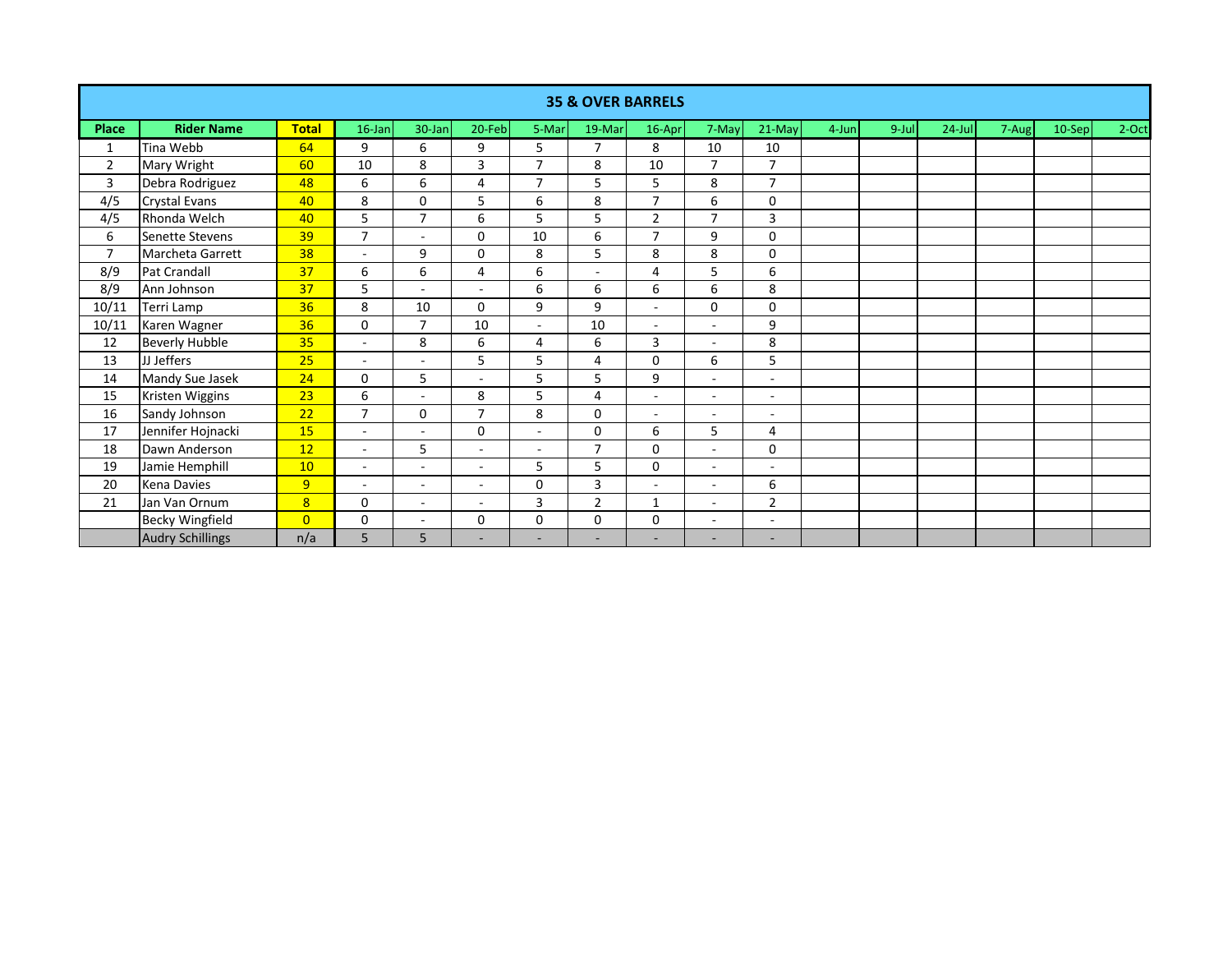|                |                         |                |                |                          |                          |                          | <b>35 &amp; OVER BARRELS</b> |                          |                          |                          |          |          |           |       |          |       |
|----------------|-------------------------|----------------|----------------|--------------------------|--------------------------|--------------------------|------------------------------|--------------------------|--------------------------|--------------------------|----------|----------|-----------|-------|----------|-------|
| Place          | <b>Rider Name</b>       | <b>Total</b>   | $16$ -Jan      | 30-Jan                   | 20-Feb                   | 5-Mar                    | 19-Mar                       | 16-Apr                   | 7-May                    | $21-May$                 | $4$ -Jun | $9$ -Jul | $24$ -Jul | 7-Aug | $10-Sep$ | 2-Oct |
| $\mathbf{1}$   | Tina Webb               | 64             | 9              | 6                        | 9                        | 5                        | $\overline{7}$               | 8                        | 10                       | 10                       |          |          |           |       |          |       |
| 2              | Mary Wright             | 60             | 10             | 8                        | 3                        | $\overline{7}$           | 8                            | 10                       | $\overline{7}$           | $\overline{7}$           |          |          |           |       |          |       |
| 3              | Debra Rodriguez         | 48             | 6              | 6                        | 4                        | $\overline{7}$           | 5                            | 5                        | 8                        | $\overline{7}$           |          |          |           |       |          |       |
| 4/5            | <b>Crystal Evans</b>    | 40             | 8              | 0                        | 5                        | 6                        | 8                            | $\overline{7}$           | 6                        | 0                        |          |          |           |       |          |       |
| 4/5            | Rhonda Welch            | 40             | 5              | $\overline{7}$           | 6                        | 5                        | 5                            | $\overline{2}$           | $\overline{7}$           | 3                        |          |          |           |       |          |       |
| 6              | Senette Stevens         | 39             | $\overline{7}$ | ٠                        | 0                        | 10                       | 6                            | $\overline{7}$           | 9                        | 0                        |          |          |           |       |          |       |
| $\overline{7}$ | Marcheta Garrett        | 38             | $\sim$         | 9                        | 0                        | 8                        | 5                            | 8                        | 8                        | 0                        |          |          |           |       |          |       |
| 8/9            | <b>Pat Crandall</b>     | 37             | 6              | 6                        | 4                        | 6                        | $\overline{\phantom{a}}$     | 4                        | 5                        | 6                        |          |          |           |       |          |       |
| 8/9            | Ann Johnson             | 37             | 5              | ÷.                       | $\sim$                   | 6                        | 6                            | 6                        | 6                        | 8                        |          |          |           |       |          |       |
| 10/11          | Terri Lamp              | 36             | 8              | 10                       | 0                        | 9                        | 9                            | ٠                        | $\mathbf 0$              | 0                        |          |          |           |       |          |       |
| 10/11          | Karen Wagner            | 36             | $\mathbf 0$    | $\overline{7}$           | 10                       |                          | 10                           | ٠                        |                          | 9                        |          |          |           |       |          |       |
| 12             | <b>Beverly Hubble</b>   | 35             | $\sim$         | 8                        | 6                        | 4                        | 6                            | 3                        | $\sim$                   | 8                        |          |          |           |       |          |       |
| 13             | JJ Jeffers              | 25             | ÷.             | $\mathbf{r}$             | 5                        | 5                        | $\overline{4}$               | $\mathbf 0$              | 6                        | 5                        |          |          |           |       |          |       |
| 14             | Mandy Sue Jasek         | 24             | 0              | 5                        |                          | 5                        | 5                            | 9                        | $\overline{\phantom{a}}$ | $\overline{\phantom{a}}$ |          |          |           |       |          |       |
| 15             | Kristen Wiggins         | 23             | 6              | ٠                        | 8                        | 5                        | 4                            | $\overline{\phantom{a}}$ | $\overline{\phantom{a}}$ | $\overline{\phantom{a}}$ |          |          |           |       |          |       |
| 16             | Sandy Johnson           | 22             | $\overline{7}$ | 0                        | $\overline{7}$           | 8                        | $\mathbf 0$                  | $\overline{\phantom{a}}$ | $\blacksquare$           | $\overline{\phantom{a}}$ |          |          |           |       |          |       |
| 17             | Jennifer Hojnacki       | 15             | $\sim$         | $\overline{\phantom{a}}$ | 0                        |                          | $\mathbf 0$                  | 6                        | 5                        | 4                        |          |          |           |       |          |       |
| 18             | Dawn Anderson           | 12             | $\sim$         | 5                        | $\sim$                   | $\overline{\phantom{a}}$ | $\overline{7}$               | $\mathbf 0$              | $\blacksquare$           | 0                        |          |          |           |       |          |       |
| 19             | Jamie Hemphill          | 10             | $\sim$         | ٠                        | $\sim$                   | 5                        | 5                            | $\mathbf 0$              | $\overline{\phantom{a}}$ | $\sim$                   |          |          |           |       |          |       |
| 20             | Kena Davies             | 9 <sup>°</sup> | $\sim$         | ٠                        | $\overline{\phantom{a}}$ | 0                        | 3                            | $\overline{\phantom{a}}$ | $\blacksquare$           | 6                        |          |          |           |       |          |       |
| 21             | Jan Van Ornum           | 8 <sup>2</sup> | 0              | ÷.                       | $\overline{a}$           | 3                        | $\overline{2}$               | $\mathbf{1}$             | $\blacksquare$           | $\overline{2}$           |          |          |           |       |          |       |
|                | <b>Becky Wingfield</b>  | $\overline{0}$ | $\mathbf 0$    | $\overline{\phantom{a}}$ | 0                        | 0                        | 0                            | 0                        | ٠                        | $\overline{\phantom{a}}$ |          |          |           |       |          |       |
|                | <b>Audry Schillings</b> | n/a            | 5              | 5                        |                          | ۰                        | ۰                            | ۰                        | ٠                        |                          |          |          |           |       |          |       |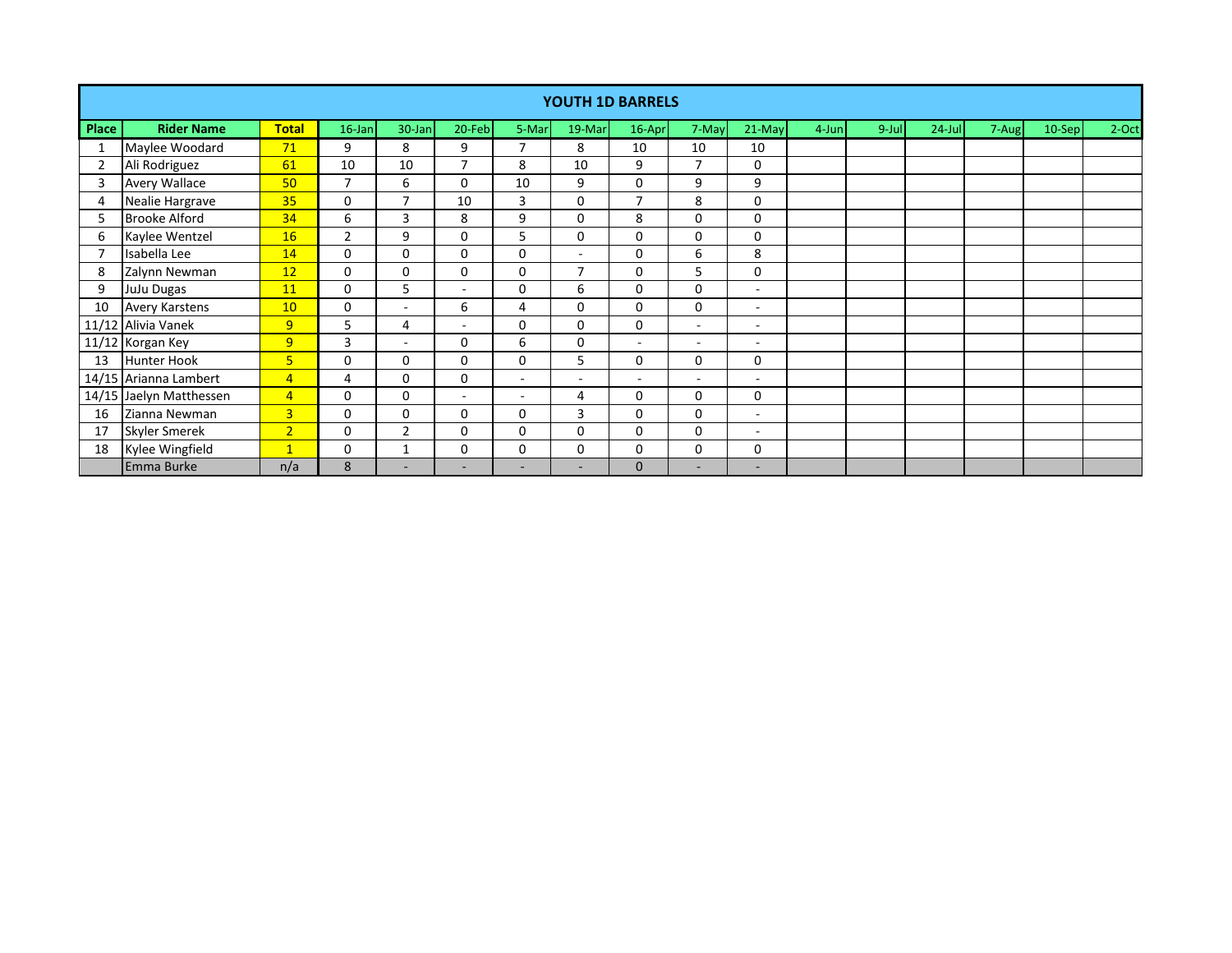|                |                         |                |                |                |                |                |                          | YOUTH 1D BARRELS         |                          |                          |       |          |           |       |          |       |
|----------------|-------------------------|----------------|----------------|----------------|----------------|----------------|--------------------------|--------------------------|--------------------------|--------------------------|-------|----------|-----------|-------|----------|-------|
| Place          | <b>Rider Name</b>       | <b>Total</b>   | $16$ -Jan      | 30-Jan         | 20-Feb         | 5-Mar          | 19-Mar                   | 16-Apr                   | 7-May                    | 21-May                   | 4-Jun | $9$ -Jul | $24$ -Jul | 7-Aug | $10-Sep$ | 2-Oct |
|                | Maylee Woodard          | 71             | 9              | 8              | 9              | $\overline{ }$ | 8                        | 10                       | 10                       | 10                       |       |          |           |       |          |       |
| $\overline{2}$ | Ali Rodriguez           | 61             | 10             | 10             | $\overline{7}$ | 8              | 10                       | 9                        | 7                        | 0                        |       |          |           |       |          |       |
| 3              | <b>Avery Wallace</b>    | 50             | $\overline{7}$ | 6              | $\Omega$       | 10             | 9                        | $\Omega$                 | 9                        | 9                        |       |          |           |       |          |       |
| 4              | Nealie Hargrave         | 35             | 0              | $\overline{ }$ | 10             | 3              | $\Omega$                 | $\overline{7}$           | 8                        | 0                        |       |          |           |       |          |       |
| 5              | <b>Brooke Alford</b>    | 34             | 6              | 3              | 8              | 9              | 0                        | 8                        | $\Omega$                 | 0                        |       |          |           |       |          |       |
| 6              | Kaylee Wentzel          | <b>16</b>      | $\overline{2}$ | 9              | $\Omega$       | 5              | $\Omega$                 | 0                        | $\Omega$                 | 0                        |       |          |           |       |          |       |
|                | Isabella Lee            | 14             | $\Omega$       | 0              | 0              | $\Omega$       | $\overline{\phantom{a}}$ | $\Omega$                 | 6                        | 8                        |       |          |           |       |          |       |
| 8              | Zalynn Newman           | 12             | $\Omega$       | 0              | 0              | 0              | 7                        | 0                        | 5                        | 0                        |       |          |           |       |          |       |
| 9              | JuJu Dugas              | 11             | $\Omega$       | 5              | $\sim$         | 0              | 6                        | 0                        | $\Omega$                 | $\sim$                   |       |          |           |       |          |       |
| 10             | <b>Avery Karstens</b>   | 10             | 0              | $\overline{a}$ | 6              | 4              | $\Omega$                 | $\Omega$                 | $\Omega$                 | $\overline{\phantom{a}}$ |       |          |           |       |          |       |
|                | 11/12 Alivia Vanek      | 9              | 5              | 4              | $\sim$         | $\Omega$       | $\Omega$                 | $\Omega$                 | $\overline{\phantom{a}}$ | $\overline{\phantom{a}}$ |       |          |           |       |          |       |
|                | 11/12 Korgan Key        | 9 <sup>°</sup> | 3              | $\sim$         | 0              | 6              | 0                        | $\blacksquare$           | $\overline{\phantom{0}}$ | $\overline{\phantom{a}}$ |       |          |           |       |          |       |
| 13             | Hunter Hook             | $5^{\circ}$    | 0              | 0              | 0              | 0              | 5                        | 0                        | $\Omega$                 | 0                        |       |          |           |       |          |       |
|                | 14/15 Arianna Lambert   | $\overline{4}$ | 4              | 0              | 0              | ٠              |                          | $\overline{\phantom{a}}$ |                          |                          |       |          |           |       |          |       |
|                | 14/15 Jaelyn Matthessen | $\overline{4}$ | $\Omega$       | 0              | $\sim$         | ÷              | 4                        | 0                        | $\Omega$                 | $\Omega$                 |       |          |           |       |          |       |
| 16             | Zianna Newman           | $\overline{3}$ | $\Omega$       | 0              | 0              | 0              | 3                        | 0                        | $\mathbf 0$              | $\overline{\phantom{a}}$ |       |          |           |       |          |       |
| 17             | <b>Skyler Smerek</b>    | $\overline{2}$ | $\Omega$       | $\overline{2}$ | $\Omega$       | $\Omega$       | $\Omega$                 | $\Omega$                 | $\Omega$                 |                          |       |          |           |       |          |       |
| 18             | Kylee Wingfield         | $\mathbf 1$    | $\Omega$       | $\mathbf{1}$   | 0              | 0              | $\Omega$                 | $\mathbf 0$              | $\Omega$                 | 0                        |       |          |           |       |          |       |
|                | Emma Burke              | n/a            | 8              |                |                |                |                          | $\mathbf 0$              |                          |                          |       |          |           |       |          |       |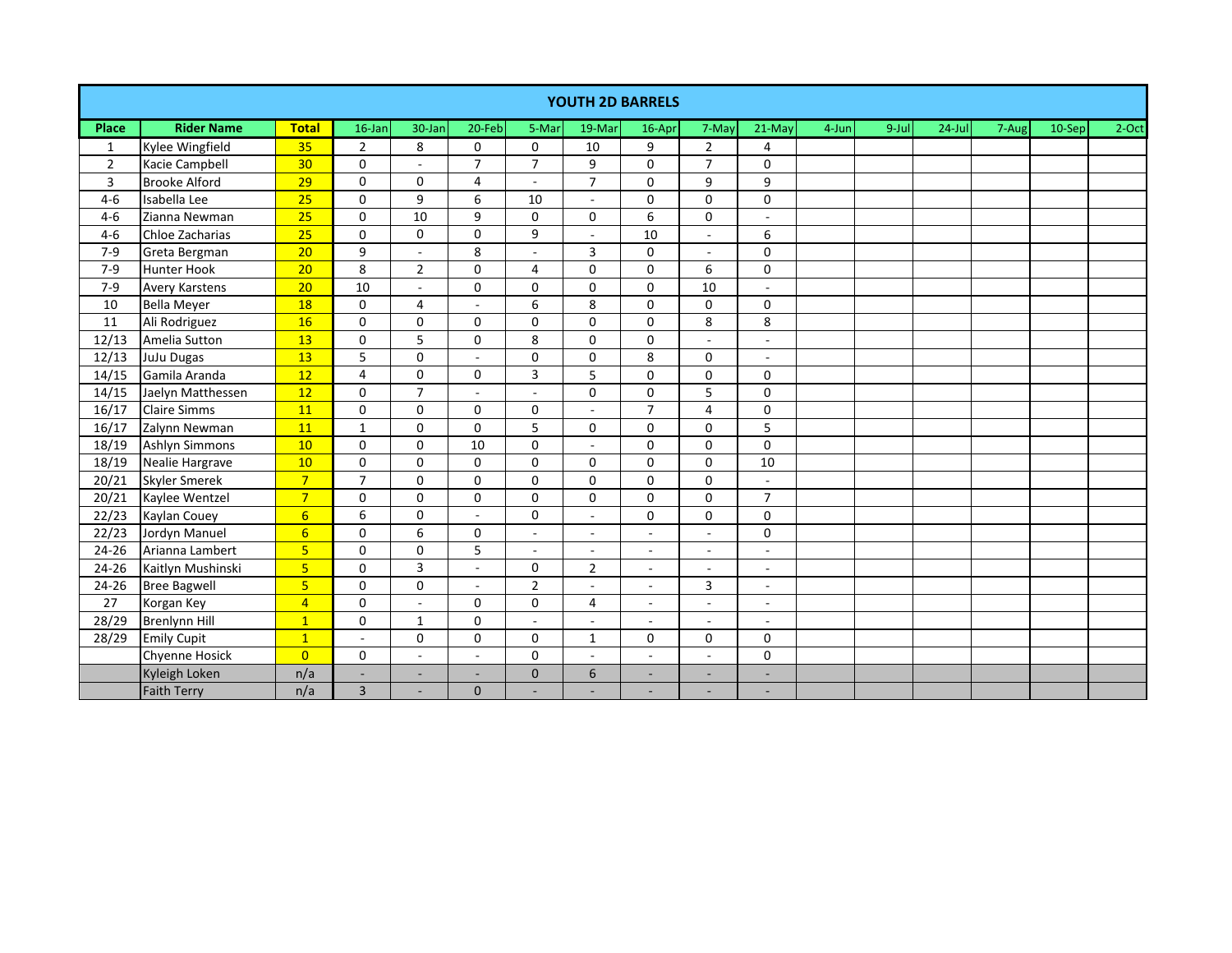|              |                       |                 |                          |                |                          |                | YOUTH 2D BARRELS         |                          |                          |                          |       |          |           |       |        |       |
|--------------|-----------------------|-----------------|--------------------------|----------------|--------------------------|----------------|--------------------------|--------------------------|--------------------------|--------------------------|-------|----------|-----------|-------|--------|-------|
| <b>Place</b> | <b>Rider Name</b>     | <b>Total</b>    | $16$ -Jan                | 30-Jan         | 20-Feb                   | 5-Mar          | 19-Mar                   | 16-Apr                   | 7-May                    | 21-May                   | 4-Jun | $9$ -Jul | $24$ -Jul | 7-Aug | 10-Sep | 2-Oct |
| $\mathbf{1}$ | Kylee Wingfield       | 35              | $\overline{2}$           | 8              | $\mathbf 0$              | $\mathbf 0$    | 10                       | 9                        | $\overline{2}$           | $\overline{4}$           |       |          |           |       |        |       |
| $\sqrt{2}$   | Kacie Campbell        | 30              | $\mathbf 0$              | L.             | $\overline{7}$           | $\overline{7}$ | 9                        | $\mathsf{O}\xspace$      | $\overline{7}$           | $\mathsf{O}\xspace$      |       |          |           |       |        |       |
| $\mathsf 3$  | <b>Brooke Alford</b>  | 29              | $\mathbf 0$              | 0              | 4                        |                | $\overline{7}$           | $\mathsf{O}\xspace$      | 9                        | 9                        |       |          |           |       |        |       |
| $4 - 6$      | Isabella Lee          | 25              | $\mathbf 0$              | 9              | 6                        | 10             | $\overline{\phantom{a}}$ | $\mathbf 0$              | $\mathbf 0$              | $\mathsf 0$              |       |          |           |       |        |       |
| $4-6$        | Zianna Newman         | 25              | 0                        | 10             | 9                        | $\mathbf 0$    | 0                        | 6                        | $\pmb{0}$                | $\overline{\phantom{a}}$ |       |          |           |       |        |       |
| $4-6$        | Chloe Zacharias       | 25              | $\mathbf 0$              | $\mathbf 0$    | $\mathbf 0$              | 9              | $\sim$                   | 10                       | $\sim$                   | 6                        |       |          |           |       |        |       |
| $7 - 9$      | Greta Bergman         | 20              | 9                        | $\sim$         | 8                        | $\mathbf{r}$   | 3                        | $\mathbf 0$              | $\sim$                   | $\mathsf{O}\xspace$      |       |          |           |       |        |       |
| $7 - 9$      | <b>Hunter Hook</b>    | 20              | 8                        | $\overline{2}$ | $\mathbf 0$              | $\overline{4}$ | $\mathbf 0$              | $\mathbf 0$              | 6                        | $\pmb{0}$                |       |          |           |       |        |       |
| $7-9$        | <b>Avery Karstens</b> | 20              | 10                       | $\sim$         | $\mathbf 0$              | $\mathbf 0$    | $\Omega$                 | $\mathbf 0$              | 10                       | $\sim$                   |       |          |           |       |        |       |
| 10           | <b>Bella Meyer</b>    | 18              | $\mathsf 0$              | 4              | L.                       | $\overline{6}$ | $\overline{8}$           | $\mathsf 0$              | $\pmb{0}$                | $\mathsf{O}\xspace$      |       |          |           |       |        |       |
| 11           | Ali Rodriguez         | 16              | $\mathbf 0$              | $\mathbf 0$    | $\mathbf 0$              | $\mathbf 0$    | $\mathbf 0$              | $\mathbf 0$              | 8                        | 8                        |       |          |           |       |        |       |
| 12/13        | Amelia Sutton         | 13              | $\mathsf 0$              | 5              | $\mathbf 0$              | 8              | $\mathbf 0$              | $\mathbf 0$              | $\blacksquare$           | $\blacksquare$           |       |          |           |       |        |       |
| 12/13        | <b>JuJu Dugas</b>     | 13              | 5                        | $\mathbf 0$    | $\overline{\phantom{a}}$ | $\mathbf 0$    | $\mathbf 0$              | 8                        | 0                        | $\overline{\phantom{a}}$ |       |          |           |       |        |       |
| 14/15        | Gamila Aranda         | 12              | $\overline{4}$           | $\mathbf 0$    | $\mathbf 0$              | 3              | 5                        | 0                        | $\mathbf 0$              | 0                        |       |          |           |       |        |       |
| 14/15        | Jaelyn Matthessen     | 12              | $\mathbf 0$              | $\overline{7}$ | $\overline{a}$           | L.             | 0                        | $\mathsf{O}\xspace$      | 5                        | $\mathsf{O}\xspace$      |       |          |           |       |        |       |
| 16/17        | <b>Claire Simms</b>   | 11              | 0                        | $\pmb{0}$      | 0                        | 0              | ÷,                       | $\overline{7}$           | $\pmb{4}$                | $\mathsf{O}\xspace$      |       |          |           |       |        |       |
| 16/17        | Zalynn Newman         | 11              | $\mathbf{1}$             | $\mathbf 0$    | $\mathbf 0$              | $\overline{5}$ | $\mathbf 0$              | $\mathbf 0$              | $\mathbf 0$              | $\overline{5}$           |       |          |           |       |        |       |
| 18/19        | <b>Ashlyn Simmons</b> | 10              | $\Omega$                 | $\Omega$       | 10                       | $\mathbf 0$    | ä,                       | 0                        | $\mathbf 0$              | $\mathbf 0$              |       |          |           |       |        |       |
| 18/19        | Nealie Hargrave       | 10              | 0                        | 0              | $\mathbf 0$              | $\mathbf 0$    | $\mathbf 0$              | $\mathbf 0$              | $\mathbf 0$              | 10                       |       |          |           |       |        |       |
| 20/21        | <b>Skyler Smerek</b>  | $\overline{7}$  | $\overline{7}$           | $\mathbf 0$    | $\mathbf 0$              | $\mathbf 0$    | $\mathbf 0$              | $\mathbf 0$              | $\mathbf 0$              | $\overline{\phantom{a}}$ |       |          |           |       |        |       |
| 20/21        | Kaylee Wentzel        | 7 <sup>1</sup>  | 0                        | $\pmb{0}$      | $\mathsf{O}\xspace$      | $\pmb{0}$      | 0                        | $\mathsf{O}\xspace$      | $\pmb{0}$                | $\overline{7}$           |       |          |           |       |        |       |
| 22/23        | Kaylan Couey          | $6 \overline{}$ | 6                        | $\mathbf 0$    | ä,                       | $\pmb{0}$      | $\sim$                   | 0                        | $\pmb{0}$                | $\mathsf{O}\xspace$      |       |          |           |       |        |       |
| 22/23        | Jordyn Manuel         | 6 <sup>1</sup>  | $\mathbf 0$              | 6              | $\mathbf 0$              | $\mathbf{r}$   | $\overline{\phantom{a}}$ | $\overline{\phantom{a}}$ |                          | $\mathsf{O}\xspace$      |       |          |           |       |        |       |
| $24 - 26$    | Arianna Lambert       | 5 <sup>1</sup>  | $\mathbf 0$              | $\mathbf 0$    | 5                        | $\overline{a}$ | ÷,                       | $\overline{\phantom{a}}$ | $\overline{\phantom{a}}$ | $\blacksquare$           |       |          |           |       |        |       |
| $24 - 26$    | Kaitlyn Mushinski     | 5 <sup>1</sup>  | $\mathbf 0$              | 3              | $\omega$                 | $\mathbf 0$    | $\overline{2}$           | $\overline{\phantom{a}}$ | $\overline{\phantom{a}}$ | $\overline{\phantom{a}}$ |       |          |           |       |        |       |
| $24 - 26$    | <b>Bree Bagwell</b>   | $\overline{5}$  | $\mathsf 0$              | $\pmb{0}$      | $\sim$                   | $\overline{2}$ | $\sim$                   | $\overline{a}$           | $\overline{\mathbf{3}}$  | $\sim$                   |       |          |           |       |        |       |
| 27           | Korgan Key            | $\overline{4}$  | $\mathsf 0$              | ÷.             | $\mathbf 0$              | $\mathbf 0$    | $\overline{4}$           | $\overline{\phantom{a}}$ | $\sim$                   | $\overline{\phantom{a}}$ |       |          |           |       |        |       |
| 28/29        | Brenlynn Hill         | $\overline{1}$  | $\mathbf 0$              | $\mathbf{1}$   | $\mathbf 0$              | $\overline{a}$ | $\sim$                   | $\overline{a}$           |                          | ٠                        |       |          |           |       |        |       |
| 28/29        | <b>Emily Cupit</b>    | $\overline{1}$  | $\overline{\phantom{a}}$ | $\mathbf 0$    | $\mathbf 0$              | $\mathbf 0$    | $\mathbf{1}$             | $\mathsf{O}\xspace$      | $\pmb{0}$                | $\mathsf{O}\xspace$      |       |          |           |       |        |       |
|              | Chyenne Hosick        | $\overline{0}$  | $\mathbf 0$              | $\sim$         | ä,                       | $\mathbf 0$    | $\sim$                   | $\overline{a}$           |                          | $\mathsf{O}\xspace$      |       |          |           |       |        |       |
|              | Kyleigh Loken         | n/a             | L.                       | ÷,             | L,                       | $\mathbf{0}$   | 6                        | $\sim$                   | $\overline{a}$           | ٠                        |       |          |           |       |        |       |
|              | <b>Faith Terry</b>    | n/a             | $\overline{3}$           |                | $\mathbf{0}$             | ٠              |                          |                          | ٠                        | ۰                        |       |          |           |       |        |       |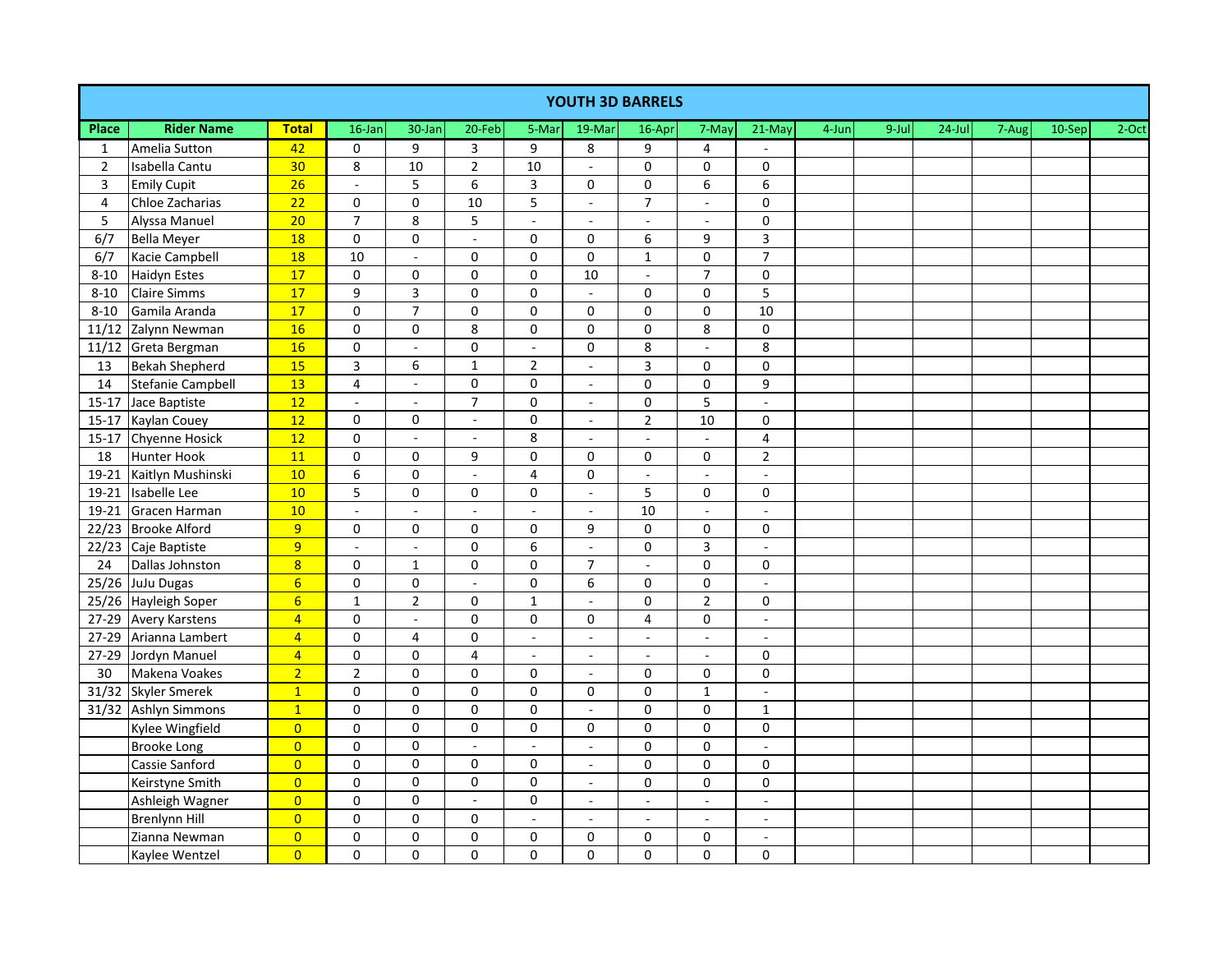|                |                       |                           |                         |                          |                          |                 |                | YOUTH 3D BARRELS |                |                         |       |          |           |       |        |          |
|----------------|-----------------------|---------------------------|-------------------------|--------------------------|--------------------------|-----------------|----------------|------------------|----------------|-------------------------|-------|----------|-----------|-------|--------|----------|
| Place          | <b>Rider Name</b>     | <b>Total</b>              | $16$ -Jan               | 30-Jan                   | $20$ -Feb                | 5-Mar           | 19-Mar         | 16-Apr           | 7-May          | 21-May                  | 4-Jun | $9$ -Jul | $24$ -Jul | 7-Aug | 10-Sep | $2$ -Oct |
| $\mathbf{1}$   | Amelia Sutton         | 42                        | $\mathbf 0$             | 9                        | $\mathsf 3$              | 9               | 8              | 9                | 4              |                         |       |          |           |       |        |          |
| $\overline{2}$ | Isabella Cantu        | 30                        | 8                       | 10                       | $\overline{2}$           | $\overline{10}$ | $\sim$         | $\Omega$         | 0              | $\mathbf 0$             |       |          |           |       |        |          |
| $\mathbf{3}$   | <b>Emily Cupit</b>    | 26                        |                         | 5                        | 6                        | 3               | 0              | $\mathbf 0$      | 6              | 6                       |       |          |           |       |        |          |
| $\overline{4}$ | Chloe Zacharias       | 22                        | $\mathbf 0$             | 0                        | 10                       | 5               | $\sim$         | $\overline{7}$   | $\sim$         | $\pmb{0}$               |       |          |           |       |        |          |
| 5              | Alyssa Manuel         | 20                        | $\overline{7}$          | 8                        | 5                        | $\sim$          | $\blacksquare$ | $\blacksquare$   |                | $\mathsf 0$             |       |          |           |       |        |          |
| 6/7            | <b>Bella Meyer</b>    | 18                        | $\mathbf 0$             | 0                        | $\sim$                   | 0               | 0              | 6                | 9              | $\overline{\mathbf{3}}$ |       |          |           |       |        |          |
| 6/7            | Kacie Campbell        | 18                        | 10                      | $\overline{a}$           | $\mathbf 0$              | $\Omega$        | $\Omega$       | $\mathbf{1}$     | 0              | $\overline{7}$          |       |          |           |       |        |          |
| $8 - 10$       | <b>Haidyn Estes</b>   | 17                        | $\mathbf 0$             | $\mathbf 0$              | $\mathsf{O}\xspace$      | $\Omega$        | 10             | $\sim$           | $\overline{7}$ | $\mathbf 0$             |       |          |           |       |        |          |
| $8 - 10$       | <b>Claire Simms</b>   | 17                        | 9                       | 3                        | $\mathbf 0$              | 0               | $\overline{a}$ | 0                | 0              | 5                       |       |          |           |       |        |          |
| $8 - 10$       | Gamila Aranda         | 17                        | $\mathbf 0$             | $\overline{7}$           | $\mathbf 0$              | $\Omega$        | $\Omega$       | $\Omega$         | 0              | 10                      |       |          |           |       |        |          |
| 11/12          | Zalynn Newman         | 16                        | $\mathbf 0$             | 0                        | 8                        | 0               | $\mathbf 0$    | $\mathbf 0$      | 8              | 0                       |       |          |           |       |        |          |
|                | 11/12 Greta Bergman   | 16                        | $\mathbf 0$             | $\overline{\phantom{a}}$ | $\mathbf 0$              | $\blacksquare$  | 0              | 8                | $\sim$         | 8                       |       |          |           |       |        |          |
| 13             | <b>Bekah Shepherd</b> | 15<br>3<br>13<br>12<br>12 |                         | 6                        | $\mathbf 1$              | $\mathbf 2$     | $\omega$       | $\mathsf{3}$     | $\Omega$       | $\pmb{0}$               |       |          |           |       |        |          |
| 14             | Stefanie Campbell     |                           | $\overline{\mathbf{4}}$ |                          | $\pmb{0}$                | 0               |                | $\mathbf 0$      | $\mathbf 0$    | $\overline{9}$          |       |          |           |       |        |          |
|                | 15-17 Jace Baptiste   |                           | $\omega$                | $\sim$                   | $\overline{7}$           | $\Omega$        | $\sim$         | $\mathbf 0$      | 5              | $\mathcal{L}^{\pm}$     |       |          |           |       |        |          |
|                | 15-17 Kaylan Couey    |                           | $\Omega$                | 0                        | $\overline{\phantom{a}}$ | $\Omega$        | $\blacksquare$ | $\overline{2}$   | 10             | 0                       |       |          |           |       |        |          |
|                | 15-17 Chyenne Hosick  | 12                        | $\mathbf 0$             | $\sim$                   | $\sim$                   | 8               | $\sim$         | $\sim$           | $\sim$         | $\overline{\mathbf{4}}$ |       |          |           |       |        |          |
| 18             | <b>Hunter Hook</b>    | 11                        | $\mathbf 0$             | 0                        | 9                        | $\Omega$        | $\Omega$       | 0                | $\Omega$       | $\overline{2}$          |       |          |           |       |        |          |
| 19-21          | Kaitlyn Mushinski     | 10                        | 6                       | 0                        | $\sim$                   | $\overline{4}$  | 0              | $\sim$           | $\sim$         | $\blacksquare$          |       |          |           |       |        |          |
|                | 19-21 Isabelle Lee    | 10                        | 5                       | 0                        | $\mathbf 0$              | 0               | $\sim$         | 5                | 0              | 0                       |       |          |           |       |        |          |
|                | 19-21 Gracen Harman   | 10                        | $\sim$                  | $\sim$                   | $\sim$                   |                 |                | 10               |                |                         |       |          |           |       |        |          |
|                | 22/23 Brooke Alford   | 9                         | $\mathbf 0$             | 0                        | $\mathbf 0$              | 0               | 9              | 0                | 0              | 0                       |       |          |           |       |        |          |
|                | 22/23 Caje Baptiste   | 9                         | $\overline{a}$          | $\sim$                   | $\mathbf 0$              | 6               | $\blacksquare$ | $\mathbf 0$      | 3              | ä,                      |       |          |           |       |        |          |
| 24             | Dallas Johnston       | $\overline{8}$            | 0                       | $\mathbf{1}$             | $\pmb{0}$                | $\Omega$        | $\overline{7}$ |                  | 0              | $\pmb{0}$               |       |          |           |       |        |          |
|                | 25/26 JuJu Dugas      | $6\overline{6}$           | 0                       | 0                        | $\sim$                   | 0               | 6              | $\mathbf 0$      | 0              | $\blacksquare$          |       |          |           |       |        |          |
|                | 25/26 Hayleigh Soper  | $6\overline{6}$           | $\mathbf 1$             | $\overline{2}$           | $\mathbf 0$              | $\mathbf{1}$    | $\omega$       | $\mathbf 0$      | $\overline{2}$ | $\pmb{0}$               |       |          |           |       |        |          |
| $27-29$        | <b>Avery Karstens</b> | $\overline{4}$            | 0                       | $\sim$                   | $\Omega$                 | $\Omega$        | 0              | 4                | 0              | $\tilde{\phantom{a}}$   |       |          |           |       |        |          |
|                | 27-29 Arianna Lambert | $\overline{4}$            | $\mathbf 0$             | $\overline{4}$           | $\mathbf 0$              | $\overline{a}$  | $\bar{a}$      | $\sim$           | $\sim$         | $\tilde{\phantom{a}}$   |       |          |           |       |        |          |
| 27-29          | Jordyn Manuel         | $\overline{4}$            | $\pmb{0}$               | $\mathbf 0$              | $\overline{4}$           |                 | $\sim$         |                  |                | $\pmb{0}$               |       |          |           |       |        |          |
| 30             | Makena Voakes         | $\overline{2}$            | $\overline{2}$          | 0                        | $\mathbf 0$              | 0               | $\sim$         | 0                | 0              | 0                       |       |          |           |       |        |          |
|                | 31/32 Skyler Smerek   | $\mathbf{1}$              | 0                       | 0                        | $\mathbf 0$              | $\Omega$        | 0              | $\Omega$         | $\mathbf{1}$   | $\blacksquare$          |       |          |           |       |        |          |
|                | 31/32 Ashlyn Simmons  | $\overline{1}$            | $\pmb{0}$               | $\mathbf 0$              | $\mathsf 0$              | $\Omega$        | $\sim$         | $\Omega$         | 0              | $\mathbf{1}$            |       |          |           |       |        |          |
|                | Kylee Wingfield       | $\overline{0}$            | $\mathbf 0$             | 0                        | $\mathbf 0$              | 0               | 0              | 0                | $\mathbf 0$    | $\mathsf 0$             |       |          |           |       |        |          |
|                | <b>Brooke Long</b>    | $\overline{0}$            | $\mathbf 0$             | 0                        | $\sim$                   | $\blacksquare$  | $\blacksquare$ | $\mathbf 0$      | 0              | $\tilde{\phantom{a}}$   |       |          |           |       |        |          |
|                | Cassie Sanford        | $\overline{0}$            | $\pmb{0}$               | $\mathbf 0$              | 0                        | 0               | $\sim$         | $\mathsf 0$      | $\Omega$       | $\pmb{0}$               |       |          |           |       |        |          |
|                | Keirstyne Smith       | $\overline{0}$            | $\mathbf 0$             | 0                        | $\mathbf 0$              | 0               | $\mathbf{r}$   | 0                | 0              | 0                       |       |          |           |       |        |          |
|                | Ashleigh Wagner       | $\overline{0}$            | $\mathbf 0$             | 0                        | $\mathbf{r}$             | 0               | $\sim$         | $\omega$         | $\omega$       | $\omega$                |       |          |           |       |        |          |
|                | <b>Brenlynn Hill</b>  | $\overline{0}$            | 0                       | 0                        | 0                        | $\sim$          | $\sim$         | $\sim$           |                | $\blacksquare$          |       |          |           |       |        |          |
|                | Zianna Newman         | $\overline{0}$            | $\mathbf 0$             | 0                        | 0                        | 0               | 0              | 0                | 0              | $\tilde{\phantom{a}}$   |       |          |           |       |        |          |
|                | Kaylee Wentzel        | $\overline{0}$            | $\overline{0}$          | $\Omega$                 | $\Omega$                 | 0               | $\Omega$       | 0                | $\mathbf{0}$   | $\Omega$                |       |          |           |       |        |          |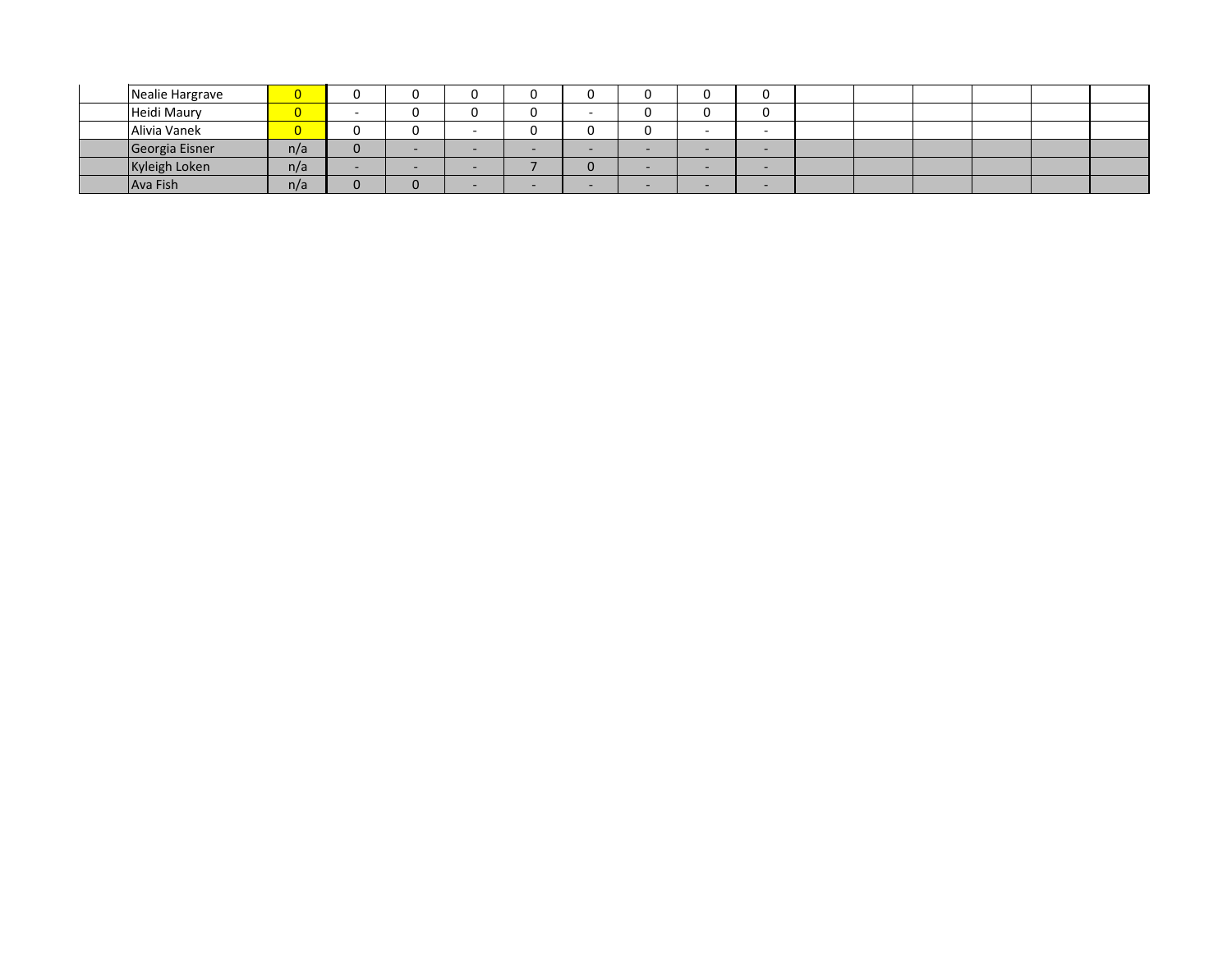| Nealie Hargrave    |     |  |   |  |  |  |  |  |
|--------------------|-----|--|---|--|--|--|--|--|
| <b>Heidi Maury</b> |     |  | C |  |  |  |  |  |
| Alivia Vanek       |     |  | u |  |  |  |  |  |
| Georgia Eisner     | n/a |  |   |  |  |  |  |  |
| Kyleigh Loken      | n/a |  |   |  |  |  |  |  |
| Ava Fish           | n/a |  |   |  |  |  |  |  |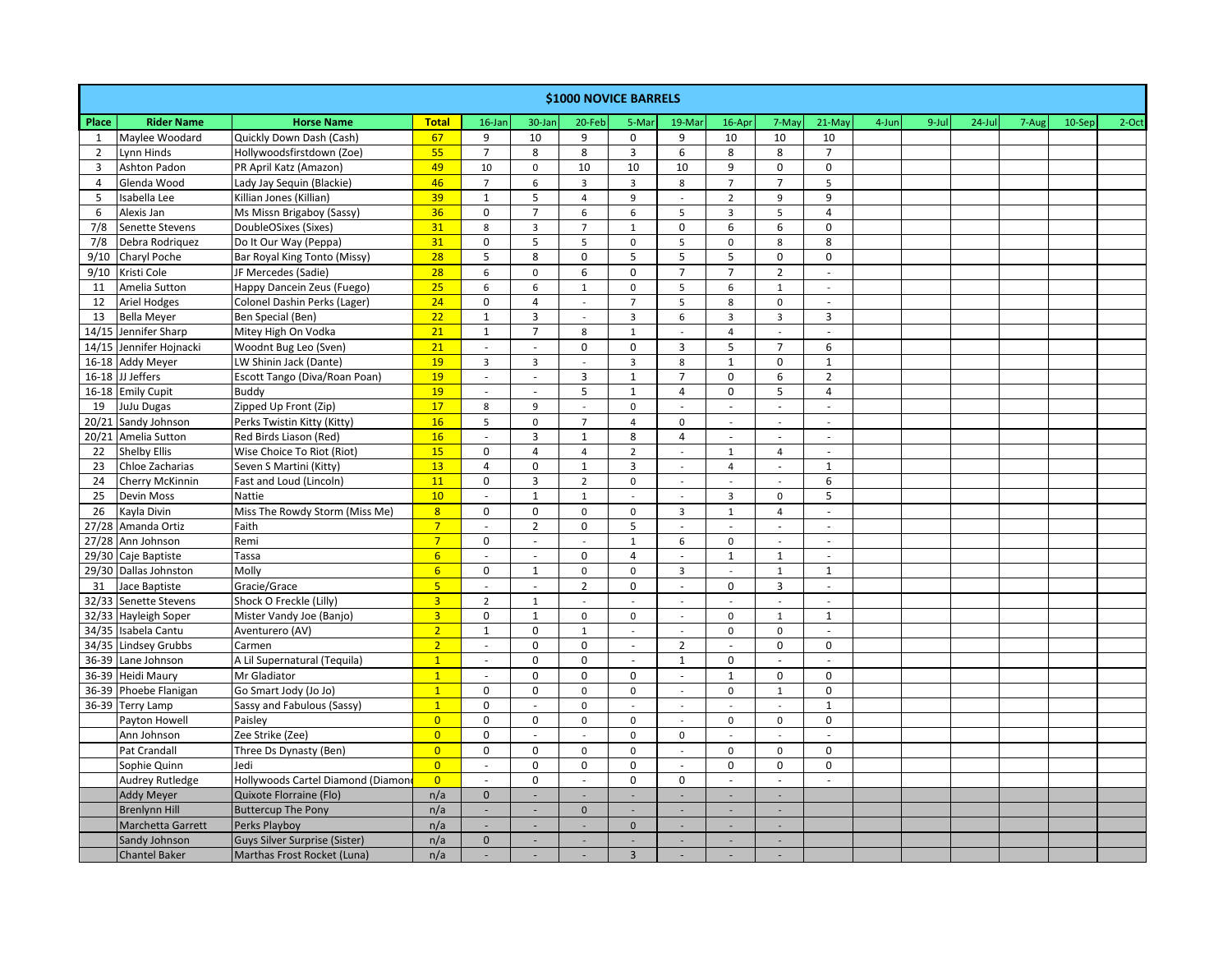|                |                       |                                   |                |                             |                          | <b>\$1000 NOVICE BARRELS</b> |                |                             |                             |                          |                          |       |       |           |       |        |       |
|----------------|-----------------------|-----------------------------------|----------------|-----------------------------|--------------------------|------------------------------|----------------|-----------------------------|-----------------------------|--------------------------|--------------------------|-------|-------|-----------|-------|--------|-------|
| Place          | <b>Rider Name</b>     | <b>Horse Name</b>                 | <b>Total</b>   | $16$ -Jan                   | 30-Jan                   | 20-Feb                       | 5-Mar          | 19-Mar                      | 16-Apr                      | 7-May                    | 21-May                   | 4-Jun | 9-Jul | $24$ -Jul | 7-Aug | 10-Sep | 2-Oct |
| 1              | Maylee Woodard        | Quickly Down Dash (Cash)          | 67             | 9                           | 10                       | 9                            | $\Omega$       | 9                           | 10                          | 10                       | 10                       |       |       |           |       |        |       |
| $\overline{2}$ | Lynn Hinds            | Hollywoodsfirstdown (Zoe)         | 55             | $\overline{7}$              | 8                        | 8                            | 3              | 6                           | 8                           | 8                        | $\overline{7}$           |       |       |           |       |        |       |
| 3              | <b>Ashton Padon</b>   | PR April Katz (Amazon)            | 49             | 10                          | 0                        | 10                           | 10             | 10                          | 9                           | 0                        | $\mathsf 0$              |       |       |           |       |        |       |
| $\overline{4}$ | Glenda Wood           | Lady Jay Sequin (Blackie)         | 46             | $\overline{7}$              | 6                        | $\overline{3}$               | $\overline{3}$ | 8                           | $\overline{7}$              | $\overline{7}$           | 5                        |       |       |           |       |        |       |
| 5              | Isabella Lee          | Killian Jones (Killian)           | 39             | $\mathbf{1}$                | 5                        | $\overline{4}$               | 9              | $\sim$                      | $\overline{2}$              | 9                        | 9                        |       |       |           |       |        |       |
| 6              | Alexis Jan            | Ms Missn Brigaboy (Sassy)         | 36             | $\mathbf 0$                 | $\overline{7}$           | 6                            | 6              | 5                           | 3                           | 5                        | $\overline{4}$           |       |       |           |       |        |       |
| 7/8            | Senette Stevens       | DoubleOSixes (Sixes)              | 31             | 8                           | $\overline{3}$           | $\overline{7}$               | $\mathbf{1}$   | $\mathsf 0$                 | 6                           | 6                        | $\mathbf 0$              |       |       |           |       |        |       |
| 7/8            | Debra Rodriquez       | Do It Our Way (Peppa)             | 31             | $\pmb{0}$                   | 5                        | 5                            | 0              | 5                           | $\pmb{0}$                   | 8                        | 8                        |       |       |           |       |        |       |
| 9/10           | Charyl Poche          | Bar Royal King Tonto (Missy)      | 28             | 5                           | 8                        | $\mathbf 0$                  | 5              | 5                           | 5                           | 0                        | 0                        |       |       |           |       |        |       |
| 9/10           | Kristi Cole           | JF Mercedes (Sadie)               | 28             | 6                           | $\mathsf{O}\xspace$      | 6                            | 0              | $\overline{7}$              | $\overline{7}$              | $\overline{2}$           | ÷,                       |       |       |           |       |        |       |
| 11             | Amelia Sutton         | Happy Dancein Zeus (Fuego)        | 25             | 6                           | 6                        | $\mathbf{1}$                 | $\mathbf 0$    | 5                           | 6                           | $\mathbf{1}$             | $\overline{a}$           |       |       |           |       |        |       |
| 12             | <b>Ariel Hodges</b>   | Colonel Dashin Perks (Lager)      | 24             | 0                           | $\overline{4}$           | $\sim$                       | $\overline{7}$ | 5                           | 8                           | $\mathsf 0$              | $\sim$                   |       |       |           |       |        |       |
| 13             | <b>Bella Meyer</b>    | Ben Special (Ben)                 | 22             | $\mathbf{1}$                | 3                        | $\sim$                       | 3              | 6                           | 3                           | 3                        | $\overline{3}$           |       |       |           |       |        |       |
|                | 14/15 Jennifer Sharp  | Mitey High On Vodka               | 21             | $\mathbf{1}$                | $\overline{7}$           | 8                            | $\mathbf{1}$   | $\overline{\phantom{a}}$    | $\overline{4}$              | $\overline{\phantom{a}}$ | ÷,                       |       |       |           |       |        |       |
| 14/15          | Jennifer Hojnacki     | Woodnt Bug Leo (Sven)             | 21             | $\sim$                      | $\omega$                 | 0                            | 0              | $\mathbf{3}$                | 5                           | $\overline{7}$           | 6                        |       |       |           |       |        |       |
| 16-18          | <b>Addy Meyer</b>     | LW Shinin Jack (Dante)            | 19             | 3                           | $\mathsf 3$              |                              | $\overline{3}$ | 8                           | $\mathbf{1}$                | $\Omega$                 | $\mathbf{1}$             |       |       |           |       |        |       |
|                | 16-18 JJ Jeffers      | Escott Tango (Diva/Roan Poan)     | 19             | $\bar{a}$                   | $\omega$                 | $\overline{3}$               | $\mathbf{1}$   | $\overline{7}$              | $\mathbf 0$                 | 6                        | $\overline{2}$           |       |       |           |       |        |       |
|                | 16-18 Emily Cupit     | <b>Buddy</b>                      | 19             | $\mathcal{L}$               | $\mathcal{L}$            | 5                            | $1\,$          | $\overline{4}$              | $\mathbf 0$                 | 5                        | $\overline{4}$           |       |       |           |       |        |       |
| 19             | JuJu Dugas            | Zipped Up Front (Zip)             | 17             | 8                           | 9                        | $\sim$                       | $\Omega$       | $\mathcal{L}_{\mathcal{A}}$ | ÷.                          | $\omega$                 | ä,                       |       |       |           |       |        |       |
| 20/21          | Sandy Johnson         | Perks Twistin Kitty (Kitty)       | 16             | 5                           | $\mathsf 0$              | $\overline{7}$               | $\overline{4}$ | $\mathbf 0$                 | $\mathcal{L}_{\mathcal{A}}$ | $\blacksquare$           | $\overline{\phantom{a}}$ |       |       |           |       |        |       |
| 20/21          | Amelia Sutton         | Red Birds Liason (Red)            | 16             | $\overline{\phantom{a}}$    | $\overline{3}$           | $\mathbf{1}$                 | 8              | $\overline{4}$              | $\overline{\phantom{a}}$    | $\sim$                   | $\overline{\phantom{a}}$ |       |       |           |       |        |       |
| 22             | <b>Shelby Ellis</b>   | Wise Choice To Riot (Riot)        | 15             | 0                           | $\overline{4}$           | $\overline{4}$               | $\overline{2}$ | $\overline{\phantom{a}}$    | $\mathbf{1}$                | $\overline{4}$           | ×.                       |       |       |           |       |        |       |
| 23             | Chloe Zacharias       | Seven S Martini (Kitty)           | 13             | 4                           | 0                        | $\mathbf{1}$                 | 3              | $\sim$                      | $\overline{4}$              | $\sim$                   | $\mathbf{1}$             |       |       |           |       |        |       |
| 24             | Cherry McKinnin       | Fast and Loud (Lincoln)           | 11             | $\mathbf 0$                 | $\overline{3}$           | $\overline{2}$               | $\mathbf 0$    | $\frac{1}{2}$               |                             |                          | 6                        |       |       |           |       |        |       |
| 25             | Devin Moss            | Nattie                            | 10             | ÷.                          | $\mathbf{1}$             | $\mathbf{1}$                 | $\overline{a}$ | $\mathbb{L}$                | 3                           | 0                        | 5                        |       |       |           |       |        |       |
| 26             | Kayla Divin           | Miss The Rowdy Storm (Miss Me)    | 8 <sup>1</sup> | 0                           | $\mathsf{O}\xspace$      | 0                            | 0              | $\overline{3}$              | $\mathbf 1$                 | $\overline{4}$           | ÷,                       |       |       |           |       |        |       |
| 27/28          | Amanda Ortiz          | Faith                             | 7 <sup>1</sup> | $\mathcal{L}_{\mathcal{A}}$ | $\overline{2}$           | $\mathbf 0$                  | 5              | $\sim$                      | $\sim$                      | $\blacksquare$           | $\sim$                   |       |       |           |       |        |       |
| 27/28          | Ann Johnson           | Remi                              | 7 <sup>2</sup> | 0                           | $\blacksquare$           | $\overline{\phantom{a}}$     | $\mathbf{1}$   | 6                           | $\mathsf 0$                 | $\overline{\phantom{a}}$ | $\overline{\phantom{a}}$ |       |       |           |       |        |       |
| 29/30          | Caje Baptiste         | Tassa                             | 6 <sup>1</sup> | $\bar{z}$                   | $\mathcal{L}$            | 0                            | $\overline{4}$ | $\sim$                      | $\mathbf{1}$                | $\mathbf{1}$             | $\overline{\phantom{a}}$ |       |       |           |       |        |       |
|                | 29/30 Dallas Johnston | Molly                             | 6 <sup>1</sup> | $\Omega$                    | 1                        | $\mathbf 0$                  | $\Omega$       | $\overline{3}$              |                             | $\mathbf{1}$             | $\mathbf{1}$             |       |       |           |       |        |       |
| 31             | Jace Baptiste         | Gracie/Grace                      | 5 <sup>1</sup> | $\overline{\phantom{a}}$    | ä,                       | $\overline{2}$               | $\mathbf 0$    | $\overline{\phantom{a}}$    | $\mathbf 0$                 | $\overline{3}$           | ÷,                       |       |       |           |       |        |       |
| 32/33          | Senette Stevens       | Shock O Freckle (Lilly)           | 3 <sup>1</sup> | $\overline{2}$              | $\mathbf{1}$             |                              |                | $\overline{\phantom{a}}$    |                             | $\overline{\phantom{a}}$ |                          |       |       |           |       |        |       |
| 32/33          | <b>Hayleigh Soper</b> | Mister Vandy Joe (Banjo)          | 3 <sup>2</sup> | 0                           | 1                        | $\mathbf 0$                  | $\mathbf 0$    | $\sim$                      | $\mathbf 0$                 | $\mathbf{1}$             | $\mathbf{1}$             |       |       |           |       |        |       |
|                | 34/35 Isabela Cantu   | Aventurero (AV)                   | 2 <sup>1</sup> | $\mathbf{1}$                | 0                        | $\mathbf{1}$                 | $\sim$         | $\sim$                      | $\mathbf 0$                 | $\mathbf 0$              | $\sim$                   |       |       |           |       |        |       |
| 34/35          | <b>Lindsey Grubbs</b> | Carmen                            | 2 <sup>1</sup> | $\overline{\phantom{a}}$    | 0                        | 0                            | $\sim$         | $\overline{2}$              | $\overline{\phantom{a}}$    | 0                        | $\mathbf 0$              |       |       |           |       |        |       |
|                | 36-39 Lane Johnson    | A Lil Supernatural (Tequila)      | 1              | $\overline{\phantom{a}}$    | 0                        | 0                            | $\sim$         | $\mathbf{1}$                | 0                           | $\overline{\phantom{a}}$ | $\sim$                   |       |       |           |       |        |       |
|                | 36-39 Heidi Maury     | Mr Gladiator                      | $\overline{1}$ | $\sim$                      | 0                        | 0                            | $\Omega$       | $\sim$                      | $\mathbf{1}$                | $\mathbf 0$              | $\mathbf 0$              |       |       |           |       |        |       |
| 36-39          | Phoebe Flanigan       | Go Smart Jody (Jo Jo)             | 1              | $\mathbf 0$                 | 0                        | $\mathbf 0$                  | $\mathbf 0$    | $\overline{\phantom{a}}$    | $\mathbf 0$                 | $\mathbf{1}$             | 0                        |       |       |           |       |        |       |
| 36-39          | <b>Terry Lamp</b>     | Sassy and Fabulous (Sassy)        | $\mathbf{1}$   | $\pmb{0}$                   | $\mathbf{r}$             | $\mathbf 0$                  |                | $\frac{1}{2}$               |                             | $\overline{\phantom{a}}$ | $\mathbf 1$              |       |       |           |       |        |       |
|                | Payton Howell         | Paisley                           | $\overline{0}$ | $\pmb{0}$                   | 0                        | $\pmb{0}$                    | 0              | $\mathcal{L}$               | $\pmb{0}$                   | 0                        | 0                        |       |       |           |       |        |       |
|                | Ann Johnson           | Zee Strike (Zee)                  | $\overline{0}$ | $\mathbf 0$                 | $\sim$                   | $\sim$                       | 0              | $\mathbf 0$                 | $\overline{a}$              | $\blacksquare$           | $\sim$                   |       |       |           |       |        |       |
|                | Pat Crandall          | Three Ds Dynasty (Ben)            | $\overline{0}$ | $\mathbf 0$                 | $\mathbf 0$              | $\mathbf 0$                  | $\mathbf 0$    | $\sim$                      | $\pmb{0}$                   | $\mathbf 0$              | $\mathbf 0$              |       |       |           |       |        |       |
|                | Sophie Quinn          | Jedi                              | $\overline{0}$ | $\sim$                      | 0                        | 0                            | 0              | $\sim$                      | 0                           | 0                        | 0                        |       |       |           |       |        |       |
|                | Audrey Rutledge       | Hollywoods Cartel Diamond (Diamon | $\overline{0}$ | $\sim$                      | 0                        | $\overline{\phantom{a}}$     | 0              | $\mathbf 0$                 | $\overline{\phantom{a}}$    | $\sim$                   |                          |       |       |           |       |        |       |
|                | <b>Addy Meyer</b>     | Quixote Florraine (Flo)           | n/a            | $\mathbf{0}$                | ÷.                       |                              | ц.             | $\overline{\phantom{a}}$    |                             |                          |                          |       |       |           |       |        |       |
|                | <b>Brenlynn Hill</b>  | <b>Buttercup The Pony</b>         | n/a            | ÷,                          | $\overline{\phantom{a}}$ | $\mathbf{0}$                 |                | ÷,                          |                             | $\blacksquare$           |                          |       |       |           |       |        |       |
|                | Marchetta Garrett     | Perks Playboy                     | n/a            | ÷                           | ÷.                       | ÷.                           | $\mathbf{0}$   | ÷.                          | ÷.                          | $\sim$                   |                          |       |       |           |       |        |       |
|                | Sandy Johnson         | Guys Silver Surprise (Sister)     | n/a            | $\mathbf{0}$                | $\sim$                   | $\sim$                       | $\sim$         | $\sim$                      | $\blacksquare$              | $\sim$                   |                          |       |       |           |       |        |       |
|                | <b>Chantel Baker</b>  | Marthas Frost Rocket (Luna)       | n/a            |                             | $\sim$                   |                              | $\overline{3}$ | ÷                           |                             |                          |                          |       |       |           |       |        |       |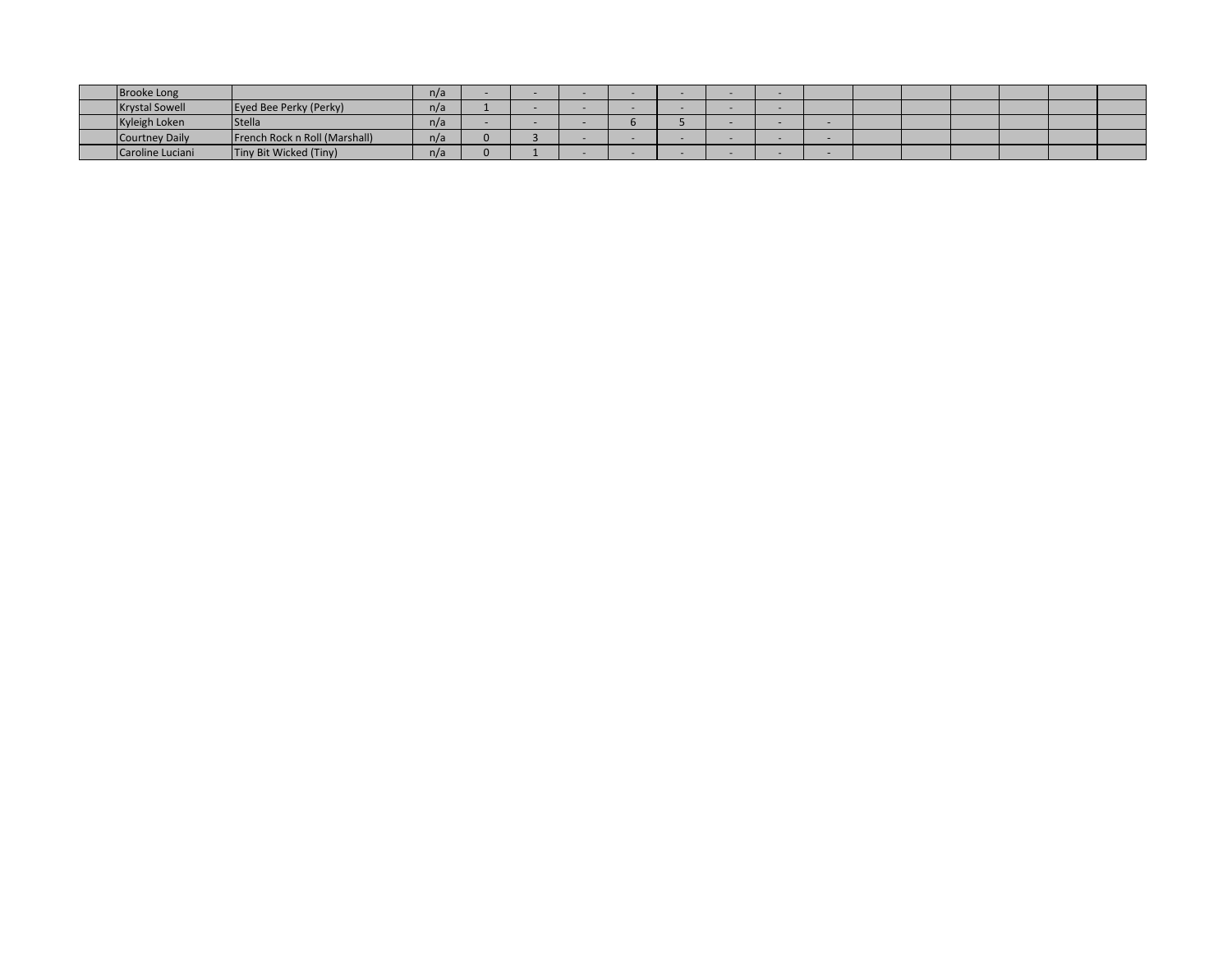| Brooke Long           |                               | n/a |  |  |  |  |  |  |  |
|-----------------------|-------------------------------|-----|--|--|--|--|--|--|--|
| <b>Krystal Sowell</b> | Eyed Bee Perky (Perky)        | n/a |  |  |  |  |  |  |  |
| Kyleigh Loken         | Stella                        | n/a |  |  |  |  |  |  |  |
| Courtney Daily        | French Rock n Roll (Marshall) | n/a |  |  |  |  |  |  |  |
| Caroline Luciani      | Tiny Bit Wicked (Tiny)        | n/a |  |  |  |  |  |  |  |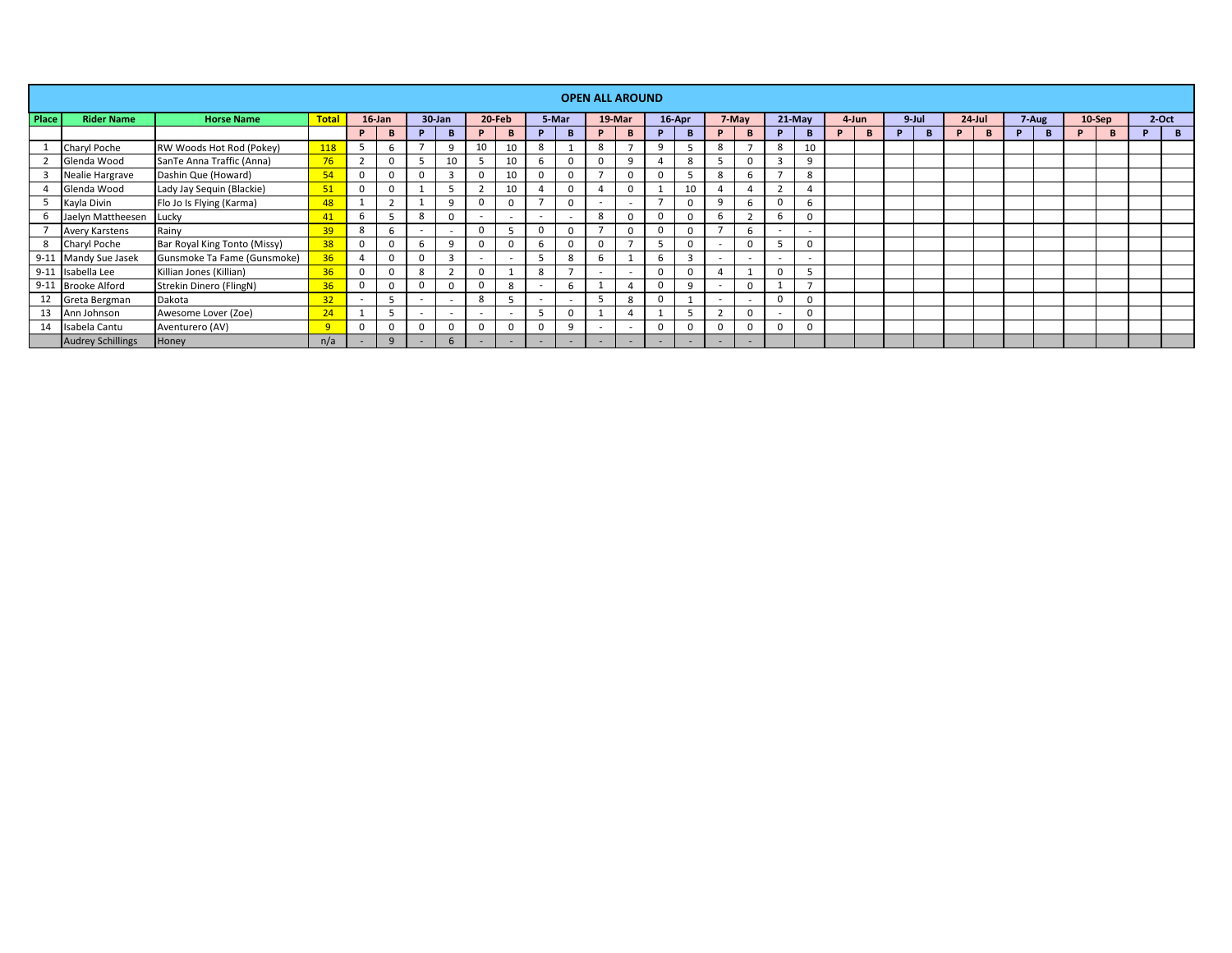|       |                          |                              |              |                |                                                              |                          |                          |                          |    |        |              | <b>OPEN ALL AROUND</b>   |                          |          |        |                          |                          |                |                |          |       |           |   |           |       |   |           |         |
|-------|--------------------------|------------------------------|--------------|----------------|--------------------------------------------------------------|--------------------------|--------------------------|--------------------------|----|--------|--------------|--------------------------|--------------------------|----------|--------|--------------------------|--------------------------|----------------|----------------|----------|-------|-----------|---|-----------|-------|---|-----------|---------|
| Place | <b>Rider Name</b>        | <b>Horse Name</b>            | <b>Total</b> |                | 30-Jan<br>$16$ -Jan<br>20-Feb<br>B<br>B<br>P<br>D<br>q<br>-6 |                          |                          |                          |    |        | 5-Mar        |                          | 19-Mar                   |          | 16-Apr |                          | 7-May                    |                | $21-May$       |          | 4-Jun | $9 -$ Jul |   | $24$ -Jul | 7-Aug |   | $10-$ Sep | $2-Oct$ |
|       |                          |                              |              |                |                                                              |                          |                          |                          | B  |        | B            |                          | B                        | P        | - 13   |                          | <b>B</b>                 | D              | B              | <b>P</b> | в     | B         | D | B         | в     | D | в         | B.      |
|       | Charyl Poche             | RW Woods Hot Rod (Pokey)     | 118          |                |                                                              |                          |                          |                          | 10 | 8      |              | 8                        |                          | 9        |        | 8                        | п,                       | 8              | 10             |          |       |           |   |           |       |   |           |         |
|       | Glenda Wood              | SanTe Anna Traffic (Anna)    | 76           | $\overline{2}$ | 0                                                            | 5                        | 10                       | 5                        | 10 | b      | $\Omega$     | 0                        | $\Omega$                 |          | 8      |                          | $\mathbf 0$              | 3              | $\alpha$       |          |       |           |   |           |       |   |           |         |
|       | Nealie Hargrave          | Dashin Que (Howard)          | 54           | 0              | $\mathbf 0$                                                  | $\mathbf 0$              | 3                        | 0                        | 10 |        | $\Omega$     |                          |                          | 0        | 5      | 8                        | 6                        | ٠              | 8              |          |       |           |   |           |       |   |           |         |
|       | Glenda Wood              | Lady Jay Sequin (Blackie)    | 51           |                | 0                                                            |                          |                          |                          | 10 |        | $\Omega$     |                          |                          |          | 10     |                          | $\overline{4}$           | $\overline{2}$ | $\overline{a}$ |          |       |           |   |           |       |   |           |         |
|       | Kayla Divin              | Flo Jo Is Flying (Karma)     | 48           |                | $\mathbf{\hat{}}$                                            |                          | q                        |                          |    |        | $\Omega$     | $\overline{\phantom{0}}$ |                          |          |        |                          | 6                        |                |                |          |       |           |   |           |       |   |           |         |
|       | 6 Jaelyn Mattheesen      | Lucky                        | 41           |                |                                                              | 8                        |                          | $\overline{\phantom{0}}$ |    | $\sim$ |              | 8                        |                          | 0        |        |                          | $\mathcal{D}$            | 6              |                |          |       |           |   |           |       |   |           |         |
|       | <b>Avery Karstens</b>    | Rainy                        | 39           | 8              | 6                                                            | $\overline{\phantom{a}}$ | $\sim$                   | 0                        |    |        | $\Omega$     |                          |                          | 0        |        |                          | 6                        |                | $\sim$         |          |       |           |   |           |       |   |           |         |
| 8     | Charyl Poche             | Bar Royal King Tonto (Missy) | 38           |                | $\Omega$                                                     | 6                        | q                        |                          | 0  |        | <sup>0</sup> |                          |                          |          |        | $\overline{\phantom{0}}$ | $\mathbf 0$              |                | $\Omega$       |          |       |           |   |           |       |   |           |         |
|       | 9-11 Mandy Sue Jasek     | Gunsmoke Ta Fame (Gunsmoke)  | 36           |                | $\Omega$                                                     | $\mathbf 0$              |                          |                          |    |        | 8            |                          |                          | b        | 3      | $\overline{\phantom{a}}$ | $\overline{\phantom{a}}$ | $\sim$         | $\sim$         |          |       |           |   |           |       |   |           |         |
|       | 9-11 Isabella Lee        | Killian Jones (Killian)      | 36           |                | $\mathbf 0$                                                  | 8                        |                          | 0                        |    | 8      |              | $\overline{\phantom{0}}$ | $\overline{\phantom{a}}$ | $\Omega$ |        |                          |                          |                |                |          |       |           |   |           |       |   |           |         |
|       | 9-11 Brooke Alford       | Strekin Dinero (FlingN)      | 36           |                | 0                                                            | $\mathbf 0$              |                          | 0                        | 8  |        | h            |                          |                          | $\Omega$ | 9      |                          | $\mathbf 0$              |                |                |          |       |           |   |           |       |   |           |         |
| 12    | Greta Bergman            | Dakota                       | 32           | $\sim$         | 5                                                            | $\overline{\phantom{a}}$ | $\overline{\phantom{a}}$ | 8                        |    | $\sim$ |              |                          | 8                        | $\Omega$ |        | $\overline{\phantom{a}}$ |                          |                |                |          |       |           |   |           |       |   |           |         |
|       | 13 Ann Johnson           | Awesome Lover (Zoe)          | 24           |                | 5                                                            | $\overline{\phantom{a}}$ | $\sim$                   | $\overline{\phantom{0}}$ |    |        | $\Omega$     |                          |                          |          |        |                          | $\mathbf 0$              |                | $\Omega$       |          |       |           |   |           |       |   |           |         |
| 14    | Isabela Cantu            | Aventurero (AV)              | $\mathbf{q}$ |                | $\Omega$                                                     | $\mathbf 0$              |                          | 0                        | 0  |        | 9            |                          | $\overline{\phantom{a}}$ | 0        |        |                          | $\mathbf 0$              |                | $\Omega$       |          |       |           |   |           |       |   |           |         |
|       | <b>Audrey Schillings</b> | Honey                        | n/a          | ×.             | $\mathsf{Q}$                                                 | -                        | $\mathsf{f}$             |                          |    |        |              | <b>.</b>                 |                          |          | ×.     |                          |                          |                |                |          |       |           |   |           |       |   |           |         |